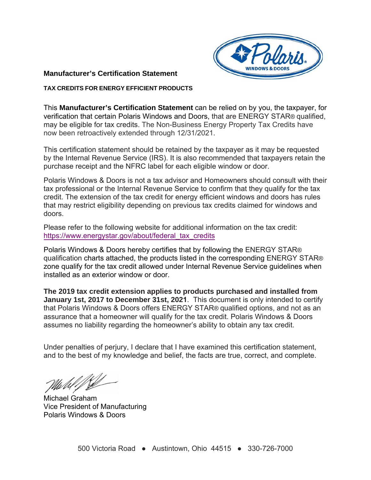

# **Manufacturer's Certification Statement**

## **TAX CREDITS FOR ENERGY EFFICIENT PRODUCTS**

This **Manufacturer's Certification Statement** can be relied on by you, the taxpayer, for verification that certain Polaris Windows and Doors, that are ENERGY STAR® qualified, may be eligible for tax credits. The Non-Business Energy Property Tax Credits have now been retroactively extended through 12/31/2021.

This certification statement should be retained by the taxpayer as it may be requested by the Internal Revenue Service (IRS). It is also recommended that taxpayers retain the purchase receipt and the NFRC label for each eligible window or door.

Polaris Windows & Doors is not a tax advisor and Homeowners should consult with their tax professional or the Internal Revenue Service to confirm that they qualify for the tax credit. The extension of the tax credit for energy efficient windows and doors has rules that may restrict eligibility depending on previous tax credits claimed for windows and doors.

Please refer to the following website for additional information on the tax credit: https://www.energystar.gov/about/federal\_tax\_credits

Polaris Windows & Doors hereby certifies that by following the ENERGY STAR® qualification charts attached, the products listed in the corresponding ENERGY STAR® zone qualify for the tax credit allowed under Internal Revenue Service guidelines when installed as an exterior window or door.

**The 2019 tax credit extension applies to products purchased and installed from January 1st, 2017 to December 31st, 2021**. This document is only intended to certify that Polaris Windows & Doors offers ENERGY STAR® qualified options, and not as an assurance that a homeowner will qualify for the tax credit. Polaris Windows & Doors assumes no liability regarding the homeowner's ability to obtain any tax credit.

Under penalties of perjury, I declare that I have examined this certification statement, and to the best of my knowledge and belief, the facts are true, correct, and complete.

Michael Graham Vice President of Manufacturing Polaris Windows & Doors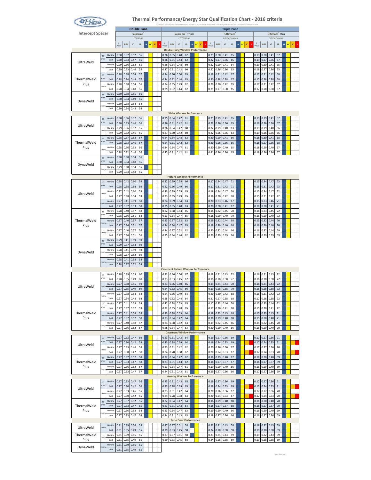

#### **Thermal Performance/Energy Star Qualification Chart ‐ 2016 criteria** Windows are tested and certified to the NFRC Specification for the thermal performance of the entire window unit.

| <b>Intercept Spacer</b> |                 |                 |              |              |              | <b>Double Pane</b><br>Supreme <sup>3</sup> |             |                            |                                                    |                                               | Supreme <sup>3</sup> Triple           |             |              |    |    |              |              |              | <b>Triple Pane</b><br>Ultimate <sup>3</sup> |              |                 |                            |                | Ultimate <sup>3</sup> Plus |                |              |         |  |
|-------------------------|-----------------|-----------------|--------------|--------------|--------------|--------------------------------------------|-------------|----------------------------|----------------------------------------------------|-----------------------------------------------|---------------------------------------|-------------|--------------|----|----|--------------|--------------|--------------|---------------------------------------------|--------------|-----------------|----------------------------|----------------|----------------------------|----------------|--------------|---------|--|
|                         |                 |                 |              |              |              | C/7036-AR                                  |             |                            |                                                    |                                               |                                       | C/C/7036-AR |              |    |    |              |              |              | C/7036/7036-AR                              |              |                 |                            |                |                            | C/7036/7036-KR |              |         |  |
|                         |                 |                 | U.<br>Value  | SHGC         | $V$ T        | CR                                         | $\mathbf N$ | <b>NC</b><br><sub>sc</sub> | U.<br>Value                                        | SHGC                                          | VT                                    | CR          | $\mathbf{N}$ | NC | sc | U-<br>Value  | SHGC         | VT           | CR                                          | $\mathbf{N}$ | <b>NC</b><br>sc | $\mathsf{U}\cdot$<br>Value | SHGC           | $V$ T                      | ${\sf CR}$     | $\mathbf{N}$ | NC SC S |  |
|                         | 2.5             | No Grid         | 0.30         | 0.37         | 0.52         | 56                                         |             |                            | 0.26                                               | <b>Double Hung Window Performance</b><br>0.35 | 0.48                                  | 62          |              |    |    | 0.21         | 0.30         | 0.41         | 65                                          |              |                 | 0.19                       | 0.30           | 0.41                       | 67             |              |         |  |
| UltraWeld               | mm              | Grid            | 0.30         | 0.33         | 0.47         | 56                                         |             |                            | 0.26                                               | 0.31                                          | 0.43                                  | 62          |              |    |    | 0.22         | 0.27         | 0.36         | 65                                          |              |                 | 0.19                       | 0.27           | 0.36                       | 67             |              |         |  |
|                         | $3 \text{ mm}$  | No Grid         | 0.29         | 0.36         | 0.52         | 55                                         |             |                            | 0.26                                               | 0.34                                          | 0.48                                  | 60          |              |    |    | 0.22         | 0.29         | 0.41         | 64                                          |              |                 | 0.19                       | 0.30           | 0.41                       | 65             |              |         |  |
|                         | 2.5             | Grid<br>No Grid | 0.29<br>0.28 | 0.33<br>0.38 | 0.46<br>0.54 | 55<br>57                                   |             |                            | 0.27<br>0.24                                       | 0.31<br>0.36                                  | 0.42<br>0.50                          | 60<br>63    |              |    |    | 0.22<br>0.19 | 0.26<br>0.31 | 0.36<br>0.42 | 63<br>67                                    |              |                 | 0.19<br>0.17               | 0.27<br>0.31   | 0.36<br>0.42               | 65<br>68       |              |         |  |
| ThermalWeld             | mm              | Grid            | 0.28         | 0.34         | 0.48         | 57                                         |             |                            | 0.24                                               | 0.32                                          | 0.44                                  | 63          |              |    |    | 0.20         | 0.28         | 0.38         | 67                                          |              |                 | 0.17                       | 0.28           | 0.38                       | 68             |              |         |  |
| Plus                    | 3 mr            | No Grid<br>Grid | 0.28<br>0.28 | 0.38<br>0.34 | 0.54<br>0.48 | 56<br>56                                   |             |                            | 0.24<br>0.25                                       | 0.35<br>0.32                                  | 0.49<br>0.44                          | 62<br>62    |              |    |    | 0.20<br>0.21 | 0.30<br>0.27 | 0.42<br>0.38 | 65<br>65                                    |              |                 | 0.17<br>0.17               | 0.31<br>0.28   | 0.42<br>0.38               | 67<br>67       |              |         |  |
|                         | 2.5             | No Grid         | 0.30         | 0.38         | 0.55         | 56                                         |             |                            |                                                    |                                               |                                       |             |              |    |    |              |              |              |                                             |              |                 |                            |                |                            |                |              |         |  |
| DynaWeld                | mm              | Grid            | 0.30         | 0.34         | 0.49         | 56                                         |             |                            |                                                    |                                               |                                       |             |              |    |    |              |              |              |                                             |              |                 |                            |                |                            |                |              |         |  |
|                         | 3 mn            | No Grid<br>Grid | 0.30<br>0.30 | 0.38<br>0.34 | 0.54<br>0.48 | 54<br>54                                   |             |                            |                                                    |                                               |                                       |             |              |    |    |              |              |              |                                             |              |                 |                            |                |                            |                |              |         |  |
|                         |                 |                 |              |              |              |                                            |             |                            |                                                    | <b>Slider Window Performance</b>              |                                       |             |              |    |    |              |              |              |                                             |              |                 |                            |                |                            |                |              |         |  |
|                         | 2.5<br>mm       | No Grid         | 0.30         | 0.36         | 0.52         | 56                                         |             |                            | 0.25                                               | 0.34                                          | 0.47                                  | 61          |              |    |    | 0.21         | 0.29         | 0.41         | 65                                          |              |                 | 0.19                       | 0.29           | 0.41                       | 67             |              |         |  |
| UltraWeld               |                 | Grid<br>No Grid | 0.30<br>0.29 | 0.33<br>0.36 | 0.46<br>0.52 | 56<br>55                                   |             |                            | 0.26<br>0.26                                       | 0.31<br>0.34                                  | 0.42<br>0.47                          | 61<br>60    |              |    |    | 0.22<br>0.22 | 0.26<br>0.29 | 0.36<br>0.40 | 65<br>63                                    |              |                 | 0.19<br>0.19               | 0.26<br>0.29   | 0.36<br>0.40               | 67<br>66       |              |         |  |
|                         | 3 mn            | Grid            | 0.29         | 0.32         | 0.46         | 55                                         |             |                            | 0.27                                               | 0.30                                          | 0.42                                  | 60          |              |    |    | 0.22         | 0.26         | 0.36         | 63                                          |              |                 | 0.19                       | 0.26           | 0.36                       | 66             |              |         |  |
|                         | 2.5<br>mm       | No Grid<br>Grid | 0.28         | 0.37         | 0.52         | 57<br>57                                   |             |                            | 0.24                                               | 0.34                                          | 0.48                                  | 62          |              |    |    | 0.20         | 0.29         | 0.41         | 66                                          |              |                 | 0.18                       | 0.30           | 0.41                       | 68             |              |         |  |
| ThermalWeld<br>Plus     |                 | No Grid         | 0.28<br>0.28 | 0.33<br>0.36 | 0.46<br>0.52 | 56                                         |             |                            | 0.24<br>0.24                                       | 0.31<br>0.34                                  | 0.42<br>0.47                          | 62<br>61    |              |    |    | 0.20<br>0.20 | 0.26<br>0.29 | 0.36<br>0.40 | 66<br>65                                    |              |                 | 0.18<br>0.18               | 0.27<br>0.29   | 0.36<br>0.40               | 68<br>67       |              |         |  |
|                         | 3 <sub>mn</sub> | Grid            | 0.28         | 0.32         | 0.46         | 56                                         |             |                            | 0.25                                               | 0.31                                          | 0.42                                  | 61          |              |    |    | 0.21         | 0.26         | 0.36         | 65                                          |              |                 | 0.18                       | 0.26           | 0.36                       | 67             |              |         |  |
|                         | 2.5<br>mm       | No Grid         | 0.30         | 0.38         | 0.54         | 56                                         |             |                            |                                                    |                                               |                                       |             |              |    |    |              |              |              |                                             |              |                 |                            |                |                            |                |              |         |  |
| DynaWeld                |                 | Grid<br>No Grid | 0.30<br>0.29 | 0.34<br>0.38 | 0.48<br>0.54 | 56<br>55                                   |             |                            |                                                    |                                               |                                       |             |              |    |    |              |              |              |                                             |              |                 |                            |                |                            |                |              |         |  |
|                         | 3 mn            | Grid            | 0.29         | 0.34         | 0.48         | 55                                         |             |                            |                                                    |                                               |                                       |             |              |    |    |              |              |              |                                             |              |                 |                            |                |                            |                |              |         |  |
|                         |                 | No Grid         | 0.28         | 0.42         | 0.60         | 59                                         |             |                            | 0.22                                               | <b>Picture Window Performance</b><br>0.39     | 0.55                                  | 66          |              |    |    | 0.17         | 0.34         | 0.47         | 71                                          |              |                 | 0.15                       | 0.34           | 0.47                       | 73             |              |         |  |
|                         | 2.5<br>mm       | Grid            | 0.28         | 0.38         | 0.54         | 59                                         |             |                            | 0.22                                               | 0.36                                          | 0.49                                  | 66          |              |    |    | 0.17         | 0.31         | 0.42         | 71                                          |              |                 | 0.15                       | 0.31           | 0.42                       | 73             |              |         |  |
| UltraWeld               | 3 mr            | No Grid         | 0.27         | 0.42         | 0.60         | 59                                         |             |                            | 0.23                                               | 0.39                                          | 0.55                                  | 65          |              |    |    | 0.18         | 0.34         | 0.47         | 70                                          |              |                 | 0.15                       | 0.34           | 0.47                       | 72             |              |         |  |
|                         |                 | Grid<br>No Grid | 0.27<br>0.27 | 0.38<br>0.41 | 0.54<br>0.59 | 59<br>58                                   |             |                            | 0.23<br>0.24                                       | 0.35<br>0.39                                  | 0.49<br>0.54                          | 65<br>63    |              |    |    | 0.18<br>0.20 | 0.30<br>0.33 | 0.42<br>0.46 | 70<br>67                                    |              |                 | 0.15<br>0.15               | 0.31<br>0.33   | 0.42<br>0.46               | 72<br>71       |              |         |  |
|                         | 4 <sub>mn</sub> | Grid            | 0.27         | 0.37         | 0.53         | 58                                         |             |                            | 0.25                                               | 0.35                                          | 0.48                                  | 63          |              |    |    | 0.20         | 0.30         | 0.41         | 67                                          |              |                 | 0.16                       | 0.30           | 0.41                       | 71             |              |         |  |
|                         | 2.5<br>mm       | No Grid         | 0.28         | 0.40         | 0.57         | 58                                         |             |                            | 0.22                                               | 0.38                                          | 0.53                                  | 65          |              |    |    | 0.18         | 0.32         | 0.45         | 70                                          |              |                 | 0.16                       | 0.33           | 0.45                       | 72             |              |         |  |
| ThermalWeld             |                 | Grid<br>No Grid | 0.28<br>0.27 | 0.36<br>0.40 | 0.51<br>0.57 | 58<br>57                                   |             |                            | 0.23<br>0.23                                       | 0.34<br>0.37                                  | 0.47<br>0.52                          | 65<br>63    |              |    |    | 0.18<br>0.19 | 0.29<br>0.32 | 0.40<br>0.44 | 70<br>68                                    |              |                 | 0.16<br>0.15               | 0.29<br>0.32   | 0.40<br>0.44               | 72<br>70       |              |         |  |
| Plus                    | 3 mn            | Grid            | 0.27         | 0.36         | 0.51         | 57                                         |             |                            | 0.24                                               | 0.34                                          | 0.47                                  | 63          |              |    |    | 0.19         | 0.29         | 0.40         | 68                                          |              |                 | 0.16                       | 0.29           | 0.40                       | 70             |              |         |  |
|                         | $4 \text{mn}$   | No Grid         | 0.27         | 0.40         | 0.57         | 56                                         |             |                            | 0.24                                               | 0.37                                          | 0.52                                  | 62          |              |    |    | 0.20         | 0.32         | 0.44         | 66                                          |              |                 | 0.16                       | 0.32           | 0.44                       | 69             |              |         |  |
|                         | 2.5             | Grid<br>No Grid | 0.27<br>0.29 | 0.36<br>0.41 | 0.51<br>0.59 | 56<br>59                                   |             |                            | 0.25                                               | 0.34                                          | 0.46                                  | 62          |              |    |    | 0.20         | 0.29         | 0.39         | 66                                          |              |                 | 0.16                       | 0.29           | 0.39                       | 69             |              |         |  |
|                         | mm              | Grid            | 0.29         | 0.37         | 0.53         | 59                                         |             |                            |                                                    |                                               |                                       |             |              |    |    |              |              |              |                                             |              |                 |                            |                |                            |                |              |         |  |
| DynaWeld                | 3 mn            | No Grid<br>Grid | 0.28<br>0.28 | 0.41<br>0.37 | 0.59<br>0.52 | 59<br>59                                   |             |                            |                                                    |                                               |                                       |             |              |    |    |              |              |              |                                             |              |                 |                            |                |                            |                |              |         |  |
|                         |                 | No Grid         | 0.28         | 0.41         | 0.58         | 58                                         |             |                            |                                                    |                                               |                                       |             |              |    |    |              |              |              |                                             |              |                 |                            |                |                            |                |              |         |  |
|                         | $4 \text{mn}$   | Grid            | 0.28         | 0.37         | 0.52         | 58                                         |             |                            |                                                    |                                               |                                       |             |              |    |    |              |              |              |                                             |              |                 |                            |                |                            |                |              |         |  |
|                         | 2.5             | No Grid         | 0.28         | 0.39         | 0.55         | 60                                         |             |                            | <b>Casement Picture Window Performance</b><br>0.22 | 0.36                                          | 0.50                                  | 67          |              |    |    | 0.18         | 0.31         | 0.43         | 72                                          |              |                 | 0.16                       | 0.31           | 0.43                       | 72             |              |         |  |
|                         | mm              | Grid            | 0.28         | 0.35         | 0.49         | 60                                         |             |                            | 0.23                                               | 0.33                                          | 0.45                                  | 67          |              |    |    | 0.18         | 0.28         | 0.38         | 72                                          |              |                 | 0.16                       | 0.28           | 0.38                       | 72             |              |         |  |
| UltraWeld               | 3 <sub>mn</sub> | No Grid         | 0.27         | 0.38         | 0.55         | 59                                         |             |                            | 0.23                                               | 0.36                                          | 0.50                                  | 66          |              |    |    | 0.19         | 0.31         | 0.43         | 70                                          |              |                 | 0.16                       | 0.31           | 0.43                       | 72             |              |         |  |
|                         |                 | Grid<br>No Grid | 0.27<br>0.27 | 0.35<br>0.38 | 0.49<br>0.54 | 59<br>58                                   |             |                            | 0.24<br>0.24                                       | 0.32<br>0.36                                  | 0.45<br>0.49                          | 66<br>64    |              |    |    | 0.19<br>0.20 | 0.28<br>0.30 | 0.38<br>0.42 | 70<br>68                                    |              |                 | 0.16<br>0.16               | 0.28<br>0.31   | 0.38<br>0.42               | 72<br>72       |              |         |  |
|                         | 4 mn            | Grid            | 0.27         | Ō<br>34      | 48           | 58                                         |             |                            | 0.25                                               | 0.32                                          | Ō<br>44                               | 64          |              |    |    | 0.21         |              | 0.<br>38     | 68                                          |              |                 | $_{0.1}$                   | $\overline{0}$ | 0.<br>38                   | 72             |              |         |  |
|                         | 2.5<br>mm       | No Grid<br>Grid | 0.27<br>0.27 | 0.41<br>0.37 | 0.58<br>0.52 | 59<br>59                                   |             |                            | 0.22<br>0.22                                       | 0.38<br>0.35                                  | 0.53<br>0.48                          | 65<br>65    |              |    |    | 0.17<br>0.17 | 0.33<br>0.30 | 0.46<br>0.41 | 70<br>70                                    |              |                 | 0.15<br>0.15               | 0.33<br>0.30   | 0.46<br>0.41               | 72<br>72       |              |         |  |
| ThermalWeld             |                 | No Grid         | 0.27         | 0.41         | 0.58         | 58                                         |             |                            | 0.23                                               | 0.38                                          | 0.53                                  | 64          |              |    |    | 0.18         | 0.33         | 0.45         | 68                                          |              |                 | 0.15                       | 0.33           | 0.45                       | 71             |              |         |  |
| Plus                    | 3 mr            | Grid            | 0.27         | 0.37         | 0.52         | 58                                         |             |                            | 0.23                                               | 0.34                                          | 0.47                                  | 64          |              |    |    | 0.18         | 0.29         | 0.40         | 68                                          |              |                 | 0.15                       | 0.30           | 0.40                       | 71             |              |         |  |
|                         | 1 <sub>mn</sub> | No Grid<br>Grid | 0.27<br>0.27 | 0.40<br>0.36 | 0.58<br>0.52 | 57<br>57                                   |             |                            | 0.24<br>0.25                                       | 0.38<br>0.34                                  | 0.52<br>0.47                          | 63<br>63    |              |    |    | 0.19<br>0.20 | 0.32<br>0.29 | 0.45<br>0.40 | 66<br>66                                    |              |                 | 0.15<br>0.16               | 0.32<br>0.29   | 0.45<br>0.40               | 70<br>70       |              |         |  |
|                         |                 |                 |              |              |              |                                            |             |                            |                                                    | <b>Casement Window Performance</b>            |                                       |             |              |    |    |              |              |              |                                             |              |                 |                            |                |                            |                |              |         |  |
|                         | 2.5<br>mm       | No Grid         | 0.27         | 0.33         | 0.47         | 59                                         |             |                            | 0.23                                               | 0.31                                          | 0.43                                  | 64          |              |    |    | 0.19         | 0.27         | 0.36         | 69                                          |              |                 | 0.17                       | 0.27           | 0.36                       | 71             |              |         |  |
| UltraWeld               |                 | Grid<br>No Grid | 0.27<br>0.27 | 0.30<br>0.33 | 0.42<br>0.46 | 59<br>58                                   |             |                            | 0.23<br>0.23                                       | 0.28<br>0.31                                  | 0.39<br>0.42                          | 64<br>62    |              |    |    | 0.19<br>0.20 | 0.24<br>0.26 | 0.33<br>0.36 | 69<br>67                                    |              |                 | 0.17<br>0.17               | 0.24<br>0.27   | 0.33<br>0.36               | 71<br>70       |              |         |  |
|                         | 3 mn            | Grid            | 0.27         | 0.30         | 0.42         | 58                                         |             |                            | 0.24                                               | 0.28                                          | 0.38                                  | 62          |              |    |    | 0.20         | 0.24         | 0.33         | 67                                          |              |                 | 0.17                       | 0.24           | 0.33                       | 70             |              |         |  |
|                         | 2.5<br>mm       | No Grid<br>Grid | 0.27<br>0.27 | 0.37<br>0.33 | 0.52<br>0.47 | 58                                         |             |                            | 0.22                                               | 0.34                                          | 0.47<br>0.43                          | 62          |              |    |    | 0.18         | 0.29         | 0.40         | 67                                          |              |                 | 0.16                       | 0.30           | 0.40<br>0.37               | 69             |              |         |  |
| ThermalWeld<br>Plus     |                 | No Grid         | 0.27         | 0.36         | 0.52         | 58<br>57                                   |             |                            | 0.23<br>0.23                                       | 0.31<br>0.34                                  | 0.47                                  | 62<br>61    |              |    |    | 0.18<br>0.19 | 0.27<br>0.29 | 0.37<br>0.40 | 67<br>66                                    |              |                 | 0.16<br>0.16               | 0.27<br>0.29   | 0.40                       | 69<br>69       |              |         |  |
|                         | mn              | Grid            | 0.27         | 0.33         | 0.47         | 57                                         |             |                            | 0.24                                               | 0.31                                          | 0.43                                  | 61          |              |    |    | 0.19         | 0.27         | 0.36         | 66                                          |              |                 | 0.17                       | 0.27           | 0.36                       | 69             |              |         |  |
|                         |                 | No Grid         | 0.27         | 0.33         | 0.47         | 56                                         |             |                            | 0.23                                               | <b>Awning Window Performance</b><br>0.31      | 0.43                                  | 65          |              |    |    | 0.19         | 0.27         | 0.36         | 69                                          |              |                 | 0.17                       | 0.27           | 0.36                       | 71             |              |         |  |
| UltraWeld               | 2.5<br>mm       | Grid            | 0.27         | 0.30         | 0.42         | 56                                         |             |                            | 0.23                                               | 0.28                                          | 0.39                                  | 65          |              |    |    | 0.19         | 0.24         | 0.33         | 69                                          |              |                 | 0.17                       | 0.24           | 0.33                       | 71             |              |         |  |
|                         | $3 \text{ mm}$  | No Grid         | 0.27         | 0.33         | 0.46         | 55                                         |             |                            | 0.23                                               | 0.31                                          | 0.42                                  | 64          |              |    |    | 0.20         | 0.26         | 0.36         | 67                                          |              |                 | 0.17                       | 0.27           | 0.36                       | 70             |              |         |  |
|                         | 2.5             | Grid<br>No Grid | 0.27<br>0.27 | 0.30<br>0.37 | 0.42<br>0.52 | 55<br>55                                   |             |                            | 0.24<br>0.22                                       | 0.28<br>0.34                                  | 0.38<br>0.47                          | 64<br>64    |              |    |    | 0.20<br>0.18 | 0.24<br>0.29 | 0.33<br>0.40 | 67<br>68                                    |              |                 | 0.17<br>0.16               | 0.24<br>0.30   | 0.33<br>0.40               | 70<br>70       |              |         |  |
| ThermalWeld             | mm              | Grid            | 0.27         | 0.33         | 0.47         | 55                                         |             |                            | 0.23                                               | 0.31                                          | 0.43                                  | 64          |              |    |    | 0.18         | 0.27         | 0.37         | 68                                          |              |                 | 0.16                       | 0.27           | 0.37                       | 70             |              |         |  |
| Plus                    | 3 mn            | No Grid         | 0.27         | 0.36         | 0.52         | 54                                         |             |                            | 0.23                                               | 0.34                                          | 0.47                                  | 63          |              |    |    | 0.19         | 0.29         | 0.40         | 66                                          |              |                 | 0.16                       | 0.29           | 0.40                       | 69             |              |         |  |
|                         |                 | Grid            | 0.27         | 0.33         | 0.47         | 54                                         |             |                            | 0.24                                               | 0.31                                          | 0.43<br><b>Patio Door Performance</b> | 63          |              |    |    | 0.19         | 0.27         | 0.36         | 66                                          |              |                 | 0.16                       | 0.27           | 0.36                       | 69             |              |         |  |
| UltraWeld               | 3 <sub>mn</sub> | No Grid         | 0.31         | 0.39         | 0.56         | 55                                         |             |                            | 0.27                                               | 0.37                                          | 0.51                                  | 58          |              |    |    | 0.23         | 0.31         | 0.43         | 58                                          |              |                 | 0.19                       | 0.32           | 0.43                       | 59             |              |         |  |
| ThermalWeld             |                 | Grid<br>No Grid | 0.31<br>0.31 | 0.35<br>0.39 | 0.49<br>0.56 | 55<br>55                                   |             |                            | 0.29<br>0.27                                       | 0.33<br>0.37                                  | 0.45<br>0.51                          | 58<br>58    |              |    |    | 0.24<br>0.23 | 0.28<br>0.31 | 0.38<br>0.43 | 58<br>59                                    |              |                 | 0.19<br>0.19               | 0.28<br>0.32   | 0.38<br>0.43               | 59<br>59       |              |         |  |
| Plus                    | mr.             | Grid            | 0.31         | 0.35         | 0.49         | 55                                         |             |                            | 0.29                                               | 0.33                                          | 0.45                                  | 58          |              |    |    | 0.24         | 0.28         | 0.38         | 59                                          |              |                 | 0.19                       | 0.28           | 0.38                       | 59             |              |         |  |
| DynaWeld                | 3 <sub>mn</sub> | No Grid         | 0.31         | 0.39         | 0.56         | 55                                         |             |                            |                                                    |                                               |                                       |             |              |    |    |              |              |              |                                             |              |                 |                            |                |                            |                |              |         |  |
|                         |                 | Grid            | 0.31         | 0.35         | 0.49         | 55                                         |             |                            |                                                    |                                               |                                       |             |              |    |    |              |              |              |                                             |              |                 |                            |                |                            | Rev 10/2019    |              |         |  |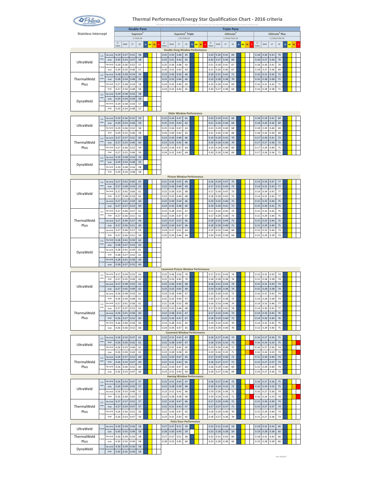

|                            |                  |                 |                       |              |              | <b>Double Pane</b>   |   |                 |              |              |                                               |             |             |    |    |              |              |              |              | <b>Triple Pane</b>                      |         |    |                       |              |                            |                |                     |    |  |
|----------------------------|------------------|-----------------|-----------------------|--------------|--------------|----------------------|---|-----------------|--------------|--------------|-----------------------------------------------|-------------|-------------|----|----|--------------|--------------|--------------|--------------|-----------------------------------------|---------|----|-----------------------|--------------|----------------------------|----------------|---------------------|----|--|
| <b>Stainless Intercept</b> |                  |                 |                       |              |              | Supreme<br>C/7036-AR |   |                 |              |              | Supreme <sup>3</sup> Triple                   | C/C/7036-AR |             |    |    |              |              |              |              | Ultimate <sup>3</sup><br>C/7036/7036-AR |         |    |                       |              | Ultimate <sup>3</sup> Plus | C/7036/7036-KR |                     |    |  |
|                            |                  |                 | $\mathbf{U}$<br>Value | <b>SHGC</b>  | <b>VT</b>    | CR                   | N | <b>NC</b><br>sc | $\mathbf{U}$ | <b>SHGC</b>  | <b>VT</b>                                     | <b>CR</b>   | $\,$ $\,$   | NC | SC | $\mathbf{U}$ |              | SHGC         | <b>VT</b>    | CR                                      | NC<br>N | SC | $\mathbf{U}$<br>Value | <b>SHGC</b>  | VT                         | <b>CR</b>      | <b>NC</b><br>$\,$ N | sc |  |
|                            |                  | No Grid         | 0.29                  | 0.37         | 0.52         | 58                   |   |                 | 0.25         | 0.35         | <b>Double Hung Window Performance</b><br>0.48 | 65          |             |    |    |              | 0.20         | 0.30         | 0.41         | 69                                      |         |    | 0.18                  | 0.30         | 0.41                       | 70             |                     |    |  |
| UltraWeld                  | 2.5<br>mm        | Grid            | 0.29                  | 0.33         | 0.47         | 58                   |   |                 | 0.25         | 0.31         | 0.43                                          | 65          |             |    |    |              | 0.20         | 0.27         | 0.36         | 69                                      |         |    | 0.18                  | 0.27         | 0.36                       | 70             |                     |    |  |
|                            | mr               | No Grid<br>Grid | 0.29<br>0.29          | 0.36<br>0.33 | 0.52<br>0.46 | 57<br>57             |   |                 | 0.25<br>0.26 | 0.34<br>0.31 | 0.48<br>0.42                                  | 63<br>63    |             |    |    |              | 0.21<br>0.21 | 0.29<br>0.26 | 0.41<br>0.36 | 67<br>67                                |         |    | 0.18<br>0.18          | 0.30<br>0.27 | 0.41<br>0.36               | 70<br>69       |                     |    |  |
|                            | 25               | No Grid         | 0.28                  | 0.38         | 0.54         | 59                   |   |                 | 0.23         | 0.36         | 0.50                                          | 66          |             |    |    |              | 0.18         | 0.31         | 0.42         | $71\,$                                  |         |    | 0.16                  | 0.31         | 0.42                       | 72             |                     |    |  |
| ThermalWeld                | mm               | Grid            | 0.28                  | 0.34         | 0.48         | 59                   |   |                 | 0.23         | 0.32         | 0.44                                          | 66          |             |    |    |              | 0.19         | 0.28         | 0.38         | 70                                      |         |    | 0.16                  | 0.28         | 0.38                       | $72\,$         |                     |    |  |
| Plus                       |                  | No Grid<br>Grid | 0.27<br>0.27          | 0.38<br>0.34 | 0.54<br>0.48 | 58<br>58             |   |                 | 0.24<br>0.24 | 0.35<br>0.32 | 0.49<br>0.44                                  | 65<br>65    |             |    |    |              | 0.19<br>0.20 | 0.30<br>0.27 | 0.42<br>0.38 | 69<br>69                                |         |    | 0.16<br>0.16          | 0.31<br>0.28 | 0.42<br>0.38               | 71<br>$71\,$   |                     |    |  |
|                            | 2.5<br>mm        | No Grid         | 0.29                  | 0.38         | 0.55         | 58                   |   |                 |              |              |                                               |             |             |    |    |              |              |              |              |                                         |         |    |                       |              |                            |                |                     |    |  |
| DynaWeld                   |                  | Grid<br>No Grid | 0.29<br>0.29          | 0.34<br>0.38 | 0.49<br>0.54 | 58<br>57             |   |                 |              |              |                                               |             |             |    |    |              |              |              |              |                                         |         |    |                       |              |                            |                |                     |    |  |
|                            | mn               | Grid            | 0.29                  | 0.34         | 0.48         | 57                   |   |                 |              |              |                                               |             |             |    |    |              |              |              |              |                                         |         |    |                       |              |                            |                |                     |    |  |
|                            | 2.5              | No Grid         | 0.29                  | 0.36         | 0.52         | 59                   |   |                 | 0.25         | 0.34         | <b>Slider Window Performance</b><br>0.47      | 65          |             |    |    |              | 0.20         | 0.29         | 0.41         | 69                                      |         |    | 0.18                  | 0.29         | 0.41                       | 69             |                     |    |  |
| UltraWeld                  | mm               | Grid            | 0.29                  | 0.33         | 0.46         | 59                   |   |                 | 0.25         | 0.31         | 0.42                                          | 65          |             |    |    |              | 0.21         | 0.26         | 0.36         | 69                                      |         |    | 0.18                  | 0.26         | 0.36                       | 69             |                     |    |  |
|                            | s mn             | No Grid<br>Grid | 0.29<br>0.29          | 0.36<br>0.32 | 0.52<br>0.46 | 58<br>58             |   |                 | 0.25<br>0.26 | 0.34<br>0.30 | 0.47<br>0.42                                  | 63<br>63    |             |    |    |              | 0.21<br>0.21 | 0.29<br>0.26 | 0.40<br>0.36 | 68<br>68                                |         |    | 0.18<br>0.18          | 0.29<br>0.26 | 0.40<br>0.36               | 69<br>69       |                     |    |  |
|                            | 2.5              | No Grid         | 0.27                  | 0.37         | 0.52         | 60                   |   |                 | 0.23         | 0.34         | 0.48                                          | 66          |             |    |    |              | 0.19         | 0.29         | 0.41         | 70                                      |         |    | 0.17                  | 0.30         | 0.41                       | 72             |                     |    |  |
| ThermalWeld<br>Plus        | mm               | Grid<br>No Grid | 0.27<br>0.27          | 0.33<br>0.36 | 0.46<br>0.52 | 60<br>59             |   |                 | 0.23<br>0.24 | 0.31<br>0.34 | 0.42<br>0.47                                  | 66<br>64    |             |    |    |              | 0.19<br>0.19 | 0.26<br>0.29 | 0.36<br>0.40 | 70<br>69                                |         |    | 0.17<br>0.17          | 0.27<br>0.29 | 0.36<br>0.40               | 72<br>$71\,$   |                     |    |  |
|                            | mn               | Grid            | 0.27                  | 0.32         | 0.46         | 59                   |   |                 | 0.24         | 0.31         | 0.42                                          | 64          |             |    |    |              | 0.20         | 0.26         | 0.36         | 69                                      |         |    | 0.17                  | 0.26         | 0.36                       | $71\,$         |                     |    |  |
|                            | 2.5<br>mm        | No Grid         | 0.29                  | 0.38         | 0.54         | 59                   |   |                 |              |              |                                               |             |             |    |    |              |              |              |              |                                         |         |    |                       |              |                            |                |                     |    |  |
| DynaWeld                   |                  | Grid<br>No Gric | 0.29<br>0.29          | 0.34<br>0.38 | 0.48<br>0.54 | 59<br>58             |   |                 |              |              |                                               |             |             |    |    |              |              |              |              |                                         |         |    |                       |              |                            |                |                     |    |  |
|                            | imn              | Grid            | 0.29                  | 0.34         | 0.48         | 58                   |   |                 |              |              |                                               |             |             |    |    |              |              |              |              |                                         |         |    |                       |              |                            |                |                     |    |  |
|                            | 25               | No Grid         | 0.27                  | 0.42         | 0.60         | 62                   |   |                 | 0.21         | 0.39         | <b>Picture Window Performance</b><br>0.55     | 69          |             |    |    |              | 0.16         | 0.34         | 0.47         | 75                                      |         |    | 0.14                  | 0.34         | 0.47                       | 77             |                     |    |  |
|                            | mm               | Grid            | 0.27                  | 0.38         | 0.54         | 62                   |   |                 | 0.22         | 0.36         | 0.49                                          | 69          |             |    |    |              | 0.17         | 0.31         | 0.42         | 75                                      |         |    | 0.14                  | 0.31         | 0.42                       | $77 \,$        |                     |    |  |
| UltraWeld                  | mn               | No Grid<br>Grid | 0.27<br>0.27          | 0.42<br>0.38 | 0.60<br>0.54 | 61<br>61             |   |                 | 0.22<br>0.22 | 0.39<br>0.35 | 0.55<br>0.49                                  | 68<br>68    |             |    |    |              | 0.17<br>0.18 | 0.34<br>0.30 | 0.47<br>0.42 | 73<br>73                                |         |    | 0.14<br>0.14          | 0.34<br>0.31 | 0.47<br>0.42               | 77<br>77       |                     |    |  |
|                            | kmr              | No Grid         | 0.27                  | 0.41         | 0.59         | 60                   |   |                 | 0.23         | 0.39         | 0.54                                          | 66          |             |    |    |              | 0.19         | 0.33         | 0.46         | $71\,$                                  |         |    | 0.15                  | 0.33         | 0.46                       | 75             |                     |    |  |
|                            |                  | Grid            | 0.27                  | 0.37         | 0.53         | 60                   |   |                 | 0.24         | 0.35         | 0.48                                          | 66          |             |    |    |              | 0.19         | 0.30         | 0.41         | 71                                      |         |    | 0.15                  | 0.30         | 0.41                       | 75             |                     |    |  |
|                            | 25<br>mm         | No Grid<br>Grid | 0.27<br>0.27          | 0.40<br>0.36 | 0.57<br>0.51 | 61<br>61             |   |                 | 0.22<br>0.22 | 0.38<br>0.34 | 0.53<br>0.47                                  | 67<br>67    |             |    |    |              | 0.17<br>0.17 | 0.32<br>0.29 | 0.45<br>0.40 | 73<br>73                                |         |    | 0.15<br>0.15          | 0.33<br>0.29 | 0.45<br>0.40               | 75<br>75       |                     |    |  |
| ThermalWeld                | imn              | No Grid         | 0.27                  | 0.40         | 0.57         | 60                   |   |                 | 0.22         | 0.37         | 0.52                                          | 66          |             |    |    |              | 0.18         | 0.32         | 0.44         | 71                                      |         |    | 0.15                  | 0.32         | 0.44                       | 75             |                     |    |  |
| Plus                       |                  | Grid<br>No Grid | 0.27<br>0.27          | 0.36<br>0.40 | 0.51<br>0.57 | 60<br>59             |   |                 | 0.23<br>0.24 | 0.34<br>0.37 | 0.47<br>0.52                                  | 66<br>64    |             |    |    |              | 0.18<br>0.19 | 0.29<br>0.32 | 0.40<br>0.44 | $71\,$<br>69                            |         |    | 0.15<br>0.15          | 0.29<br>0.32 | 0.40<br>0.44               | 75<br>73       |                     |    |  |
|                            |                  | Grid            | 0.27                  | 0.36         | 0.51         | 59                   |   |                 | 0.25         | 0.34         | 0.46                                          | 64          |             |    |    |              | 0.20         | 0.29         | 0.39         | 69                                      |         |    | 0.15                  | 0.29         | 0.39                       | 73             |                     |    |  |
|                            | 2.5<br>mm        | No Grid<br>Grid | 0.28<br>0.28          | 0.41<br>0.37 | 0.59<br>0.53 | 62<br>62             |   |                 |              |              |                                               |             |             |    |    |              |              |              |              |                                         |         |    |                       |              |                            |                |                     |    |  |
| DynaWeld                   | s mn             | No Grid         | 0.28                  | 0.41         | 0.59         | 61                   |   |                 |              |              |                                               |             |             |    |    |              |              |              |              |                                         |         |    |                       |              |                            |                |                     |    |  |
|                            |                  | Grid<br>No Grid | 0.28<br>0.28          | 0.37         | 0.52         | 61<br>60             |   |                 |              |              |                                               |             |             |    |    |              |              |              |              |                                         |         |    |                       |              |                            |                |                     |    |  |
|                            |                  | Grid            | 0.28                  | 0.41<br>0.37 | 0.58<br>0.52 | 60                   |   |                 |              |              |                                               |             |             |    |    |              |              |              |              |                                         |         |    |                       |              |                            |                |                     |    |  |
|                            |                  |                 |                       |              |              |                      |   |                 |              |              | <b>Casement Picture Window Performance</b>    |             |             |    |    |              |              |              |              |                                         |         |    |                       |              |                            |                |                     |    |  |
|                            | 2.5<br>mm        | No Grid<br>Grid | 0.27<br>0.27          | 0.39<br>0.35 | 0.55<br>0.49 | 62<br>62             |   |                 | 0.22<br>0.22 | 0.36<br>0.33 | 0.50<br>0.45                                  | 70<br>70    |             |    |    |              | 0.17<br>0.18 | 0.31<br>0.28 | 0.43<br>0.38 | 74<br>74                                |         |    | 0.15<br>0.15          | 0.31<br>0.28 | 0.43<br>0.38               | 74<br>74       |                     |    |  |
| UltraWeld                  | mn               | No Grid         | 0.27                  | 0.38         | 0.55         | 62                   |   |                 | 0.22         | 0.36         | 0.50                                          | 68          |             |    |    |              | 0.18         | 0.31         | 0.43         | 74                                      |         |    | 0.15                  | 0.31         | 0.43                       | 74             |                     |    |  |
|                            |                  | Grid<br>No Grid | 0.27<br>0.26          | 0.35<br>0.38 | 0.49<br>0.54 | 62<br>61             |   |                 | 0.23<br>0.24 | 0.32<br>0.36 | 0.45<br>0.49                                  | 68<br>67    |             |    |    |              | 0.19<br>0.19 | 0.28<br>0.30 | 0.38<br>0.42 | 74<br>72                                |         |    | 0.15<br>0.16          | 0.28<br>0.31 | 0.38<br>0.42               | 74<br>74       |                     |    |  |
|                            |                  | Grid            | 0.26                  | 0.34         | 0.48         | 61                   |   |                 | 0.25         | 0.32         | 0.44                                          | 67          |             |    |    |              | 0.20         | 0.27         | 0.38         | 72                                      |         |    | 0.16                  | 0.28         | 0.38                       | 74             |                     |    |  |
|                            | 2.5<br>mm        | No Grid<br>Grid | 0.27<br>0.27          | 0.41<br>0.37 | 0.58<br>0.52 | 61<br>61             |   |                 | 0.21<br>0.22 | 0.38<br>0.35 | 0.53<br>0.48                                  | 68<br>68    |             |    |    |              | 0.16<br>0.17 | 0.33<br>0.30 | 0.46<br>0.41 | 74<br>74                                |         |    | 0.14<br>0.14          | 0.33<br>0.30 | 0.46<br>0.41               | 77<br>77       |                     |    |  |
| ThermalWeld                | imn              | No Grid         | 0.26                  | 0.41         | 0.58         | 60                   |   |                 | 0.22         | 0.38         | 0.53                                          | 67          |             |    |    |              | 0.17         | 0.33         | 0.45         | 72                                      |         |    | 0.14                  | 0.33         | 0.45                       | 76             |                     |    |  |
| Plus                       |                  | Grid<br>No Grid | 0.26<br>0.26          | 0.37<br>0.40 | 0.52<br>0.58 | 60<br>60             |   |                 | 0.23<br>0.23 | 0.34<br>0.38 | 0.47<br>0.52                                  | 67<br>65    |             |    |    |              | 0.18<br>0.19 | 0.29<br>0.32 | 0.40<br>0.45 | 72<br>70                                |         |    | 0.14<br>0.14          | 0.30<br>0.32 | 0.40<br>0.45               | 76<br>75       |                     |    |  |
|                            |                  | Grid            | 0.26                  | 0.36         | 0.52         | 60                   |   |                 | 0.24         | 0.34         | 0.47                                          | 65          |             |    |    |              | 0.19         | 0.29         | 0.40         | 70                                      |         |    | 0.15                  | 0.29         | 0.40                       | 75             |                     |    |  |
|                            |                  |                 |                       |              |              |                      |   |                 |              |              | <b>Casement Window Performance</b>            |             |             |    |    |              |              |              |              |                                         |         |    |                       |              |                            |                |                     |    |  |
|                            | 2.5<br>mm        | No Grid<br>Grid | 0.26<br>0.26          | 0.33<br>0.30 | 0.47<br>0.42 | 61<br>61             |   |                 | 0.22<br>0.22 | 0.31<br>0.28 | 0.43<br>0.39                                  | 67<br>67    |             |    |    |              | 0.18<br>0.18 | 0.27<br>0.24 | 0.36<br>0.33 | 73<br>73                                |         |    | 0.16<br>0.16          | 0.27<br>0.24 | 0.36<br>0.33               | 75<br>75       |                     |    |  |
| UltraWeld                  | mm               | No Grid         | 0.26                  | 0.33         | 0.46         | 61                   |   |                 | 0.22         | 0.31         | 0.42                                          | 65          |             |    |    |              | 0.19         | 0.26         | 0.36         | $71\,$                                  |         |    | 0.16                  | 0.27         | 0.36                       | 74             |                     |    |  |
|                            | 2.5              | Grid<br>No Grid | 0.26<br>0.26          | 0.30<br>0.37 | 0.42<br>0.52 | 61<br>60             |   |                 | 0.23<br>0.21 | 0.28<br>0.34 | 0.38<br>0.47                                  | 65<br>65    |             |    |    |              | 0.19<br>0.17 | 0.24<br>0.29 | 0.33<br>0.40 | 71<br>71                                |         |    | 0.16<br>0.15          | 0.24<br>0.30 | 0.33<br>0.40               | 74<br>74       |                     |    |  |
| ThermalWeld                | mm               | Grid            | 0.26                  | 0.33         | 0.47         | 60                   |   |                 | 0.22         | 0.31         | 0.43                                          | 65          |             |    |    |              | 0.18         | 0.27         | 0.37         | $71\,$                                  |         |    | 0.15                  | 0.27         | 0.37                       | $74\,$         |                     |    |  |
| Plus                       | mn               | No Grid<br>Grid | 0.26<br>0.26          | 0.36<br>0.33 | 0.52<br>0.47 | 60<br>60             |   |                 | 0.22<br>0.23 | 0.34<br>0.31 | 0.47<br>0.43                                  | 64<br>64    |             |    |    |              | 0.18<br>0.18 | 0.29<br>0.27 | 0.40<br>0.36 | 69<br>69                                |         |    | 0.15<br>0.16          | 0.29<br>0.27 | 0.40<br>0.36               | 73<br>73       |                     |    |  |
|                            |                  |                 |                       |              |              |                      |   |                 |              |              | <b>Awning Window Performance</b>              |             |             |    |    |              |              |              |              |                                         |         |    |                       |              |                            |                |                     |    |  |
|                            | 2.5<br>mm        | No Grid<br>Grid | 0.26<br>0.26          | 0.33<br>0.30 | 0.47<br>0.42 | 57<br>57             |   |                 | 0.22<br>0.22 | 0.31<br>0.28 | 0.43<br>0.39                                  | 67<br>68    |             |    |    |              | 0.18<br>0.18 | 0.27<br>0.24 | 0.36<br>0.33 | 72<br>72                                |         |    | 0.16<br>0.16          | 0.27<br>0.24 | 0.36<br>0.33               | 75<br>75       |                     |    |  |
| UltraWeld                  |                  | No Grid         | 0.26                  | 0.33         | 0.46         | 57                   |   |                 | 0.23         | 0.31         | 0.42                                          | 66          |             |    |    |              | 0.19         | 0.26         | 0.36         | 71                                      |         |    | 0.16                  | 0.27         | 0.36                       | 74             |                     |    |  |
|                            | s mn             | Grid            | 0.26                  | 0.30         | 0.42         | 57                   |   |                 | 0.23         | 0.28         | 0.38                                          | 66          |             |    |    |              | 0.19         | 0.24         | 0.33         | $71\,$                                  |         |    | 0.16                  | 0.24         | 0.33                       | 74             |                     |    |  |
| ThermalWeld                | 2.5<br>mm        | No Grid<br>Grid | 0.27<br>0.27          | 0.37<br>0.33 | 0.52<br>0.47 | 57<br>57             |   |                 | 0.22<br>0.22 | 0.34<br>0.31 | 0.47<br>0.43                                  | 66<br>67    |             |    |    |              | 0.17<br>0.17 | 0.29<br>0.27 | 0.40<br>0.37 | $71\,$<br>$71\,$                        |         |    | 0.15<br>0.15          | 0.30<br>0.27 | 0.40<br>0.37               | 74<br>74       |                     |    |  |
| Plus                       | s mn             | No Grid         | 0.26                  | 0.36         | 0.52         | 56                   |   |                 | 0.22         | 0.34         | 0.47                                          | 65          |             |    |    |              | 0.18         | 0.29         | 0.40         | 70                                      |         |    | 0.15                  | 0.29         | 0.40                       | 73             |                     |    |  |
|                            |                  | Grid            | 0.26                  | 0.33         | 0.47         | 56                   |   |                 | 0.23         | 0.31         | 0.43                                          | 65          |             |    |    |              | 0.18         | 0.27         | 0.36         | 70                                      |         |    | 0.15                  | 0.27         | 0.36                       | 73             |                     |    |  |
|                            |                  | No Grid         | 0.30                  | 0.39         | 0.56         | 58                   |   |                 | 0.27         | 0.37         | <b>Patio Door</b><br>0.51                     | 59          | Performance |    |    |              | 0.23         | 0.31         | 0.43         | 59                                      |         |    | 0.18                  | 0.32         | 0.43                       | 60             |                     |    |  |
| UltraWeld                  | , m <sub>n</sub> | Grid            | 0.30                  | 0.35         | 0.49         | 58                   |   |                 | 0.28         | 0.30         | 0.45                                          | 59          |             |    |    |              | 0.23         | 0.28         | 0.38         | 59                                      |         |    | 0.19                  | 0.28         | 0.38                       | 60             |                     |    |  |
| ThermalWeld<br>Plus        | mn               | No Grid<br>Grid | 0.30<br>0.30          | 0.39<br>0.35 | 0.56<br>0.49 | 58<br>58             |   |                 | 0.27<br>0.28 | 0.37<br>0.33 | 0.51<br>0.45                                  | 60<br>60    |             |    |    |              | 0.23<br>0.23 | 0.31<br>0.28 | 0.43<br>0.38 | 60<br>60                                |         |    | 0.18<br>0.19          | 0.32<br>0.28 | 0.43<br>0.38               | 60<br>60       |                     |    |  |
|                            | imn              | No Grid         | 0.30                  | 0.39         | 0.56         | 58                   |   |                 |              |              |                                               |             |             |    |    |              |              |              |              |                                         |         |    |                       |              |                            |                |                     |    |  |
| DynaWeld                   |                  | Grid            | 0.30                  | 0.35         | 0.49         | 58                   |   |                 |              |              |                                               |             |             |    |    |              |              |              |              |                                         |         |    |                       |              |                            |                |                     |    |  |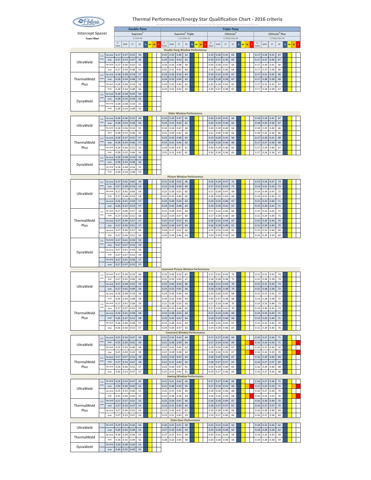

|                         |                  |                 |              |              | <b>Double Pane</b> |                      |   |                 |              |              |                                                    |             |        |    |    |              |              |              | <b>Triple Pane</b>    |         |    |              |              |                            |                |                          |    |  |
|-------------------------|------------------|-----------------|--------------|--------------|--------------------|----------------------|---|-----------------|--------------|--------------|----------------------------------------------------|-------------|--------|----|----|--------------|--------------|--------------|-----------------------|---------|----|--------------|--------------|----------------------------|----------------|--------------------------|----|--|
| <b>Intercept Spacer</b> |                  |                 |              |              |                    | Supreme <sup>3</sup> |   |                 |              |              | Supreme <sup>3</sup> Triple                        |             |        |    |    |              |              |              | Ultimate <sup>3</sup> |         |    |              |              | Ultimate <sup>3</sup> Plus |                |                          |    |  |
| <b>Foam Filled</b>      |                  |                 | $\mathbf{U}$ |              |                    | C/7036-AR            |   |                 | $\mathbf{U}$ |              |                                                    | C/C/7036-AR |        |    |    | $\mathbf{U}$ |              |              | C/7036/7036-AR        |         |    | $\mathbf{U}$ |              |                            | C/7036/7036-KR |                          |    |  |
|                         |                  |                 | Value        | <b>SHGC</b>  | <b>VT</b>          | CR                   | N | sc<br><b>NC</b> |              | <b>SHGC</b>  | <b>VT</b><br><b>Double Hung Window Performance</b> | <b>CR</b>   | $\,$ N | NC | SC |              | SHGC         | <b>VT</b>    | CR                    | NC<br>ø | SC | Valu         | <b>SHGC</b>  | VT                         | <b>CR</b>      | $\mathbf N$<br><b>NC</b> | sc |  |
|                         | 2.5              | No Grid         | 0.27         | 0.37         | 0.52               | 56                   |   |                 | 0.23         | 0.35         | 0.48                                               | 62          |        |    |    | 0.19         | 0.30         | 0.41         | 65                    |         |    | 0.17         | 0.30         | 0.41                       | 67             |                          |    |  |
| UltraWeld               | mm               | Grid            | 0.27         | 0.33         | 0.47               | 56                   |   |                 | 0.24         | 0.31         | 0.43                                               | 62          |        |    |    | 0.19         | 0.27         | 0.36         | 65                    |         |    | 0.17         | 0.27         | 0.36                       | 67             |                          |    |  |
|                         | mr.              | No Grid         | 0.27         | 0.36         | 0.52               | 55                   |   |                 | 0.24         | 0.34         | 0.48                                               | 60          |        |    |    | 0.20         | 0.29         | 0.41         | 64                    |         |    | 0.17         | 0.30         | 0.41                       | 66             |                          |    |  |
|                         | 25               | Grid<br>No Grid | 0.27<br>0.28 | 0.33<br>0.38 | 0.46<br>0.54       | 55<br>57             |   |                 | 0.25<br>0.23 | 0.31<br>0.36 | 0.42<br>0.50                                       | 60<br>63    |        |    |    | 0.20<br>0.19 | 0.26<br>0.31 | 0.36<br>0.42 | 64<br>67              |         |    | 0.17<br>0.17 | 0.27<br>0.31 | 0.36<br>0.42               | 66<br>68       |                          |    |  |
| ThermalWeld             | mm               | Grid            | 0.28         | 0.34         | 0.48               | 57                   |   |                 | 0.24         | 0.32         | 0.44                                               | 63          |        |    |    | 0.19         | 0.28         | 0.38         | 67                    |         |    | 0.17         | 0.28         | 0.38                       | 68             |                          |    |  |
| Plus                    |                  | No Grid         | 0.28         | 0.38         | 0.54               | 56                   |   |                 | 0.24         | 0.35         | 0.49                                               | 62          |        |    |    | 0.20         | 0.30         | 0.42         | 65                    |         |    | 0.17         | 0.31         | 0.42                       | 67             |                          |    |  |
|                         |                  | Grid            | 0.28         | 0.34         | 0.48               | 56                   |   |                 | 0.24         | 0.32         | 0.44                                               | 62          |        |    |    | 0.20         | 0.27         | 0.38         | 65                    |         |    | 0.17         | 0.28         | 0.38                       | 67             |                          |    |  |
|                         | 2.5<br>mm        | No Grid<br>Grid | 0.28<br>0.28 | 0.38<br>0.34 | 0.55<br>0.49       | 56<br>56             |   |                 |              |              |                                                    |             |        |    |    |              |              |              |                       |         |    |              |              |                            |                |                          |    |  |
| DynaWeld                |                  | No Grid         | 0.28         | 0.38         | 0.54               | 55                   |   |                 |              |              |                                                    |             |        |    |    |              |              |              |                       |         |    |              |              |                            |                |                          |    |  |
|                         | mn               | Grid            | 0.28         | 0.34         | 0.48               | 55                   |   |                 |              |              |                                                    |             |        |    |    |              |              |              |                       |         |    |              |              |                            |                |                          |    |  |
|                         |                  |                 |              |              |                    |                      |   |                 |              |              | Slider Window Performance                          |             |        |    |    |              |              |              |                       |         |    |              |              |                            |                |                          |    |  |
|                         | 2.5<br>mm        | No Grid<br>Grid | 0.28<br>0.28 | 0.36<br>0.33 | 0.52<br>0.46       | 56<br>56             |   |                 | 0.24<br>0.24 | 0.34<br>0.31 | 0.47<br>0.42                                       | 61<br>61    |        |    |    | 0.20<br>0.20 | 0.29<br>0.26 | 0.41<br>0.36 | 65<br>65              |         |    | 0.18<br>0.18 | 0.29<br>0.26 | 0.41<br>0.36               | 67<br>67       |                          |    |  |
| UltraWeld               | s mn             | No Grid         | 0.28         | 0.36         | 0.52               | 55                   |   |                 | 0.24         | 0.34         | 0.47                                               | 60          |        |    |    | 0.20         | 0.29         | 0.40         | 64                    |         |    | 0.18         | 0.29         | 0.40                       | 66             |                          |    |  |
|                         |                  | Grid            | 0.28         | 0.32         | 0.46               | 55                   |   |                 | 0.25         | 0.30         | 0.42                                               | 60          |        |    |    | 0.21         | 0.26         | 0.36         | 64                    |         |    | 0.18         | 0.26         | 0.36                       | 66             |                          |    |  |
| ThermalWeld             | 2.5<br>mm        | No Grid<br>Grid | 0.28<br>0.28 | 0.37<br>0.33 | 0.52<br>0.46       | 57<br>57             |   |                 | 0.23<br>0.24 | 0.34<br>0.31 | 0.48<br>0.42                                       | 62<br>62    |        |    |    | 0.19<br>0.19 | 0.29<br>0.26 | 0.41<br>0.36 | 66<br>66              |         |    | 0.17<br>0.17 | 0.30<br>0.27 | 0.41<br>0.36               | 68<br>68       |                          |    |  |
| Plus                    |                  | No Grid         | 0.28         | 0.36         | 0.52               | 56                   |   |                 | 0.24         | 0.34         | 0.47                                               | 61          |        |    |    | 0.20         | 0.29         | 0.40         | 65                    |         |    | 0.17         | 0.29         | 0.40                       | 67             |                          |    |  |
|                         | mn               | Grid            | 0.28         | 0.32         | 0.46               | 56                   |   |                 | 0.25         | 0.31         | 0.42                                               | 61          |        |    |    | 0.20         | 0.26         | 0.36         | 65                    |         |    | 0.17         | 0.26         | 0.36                       | 67             |                          |    |  |
|                         | 2.5<br>mm        | No Gric         | 0.28         | 0.38         | 0.54               | 56                   |   |                 |              |              |                                                    |             |        |    |    |              |              |              |                       |         |    |              |              |                            |                |                          |    |  |
| DynaWeld                |                  | Grid<br>No Grid | 0.28<br>0.28 | 0.34<br>0.38 | 0.48<br>0.54       | 56<br>55             |   |                 |              |              |                                                    |             |        |    |    |              |              |              |                       |         |    |              |              |                            |                |                          |    |  |
|                         | mm               | Grid            | 0.28         | 0.34         | 0.48               | 55                   |   |                 |              |              |                                                    |             |        |    |    |              |              |              |                       |         |    |              |              |                            |                |                          |    |  |
|                         |                  |                 |              |              |                    |                      |   |                 |              |              | <b>Picture Window Performance</b>                  |             |        |    |    |              |              |              |                       |         |    |              |              |                            |                |                          |    |  |
|                         | 25<br>mm         | No Grid         | 0.27         | 0.42         | 0.60               | 59                   |   |                 | 0.21         | 0.39         | 0.55                                               | 66          |        |    |    | 0.16         | 0.34         | 0.47         | $71\,$                |         |    | 0.14         | 0.34         | 0.47                       | 73             |                          |    |  |
|                         |                  | Grid<br>No Grid | 0.27<br>0.27 | 0.38<br>0.42 | 0.54<br>0.60       | 59<br>58             |   |                 | 0.21<br>0.22 | 0.36<br>0.39 | 0.49<br>0.55                                       | 66<br>65    |        |    |    | 0.17<br>0.17 | 0.31<br>0.34 | 0.42<br>0.47 | $71\,$<br>69          |         |    | 0.14<br>0.14 | 0.31<br>0.34 | 0.42<br>0.47               | 73<br>72       |                          |    |  |
| UltraWeld               | mn               | Grid            | 0.27         | 0.38         | 0.54               | 58                   |   |                 | 0.22         | 0.35         | 0.49                                               | 65          |        |    |    | 0.18         | 0.30         | 0.42         | 69                    |         |    | 0.14         | 0.31         | 0.42                       | 72             |                          |    |  |
|                         | kmn              | No Grid         | 0.26         | 0.41         | 0.59               | 57                   |   |                 | 0.23         | 0.39         | 0.54                                               | 63          |        |    |    | 0.19         | 0.33         | 0.46         | 67                    |         |    | 0.15         | 0.33         | 0.46                       | $71\,$         |                          |    |  |
|                         |                  | Grid            | 0.26         | 0.37         | 0.53               | 57                   |   |                 | 0.24         | 0.35         | 0.48                                               | 63          |        |    |    | 0.19         | 0.30         | 0.41         | 67                    |         |    | 0.15         | 0.30         | 0.41                       | 71             |                          |    |  |
|                         | 25<br>mm         | No Grid<br>Grid | 0.27<br>0.27 | 0.40<br>0.36 | 0.57<br>0.51       | 58<br>58             |   |                 | 0.22<br>0.22 | 0.38<br>0.34 | 0.53<br>0.47                                       | 64<br>64    |        |    |    | 0.17<br>0.17 | 0.32<br>0.29 | 0.45<br>0.40 | 69<br>69              |         |    | 0.15<br>0.15 | 0.33<br>0.29 | 0.45<br>0.40               | 71<br>71       |                          |    |  |
| ThermalWeld             |                  | No Grid         | 0.27         | 0.40         | 0.57               | 57                   |   |                 | 0.22         | 0.37         | 0.52                                               | 63          |        |    |    | 0.18         | 0.32         | 0.44         | 67                    |         |    | 0.15         | 0.33         | 0.44                       | 70             |                          |    |  |
| Plus                    | s mn             | Grid            | 0.27         | 0.36         | 0.51               | 57                   |   |                 | 0.23         | 0.34         | 0.47                                               | 63          |        |    |    | 0.18         | 0.29         | 0.40         | 67                    |         |    | 0.15         | 0.29         | 0.40                       | 70             |                          |    |  |
|                         | mr               | No Grid<br>Grid | 0.27<br>0.27 | 0.40<br>0.36 | 0.57<br>0.51       | 56<br>56             |   |                 | 0.24<br>0.25 | 0.37<br>0.34 | 0.52<br>0.46                                       | 62<br>62    |        |    |    | 0.19<br>0.20 | 0.32<br>0.29 | 0.44<br>0.39 | 65<br>65              |         |    | 0.15<br>0.16 | 0.32<br>0.29 | 0.44<br>0.39               | 69<br>69       |                          |    |  |
|                         | 2.5              | No Grid         | 0.27         | 0.41         | 0.59               | 59                   |   |                 |              |              |                                                    |             |        |    |    |              |              |              |                       |         |    |              |              |                            |                |                          |    |  |
|                         | mm               | Grid            | 0.27         | 0.37         | 0.53               | 59                   |   |                 |              |              |                                                    |             |        |    |    |              |              |              |                       |         |    |              |              |                            |                |                          |    |  |
| DynaWeld                | 3 mm             | No Grid         | 0.27         | 0.41         | 0.59               | 59                   |   |                 |              |              |                                                    |             |        |    |    |              |              |              |                       |         |    |              |              |                            |                |                          |    |  |
|                         |                  | Grid<br>No Grid | 0.27<br>0.27 | 0.37         | 0.52<br>0.58       | 59<br>57             |   |                 |              |              |                                                    |             |        |    |    |              |              |              |                       |         |    |              |              |                            |                |                          |    |  |
|                         |                  | Grid            | 0.27         | 0.41<br>0.37 | 0.52               | 57                   |   |                 |              |              |                                                    |             |        |    |    |              |              |              |                       |         |    |              |              |                            |                |                          |    |  |
|                         |                  |                 |              |              |                    |                      |   |                 |              |              | <b>Casement Picture Window Performance</b>         |             |        |    |    |              |              |              |                       |         |    |              |              |                            |                |                          |    |  |
|                         | 2.5<br>mm        | No Grid         | 0.27<br>0.27 | 0.39<br>0.35 | 0.55               | 60                   |   |                 | 0.22         | 0.36<br>0.33 | 0.50                                               | 67          |        |    |    | 0.17         | 0.31<br>0.28 | 0.43         | 73<br>73              |         |    | 0.15         | 0.31<br>0.28 | 0.43                       | 74<br>74       |                          |    |  |
|                         |                  | Grid<br>No Grid | 0.27         | 0.38         | 0.49<br>0.55       | 60<br>59             |   |                 | 0.22<br>0.22 | 0.36         | 0.45<br>0.50                                       | 67<br>66    |        |    |    | 0.18<br>0.18 | 0.31         | 0.38<br>0.43 | 70                    |         |    | 0.15<br>0.15 | 0.31         | 0.38<br>0.43               | 73             |                          |    |  |
| UltraWeld               | , m <sub>n</sub> | Grid            | 0.27         | 0.35         | 0.49               | 59                   |   |                 | 0.23         | 0.32         | 0.45                                               | 66          |        |    |    | 0.18         | 0.28         | 0.38         | 70                    |         |    | 0.15         | 0.28         | 0.38                       | 73             |                          |    |  |
|                         |                  | No Grid         | 0.26         | 0.38         | 0.54               | 58                   |   |                 | 0.24         | 0.36         | 0.49                                               | 64          |        |    |    | 0.19         | 0.30         | 0.42         | 68                    |         |    | 0.15         | 0.31         | 0.42                       | 72             |                          |    |  |
|                         |                  | Grid            | 0.26         | 0.34         | 0.48               | 58                   |   |                 | 0.24         | 0.32         | 0.44                                               | 64          |        |    |    | 0.20         | 0.27         | 0.38         | 68                    |         |    | 0.16         | 0.28         | 0.38                       | 72             |                          |    |  |
|                         | 2.5<br>mm        | No Grid<br>Grid | 0.27<br>0.27 | 0.41<br>0.37 | 0.58<br>0.52       | 59<br>59             |   |                 | 0.21<br>0.22 | 0.38<br>0.35 | 0.53<br>0.48                                       | 65<br>65    |        |    |    | 0.17<br>0.17 | 0.33<br>0.30 | 0.46<br>0.41 | 70<br>70              |         |    | 0.14<br>0.14 | 0.33<br>0.30 | 0.46<br>0.41               | 73<br>73       |                          |    |  |
| ThermalWeld             | imn              | No Grid         | 0.26         | 0.41         | 0.58               | 58                   |   |                 | 0.22         | 0.38         | 0.53                                               | 64          |        |    |    | 0.17         | 0.33         | 0.45         | 69                    |         |    | 0.14         | 0.33         | 0.45                       | 71             |                          |    |  |
| Plus                    |                  | Grid            | 0.26         | 0.37         | 0.52               | 58                   |   |                 | 0.23         | 0.34         | 0.47                                               | 64          |        |    |    | 0.18         | 0.29         | 0.40         | 69                    |         |    | 0.14         | 0.30         | 0.40                       | $71\,$         |                          |    |  |
|                         |                  | No Grid<br>Grid | 0.26<br>0.26 | 0.40<br>0.36 | 0.58<br>0.52       | 57<br>57             |   |                 | 0.23<br>0.24 | 0.38<br>0.34 | 0.52<br>0.47                                       | 63<br>63    |        |    |    | 0.19<br>0.19 | 0.32<br>0.29 | 0.45<br>0.40 | 67<br>67              |         |    | 0.15<br>0.15 | 0.32<br>0.29 | 0.45<br>0.40               | 70<br>70       |                          |    |  |
|                         |                  |                 |              |              |                    |                      |   |                 |              |              | <b>Casement Window Performance</b>                 |             |        |    |    |              |              |              |                       |         |    |              |              |                            |                |                          |    |  |
|                         | 2.5              | No Grid         | 0.25         | 0.33         | 0.47               | 59                   |   |                 | 0.21         | 0.31         | 0.43                                               | 64          |        |    |    | 0.17         | 0.27         | 0.36         | 69                    |         |    | 0.16         | 0.27         | 0.36                       | $71\,$         |                          |    |  |
| UltraWeld               | mm               | Grid            | 0.25         | 0.30         | 0.42               | 59                   |   |                 | 0.21         | 0.28         | 0.39                                               | 64          |        |    |    | 0.17         | 0.24         | 0.33         | 69                    |         |    | 0.16         | 0.24         | 0.33                       | $71\,$         |                          |    |  |
|                         | mn               | No Grid<br>Grid | 0.25<br>0.25 | 0.33<br>0.30 | 0.46<br>0.42       | 58<br>58             |   |                 | 0.22<br>0.22 | 0.31<br>0.28 | 0.42<br>0.38                                       | 62<br>62    |        |    |    | 0.18<br>0.18 | 0.26<br>0.24 | 0.36<br>0.33 | 67<br>67              |         |    | 0.16<br>0.16 | 0.27<br>0.24 | 0.36<br>0.33               | 70<br>70       |                          |    |  |
|                         | 2.5              | No Grid         | 0.27         | 0.37         | 0.52               | 58                   |   |                 | 0.22         | 0.34         | 0.47                                               | 62          |        |    |    | 0.18         | 0.29         | 0.40         | 67                    |         |    | 0.16         | 0.30         | 0.40                       | 69             |                          |    |  |
| ThermalWeld             | mm               | Grid            | 0.27         | 0.33         | 0.47               | 58                   |   |                 | 0.22         | 0.31         | 0.43                                               | 62          |        |    |    | 0.18         | 0.27         | 0.37         | 67                    |         |    | 0.16         | 0.27         | 0.37                       | 69             |                          |    |  |
| Plus                    | mn               | No Grid         | 0.26         | 0.36         | 0.52               | 57                   |   |                 | 0.23         | 0.34         | 0.47                                               | 61          |        |    |    | 0.19         | 0.29         | 0.40         | 65                    |         |    | 0.16         | 0.29         | 0.40                       | 68             |                          |    |  |
|                         |                  | Grid            | 0.26         | 0.33         | 0.47               | 57                   |   |                 | 0.23         | 0.31         | 0.43<br><b>Awning Window Performance</b>           | 61          |        |    |    | 0.19         | 0.27         | 0.36         | 65                    |         |    | 0.16         | 0.27         | 0.36                       | 68             |                          |    |  |
|                         | 2.5              | No Grid         | 0.26         | 0.33         | 0.47               | 55                   |   |                 | 0.21         | 0.31         | 0.43                                               | 65          |        |    |    | 0.17         | 0.27         | 0.36         | 69                    |         |    | 0.16         | 0.27         | 0.36                       | $71\,$         |                          |    |  |
| UltraWeld               | mm               | Grid            | 0.26         | 0.30         | 0.42               | 55                   |   |                 | 0.21         | 0.28         | 0.39                                               | 65          |        |    |    | 0.17         | 0.24         | 0.33         | 69                    |         |    | 0.15         | 0.24         | 0.33                       | $71\,$         |                          |    |  |
|                         | mn               | No Grid<br>Grid | 0.25<br>0.25 | 0.33<br>0.30 | 0.46<br>0.42       | 55<br>55             |   |                 | 0.22<br>0.22 | 0.31<br>0.28 | 0.42<br>0.38                                       | 64<br>64    |        |    |    | 0.18<br>0.18 | 0.26<br>0.24 | 0.36<br>0.33 | 68<br>68              |         |    | 0.16<br>0.16 | 0.27<br>0.24 | 0.36<br>0.33               | 70<br>70       |                          |    |  |
|                         |                  | No Grid         | 0.27         | 0.37         | 0.52               | 55                   |   |                 | 0.22         | 0.34         | 0.47                                               | 64          |        |    |    | 0.18         | 0.29         | 0.40         | 67                    |         |    | 0.16         | 0.30         | 0.40                       | 70             |                          |    |  |
| ThermalWeld             | 2.5<br>mm        | Grid            | 0.27         | 0.33         | 0.47               | 55                   |   |                 | 0.22         | 0.31         | 0.43                                               | 64          |        |    |    | 0.18         | 0.27         | 0.37         | 67                    |         |    | 0.16         | 0.27         | 0.37                       | $70\,$         |                          |    |  |
| Plus                    | mn               | No Grid         | 0.27         | 0.36         | 0.52               | 54                   |   |                 | 0.23         | 0.34         | 0.47                                               | 62          |        |    |    | 0.19         | 0.29         | 0.40         | 66                    |         |    | 0.16         | 0.29         | 0.40                       | 69             |                          |    |  |
|                         |                  | Grid            | 0.27         | 0.33         | 0.47               | 54                   |   |                 | 0.23         | 0.31         | 0.43<br><b>Patio Door Performance</b>              | 63          |        |    |    | 0.19         | 0.27         | 0.36         | 66                    |         |    | 0.16         | 0.27         | 0.36                       | 69             |                          |    |  |
|                         |                  | No Grid         | 0.29         | 0.39         | 0.56               | 55                   |   |                 | 0.26         | 0.37         | 0.51                                               | 59          |        |    |    | 0.22         | 0.31         | 0.43         | 62                    |         |    | 0.18         | 0.32         | 0.43                       | 62             |                          |    |  |
| UltraWeld               | mn               | Grid            | 0.29         | 0.35         | 0.49               | 55                   |   |                 | 0.27         | 0.33         | 0.45                                               | 59          |        |    |    | 0.23         | 0.28         | 0.38         | 62                    |         |    | 0.18         | 0.28         | 0.38                       | 62             |                          |    |  |
| ThermalWeld             | mm               | No Grid         | 0.30         | 0.39         | 0.56               | 55                   |   |                 | 0.27         | 0.37         | 0.51                                               | 58          |        |    |    | 0.23         | 0.31         | 0.43         | 59                    |         |    | 0.19         | 0.32         | 0.43                       | 59             |                          |    |  |
|                         |                  | Grid<br>No Grid | 0.30<br>0.30 | 0.35<br>0.39 | 0.49<br>0.56       | 55<br>55             |   |                 | 0.28         | 0.33         | 0.45                                               | 58          |        |    |    | 0.24         | 0.28         | 0.38         | 59                    |         |    | 0.19         | 0.28         | 0.38                       | 59             |                          |    |  |
| DynaWeld                | , m <sub>n</sub> | Grid            | 0.30         | 0.35         | 0.49               | 55                   |   |                 |              |              |                                                    |             |        |    |    |              |              |              |                       |         |    |              |              |                            |                |                          |    |  |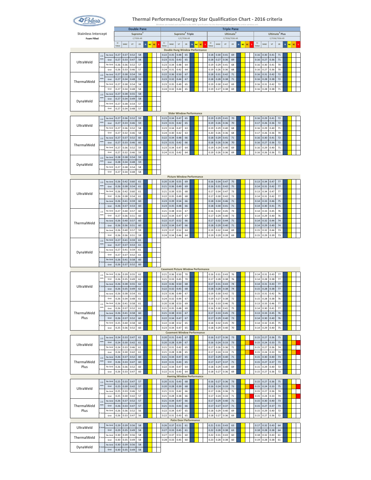

|                                                  |           |                 |              |              | <b>Double Pane</b> |                      |             |                 |              |                                            |                               |             |        |           |    |   |              |              |              | <b>Triple Pane</b>                      |                |    |                   |              |                            |                |                          |    |  |
|--------------------------------------------------|-----------|-----------------|--------------|--------------|--------------------|----------------------|-------------|-----------------|--------------|--------------------------------------------|-------------------------------|-------------|--------|-----------|----|---|--------------|--------------|--------------|-----------------------------------------|----------------|----|-------------------|--------------|----------------------------|----------------|--------------------------|----|--|
| <b>Stainless Intercept</b><br><b>Foam Filled</b> |           |                 |              |              |                    | Supreme<br>C/7036-AR |             |                 |              |                                            | Supreme <sup>3</sup> Triple   | C/C/7036-AR |        |           |    |   |              |              |              | Ultimate <sup>3</sup><br>C/7036/7036-AR |                |    |                   |              | Ultimate <sup>3</sup> Plus | C/7036/7036-KR |                          |    |  |
|                                                  |           |                 | $\mathbf{U}$ | <b>SHGC</b>  | <b>VT</b>          | <b>CR</b>            | $\mathbf N$ | sc<br><b>NC</b> | $U$ -        | <b>SHGC</b>                                | <b>VT</b>                     | <b>CR</b>   | $\,$ N | <b>NC</b> | SC | s | U-           | <b>SHGC</b>  | <b>VT</b>    | CR                                      | N<br><b>NC</b> | sc | $\mathbf{U}$<br>s | SHGC         | VT                         | CR             | $\mathbf N$<br><b>NC</b> | sc |  |
|                                                  |           |                 | Value        |              |                    |                      |             |                 |              | <b>Double Hung Window Performance</b>      |                               |             |        |           |    |   | Valu         |              |              |                                         |                |    | Value             |              |                            |                |                          |    |  |
|                                                  | 2.5<br>mm | No Grid         | 0.27         | 0.37         | 0.52               | 58                   |             |                 | 0.22         | 0.35                                       | 0.48                          | 65          |        |           |    |   | 0.18         | 0.30         | 0.41         | 69                                      |                |    | 0.16              | 0.30         | 0.41                       | 71             |                          |    |  |
| UltraWeld                                        |           | Grid<br>No Grid | 0.27<br>0.26 | 0.33<br>0.36 | 0.47<br>0.52       | 58<br>57             |             |                 | 0.23<br>0.23 | 0.31<br>0.34                               | 0.43<br>0.48                  | 65<br>64    |        |           |    |   | 0.18<br>0.19 | 0.27<br>0.29 | 0.36<br>0.41 | 69<br>68                                |                |    | 0.16<br>0.16      | 0.27<br>0.30 | 0.36<br>0.41               | $71\,$<br>70   |                          |    |  |
|                                                  |           | Grid            | 0.26         | 0.33         | 0.46               | 57                   |             |                 | 0.24         | 0.31                                       | 0.42                          | 64          |        |           |    |   | 0.19         | 0.26         | 0.36         | 68                                      |                |    | 0.16              | 0.27         | 0.36                       | 70             |                          |    |  |
|                                                  | 25        | No Grid         | 0.27         | 0.38         | 0.54               | 59                   |             |                 | 0.22         | 0.36                                       | 0.50                          | 67          |        |           |    |   | 0.18         | 0.31         | 0.42         | 71                                      |                |    | 0.16              | 0.31         | 0.42                       | 72             |                          |    |  |
| ThermalWeld                                      | mm        | Grid<br>No Grid | 0.27<br>0.27 | 0.34<br>0.38 | 0.48<br>0.54       | 59<br>58             |             |                 | 0.23<br>0.23 | 0.32                                       | 0.44<br>0.49                  | 67<br>65    |        |           |    |   | 0.18<br>0.19 | 0.28         | 0.38<br>0.42 | $71\,$<br>69                            |                |    | 0.16<br>0.16      | 0.28         | 0.38<br>0.42               | 72<br>72       |                          |    |  |
|                                                  | mr        | Grid            | 0.27         | 0.34         | 0.48               | 58                   |             |                 | 0.24         | 0.35<br>0.32                               | 0.44                          | 65          |        |           |    |   | 0.19         | 0.30<br>0.27 | 0.38         | 69                                      |                |    | 0.16              | 0.31<br>0.28 | 0.38                       | 71             |                          |    |  |
|                                                  | 2.5       | No Grid         | 0.27         | 0.38         | 0.55               | 58                   |             |                 |              |                                            |                               |             |        |           |    |   |              |              |              |                                         |                |    |                   |              |                            |                |                          |    |  |
| DynaWeld                                         | mm        | Grid            | 0.27         | 0.34         | 0.49               | 58                   |             |                 |              |                                            |                               |             |        |           |    |   |              |              |              |                                         |                |    |                   |              |                            |                |                          |    |  |
|                                                  | mm        | No Grid<br>Grid | 0.27<br>0.27 | 0.38<br>0.34 | 0.54<br>0.48       | 57<br>57             |             |                 |              |                                            |                               |             |        |           |    |   |              |              |              |                                         |                |    |                   |              |                            |                |                          |    |  |
|                                                  |           |                 |              |              |                    |                      |             |                 |              | <b>Slider Window Performance</b>           |                               |             |        |           |    |   |              |              |              |                                         |                |    |                   |              |                            |                |                          |    |  |
|                                                  | 2.5<br>mm | No Grid         | 0.27<br>0.27 | 0.36<br>0.33 | 0.52<br>0.46       | 59<br>59             |             |                 | 0.23<br>0.23 | 0.34<br>0.31                               | 0.47<br>0.42                  | 65<br>65    |        |           |    |   | 0.19<br>0.19 | 0.29<br>0.26 | 0.41<br>0.36 | 70<br>70                                |                |    | 0.16<br>0.17      | 0.29<br>0.26 | 0.41<br>0.36               | 72<br>72       |                          |    |  |
| UltraWeld                                        |           | Grid<br>No Grid | 0.27         | 0.36         | 0.52               | 58                   |             |                 | 0.23         | 0.34                                       | 0.47                          | 63          |        |           |    |   | 0.19         | 0.29         | 0.40         | 68                                      |                |    | 0.16              | 0.29         | 0.40                       | $71\,$         |                          |    |  |
|                                                  | i mn      | Grid            | 0.27         | 0.32         | 0.46               | 58                   |             |                 | 0.24         | 0.30                                       | 0.42                          | 63          |        |           |    |   | 0.20         | 0.26         | 0.36         | 68                                      |                |    | 0.17              | 0.26         | 0.36                       | 70             |                          |    |  |
|                                                  | 2.5<br>mm | No Grid         | 0.27         | 0.37         | 0.52               | 60                   |             |                 | 0.22         | 0.34                                       | 0.48                          | 66          |        |           |    |   | 0.18         | 0.29         | 0.41         | $71\,$                                  |                |    | 0.16              | 0.30         | 0.41                       | 72             |                          |    |  |
| ThermalWeld                                      |           | Grid<br>No Grid | 0.27<br>0.27 | 0.33<br>0.36 | 0.46<br>0.52       | 60<br>59             |             |                 | 0.23<br>0.23 | 0.31<br>0.34                               | 0.42<br>0.47                  | 66<br>64    |        |           |    |   | 0.18<br>0.19 | 0.26<br>0.29 | 0.36<br>0.40 | 70<br>69                                |                |    | 0.16<br>0.16      | 0.27<br>0.29 | 0.36<br>0.40               | 72<br>$71\,$   |                          |    |  |
|                                                  | mn        | Grid            | 0.27         | 0.32         | 0.46               | 59                   |             |                 | 0.24         | 0.31                                       | 0.42                          | 64          |        |           |    |   | 0.19         | 0.26         | 0.36         | 69                                      |                |    | 0.16              | 0.26         | 0.36                       | $71\,$         |                          |    |  |
|                                                  | 2.5<br>mm | No Grid         | 0.28         | 0.38         | 0.54               | 59                   |             |                 |              |                                            |                               |             |        |           |    |   |              |              |              |                                         |                |    |                   |              |                            |                |                          |    |  |
| DynaWeld                                         |           | Grid<br>No Grid | 0.28<br>0.27 | 0.34<br>0.38 | 0.48<br>0.54       | 59<br>58             |             |                 |              |                                            |                               |             |        |           |    |   |              |              |              |                                         |                |    |                   |              |                            |                |                          |    |  |
|                                                  | mm        | Grid            | 0.27         | 0.34         | 0.48               | 58                   |             |                 |              |                                            |                               |             |        |           |    |   |              |              |              |                                         |                |    |                   |              |                            |                |                          |    |  |
|                                                  |           |                 |              |              |                    |                      |             |                 |              | <b>Picture Window Performance</b>          |                               |             |        |           |    |   |              |              |              |                                         |                |    |                   |              |                            |                |                          |    |  |
|                                                  | 25<br>mm  | No Grid<br>Grid | 0.26<br>0.26 | 0.42<br>0.38 | 0.60<br>0.54       | 61<br>61             |             |                 | 0.20<br>0.21 | 0.39<br>0.36                               | 0.55<br>0.49                  | 69<br>69    |        |           |    |   | 0.16<br>0.16 | 0.34<br>0.31 | 0.47<br>0.42 | 75<br>75                                |                |    | 0.13<br>0.14      | 0.34<br>0.31 | 0.47<br>0.42               | 77<br>77       |                          |    |  |
|                                                  |           | No Grid         | 0.26         | 0.42         | 0.60               | 61                   |             |                 | 0.21         | 0.39                                       | 0.55                          | 68          |        |           |    |   | 0.17         | 0.34         | 0.47         | 73                                      |                |    | 0.13              | 0.34         | 0.47                       | 77             |                          |    |  |
| UltraWeld                                        | mn        | Grid            | 0.26         | 0.38         | 0.54               | 61                   |             |                 | 0.22         | 0.35                                       | 0.49                          | 68          |        |           |    |   | 0.17         | 0.30         | 0.42         | 73                                      |                |    | 0.14              | 0.31         | 0.42                       | 77             |                          |    |  |
|                                                  | mr        | No Grid<br>Grid | 0.26<br>0.26 | 0.41<br>0.37 | 0.59<br>0.53       | 60<br>60             |             |                 | 0.23<br>0.23 | 0.39<br>0.35                               | 0.54<br>0.48                  | 66<br>66    |        |           |    |   | 0.18<br>0.18 | 0.34<br>0.30 | 0.46<br>0.41 | $71\,$<br>71                            |                |    | 0.14<br>0.14      | 0.33<br>0.30 | 0.46<br>0.41               | 75<br>75       |                          |    |  |
|                                                  | 25        | No Grid         | 0.27         | 0.40         | 0.57               | 60                   |             |                 | 0.21         | 0.38                                       | 0.53                          | 67          |        |           |    |   | 0.16         | 0.32         | 0.45         | 73                                      |                |    | 0.14              | 0.33         | 0.45                       | 76             |                          |    |  |
|                                                  | mm        | Grid            | 0.27         | 0.36         | 0.51               | 60                   |             |                 | 0.22         | 0.34                                       | 0.47                          | 67          |        |           |    |   | 0.17         | 0.29         | 0.40         | 73                                      |                |    | 0.14              | 0.29         | 0.40                       | 76             |                          |    |  |
| ThermalWeld                                      | mm        | No Grid         | 0.26         | 0.40         | 0.57               | 60                   |             |                 | 0.22         | 0.37                                       | 0.52                          | 66          |        |           |    |   | 0.17         | 0.32         | 0.44         | 71                                      |                |    | 0.14              | 0.32         | 0.44                       | 74             |                          |    |  |
|                                                  |           | Grid<br>No Grid | 0.26<br>0.26 | 0.36<br>0.40 | 0.51<br>0.57       | 60<br>59             |             |                 | 0.23<br>0.23 | 0.34<br>0.37                               | 0.47<br>0.52                  | 66<br>64    |        |           |    |   | 0.18<br>0.19 | 0.29<br>0.32 | 0.40<br>0.44 | $71\,$<br>69                            |                |    | 0.14<br>0.15      | 0.29<br>0.32 | 0.40<br>0.44               | 74<br>73       |                          |    |  |
|                                                  |           | Grid            | 0.26         | 0.36         | 0.51               | 59                   |             |                 | 0.24         | 0.34                                       | 0.46                          | 64          |        |           |    |   | 0.19         | 0.29         | 0.39         | 69                                      |                |    | 0.15              | 0.29         | 0.39                       | 73             |                          |    |  |
|                                                  | 2.5<br>mm | No Grid         | 0.27         | 0.41         | 0.59               | 61                   |             |                 |              |                                            |                               |             |        |           |    |   |              |              |              |                                         |                |    |                   |              |                            |                |                          |    |  |
|                                                  |           | Grid<br>No Grid | 0.27<br>0.27 | 0.37<br>0.41 | 0.53<br>0.59       | 61<br>61             |             |                 |              |                                            |                               |             |        |           |    |   |              |              |              |                                         |                |    |                   |              |                            |                |                          |    |  |
| DynaWeld                                         | kmn       | Grid            | 0.27         | 0.37         | 0.52               | 61                   |             |                 |              |                                            |                               |             |        |           |    |   |              |              |              |                                         |                |    |                   |              |                            |                |                          |    |  |
|                                                  |           | No Grid         | 0.26         | 0.41         | 0.58               | 60                   |             |                 |              |                                            |                               |             |        |           |    |   |              |              |              |                                         |                |    |                   |              |                            |                |                          |    |  |
|                                                  |           | Grid            | 0.26         | 0.37         | 0.52               | 60                   |             |                 |              | <b>Casement Picture Window Performance</b> |                               |             |        |           |    |   |              |              |              |                                         |                |    |                   |              |                            |                |                          |    |  |
|                                                  | 2.5       | No Grid         | 0.26         | 0.39         | 0.55               | 62                   |             |                 | 0.21         | 0.36                                       | 0.50                          | 70          |        |           |    |   | 0.16         | 0.31         | 0.43         | 76                                      |                |    | 0.14              | 0.31         | 0.43                       | 77             |                          |    |  |
|                                                  | mm        | Grid            | 0.26         | 0.35         | 0.49               | 62                   |             |                 | 0.21         | 0.33                                       | 0.45                          | 70          |        |           |    |   | 0.17         | 0.28         | 0.38         | 76                                      |                |    | 0.14              | 0.28         | 0.38                       | 77             |                          |    |  |
| UltraWeld                                        | mm        | No Grid<br>Grid | 0.26<br>0.26 | 0.38<br>0.35 | 0.55<br>0.49       | 62<br>62             |             |                 | 0.22<br>0.22 | 0.36<br>0.32                               | 0.50<br>0.45                  | 68<br>68    |        |           |    |   | 0.17<br>0.18 | 0.31<br>0.28 | 0.43<br>0.38 | 74<br>74                                |                |    | 0.14<br>0.15      | 0.31<br>0.28 | 0.43<br>0.38               | 77<br>77       |                          |    |  |
|                                                  |           | No Grid         | 0.26         | 0.38         | 0.54               | 61                   |             |                 | 0.23         | 0.36                                       | 0.49                          | 67          |        |           |    |   | 0.19         | 0.30         | 0.42         | 72                                      |                |    | 0.15              | 0.31         | 0.42                       | 76             |                          |    |  |
|                                                  |           | Grid            | 0.26         | 0.34         | 0.48               | 61                   |             |                 | 0.24         | 0.32                                       | 0.44                          | 67          |        |           |    |   | 0.19         | 0.27         | 0.38         | 72                                      |                |    | 0.15              | 0.28         | 0.38                       | 76             |                          |    |  |
|                                                  | 2.5<br>mm | No Grid<br>Grid | 0.26<br>0.26 | 0.41<br>0.37 | 0.58<br>0.52       | 61<br>61             |             |                 | 0.20<br>0.21 | 0.38<br>0.35                               | 0.53<br>0.48                  | 69<br>69    |        |           |    |   | 0.16<br>0.16 | 0.33<br>0.30 | 0.46<br>0.41 | 75<br>75                                |                |    | 0.13<br>0.14      | 0.33<br>0.30 | 0.46<br>0.41               | 77<br>77       |                          |    |  |
| ThermalWeld                                      |           | No Grid         | 0.26         | 0.41         | 0.58               | 60                   |             |                 | 0.21         | 0.38                                       | 0.53                          | 67          |        |           |    |   | 0.17         | 0.33         | 0.45         | 73                                      |                |    | 0.13              | 0.33         | 0.45                       | 76             |                          |    |  |
| Plus                                             | mn        | Grid            | 0.26         | 0.37         | 0.52               | 60                   |             |                 | 0.22         | 0.34                                       | 0.47                          | 67          |        |           |    |   | 0.17         | 0.29         | 0.40         | 73                                      |                |    | 0.14              | 0.30         | 0.40                       | 76             |                          |    |  |
|                                                  |           | No Grid<br>Grid | 0.25<br>0.25 | 0.40<br>0.36 | 0.58<br>0.52       | 60<br>60             |             |                 | 0.22<br>0.23 | 0.38<br>0.34                               | 0.52<br>0.47                  | 65<br>65    |        |           |    |   | 0.18<br>0.18 | 0.32<br>0.29 | 0.45<br>0.40 | 70<br>70                                |                |    | 0.14<br>0.14      | 0.32<br>0.29 | 0.45<br>0.40               | 75<br>75       |                          |    |  |
|                                                  |           |                 |              |              |                    |                      |             |                 |              | <b>Casement Window Performance</b>         |                               |             |        |           |    |   |              |              |              |                                         |                |    |                   |              |                            |                |                          |    |  |
|                                                  | 2.5<br>mm | No Grid         | 0.24         | 0.33         | 0.47               | 61                   |             |                 | 0.20         | 0.31                                       | 0.43                          | 67          |        |           |    |   | 0.16         | 0.27         | 0.36         | 73                                      |                |    | 0.15              | 0.27         | 0.36                       | 75             |                          |    |  |
| UltraWeld                                        |           | Grid<br>No Grid | 0.24<br>0.24 | 0.30<br>0.33 | 0.42<br>0.46       | 61<br>61             |             |                 | 0.20<br>0.21 | 0.28<br>0.31                               | 0.39<br>0.42                  | 67<br>65    |        |           |    |   | 0.16<br>0.17 | 0.24<br>0.26 | 0.33<br>0.36 | 73<br>$71\,$                            |                |    | 0.15<br>0.15      | 0.24<br>0.27 | 0.33<br>0.36               | 75<br>74       |                          |    |  |
|                                                  | mm        | Grid            | 0.24         | 0.30         | 0.42               | 61                   |             |                 | 0.21         | 0.28                                       | 0.38                          | 65          |        |           |    |   | 0.17         | 0.24         | 0.33         | 71                                      |                |    | 0.15              | 0.24         | 0.33                       | 74             |                          |    |  |
|                                                  | 2.5       | No Grid         | 0.26         | 0.37         | 0.52               | 60                   |             |                 | 0.21         | 0.34                                       | 0.47                          | 65          |        |           |    |   | 0.17         | 0.29         | 0.40         | 71                                      |                |    | 0.15              | 0.30         | 0.40                       | 73             |                          |    |  |
| ThermalWeld<br>Plus                              | mm        | Grid<br>No Grid | 0.26<br>0.26 | 0.33<br>0.36 | 0.47<br>0.52       | 60<br>60             |             |                 | 0.22<br>0.22 | 0.31<br>0.34                               | 0.43<br>0.47                  | 65<br>64    |        |           |    |   | 0.17<br>0.18 | 0.27<br>0.29 | 0.37<br>0.40 | $71\,$<br>69                            |                |    | 0.15<br>0.15      | 0.27<br>0.29 | 0.37<br>0.40               | 73<br>72       |                          |    |  |
|                                                  |           | Grid            | 0.26         | 0.33         | 0.47               | 60                   |             |                 | 0.22         | 0.31                                       | 0.43                          | 64          |        |           |    |   | 0.18         | 0.27         | 0.36         | 69                                      |                |    | 0.15              | 0.27         | 0.36                       | 72             |                          |    |  |
|                                                  |           |                 |              |              |                    |                      |             |                 |              | <b>Awning Window Performance</b>           |                               |             |        |           |    |   |              |              |              |                                         |                |    |                   |              |                            |                |                          |    |  |
|                                                  | 2.5<br>mm | No Grid         | 0.25         | 0.33         | 0.47               | 57                   |             |                 | 0.20         | 0.31                                       | 0.43                          | 68          |        |           |    |   | 0.16         | 0.27         | 0.36         | 73                                      |                |    | 0.15              | 0.27         | 0.36                       | 75             |                          |    |  |
| UltraWeld                                        |           | Grid<br>No Grid | 0.25<br>0.25 | 0.30<br>0.33 | 0.42<br>0.46       | 57<br>57             |             |                 | 0.20<br>0.21 | 0.28<br>0.31                               | 0.39<br>0.42                  | 68<br>66    |        |           |    |   | 0.16<br>0.17 | 0.24<br>0.26 | 0.33<br>0.36 | 73<br>$71\,$                            |                |    | 0.15<br>0.15      | 0.24<br>0.27 | 0.33<br>0.36               | 75<br>74       |                          |    |  |
|                                                  | mn        | Grid            | 0.25         | 0.30         | 0.42               | 57                   |             |                 | 0.21         | 0.28                                       | 0.38                          | 66          |        |           |    |   | 0.17         | 0.24         | 0.33         | $71\,$                                  |                |    | 0.15              | 0.24         | 0.33                       | 74             |                          |    |  |
|                                                  | 2.5<br>mm | No Grid         | 0.26         | 0.37         | 0.52               | 57                   |             |                 | 0.21         | 0.34                                       | 0.47                          | 66          |        |           |    |   | 0.17         | 0.29         | 0.40         | $71\,$                                  |                |    | 0.15              | 0.30         | 0.40                       | 73             |                          |    |  |
| ThermalWeld<br>Plus                              |           | Grid<br>No Grid | 0.26<br>0.26 | 0.33<br>0.36 | 0.47<br>0.52       | 57<br>56             |             |                 | 0.21<br>0.22 | 0.31<br>0.34                               | 0.43<br>0.47                  | 66<br>65    |        |           |    |   | 0.17<br>0.18 | 0.27<br>0.29 | 0.37<br>0.40 | $71\,$<br>69                            |                |    | 0.15<br>0.15      | 0.27<br>0.29 | 0.37<br>0.40               | 73<br>72       |                          |    |  |
|                                                  | mm        | Grid            | 0.26         | 0.33         | 0.47               | 56                   |             |                 | 0.22         | 0.31                                       | 0.43                          | 65          |        |           |    |   | 0.18         | 0.27         | 0.36         | 69                                      |                |    | 0.15              | 0.27         | 0.36                       | 72             |                          |    |  |
|                                                  |           |                 |              |              |                    |                      |             |                 |              |                                            | <b>Patio Door Performance</b> |             |        |           |    |   |              |              |              |                                         |                |    |                   |              |                            |                |                          |    |  |
| UltraWeld                                        | mm        | No Grid<br>Grid | 0.29<br>0.29 | 0.39<br>0.35 | 0.56<br>0.49       | 58<br>58             |             |                 | 0.26<br>0.27 | 0.37<br>0.33                               | 0.51<br>0.45                  | 61<br>61    |        |           |    |   | 0.21<br>0.22 | 0.31<br>0.28 | 0.43<br>0.38 | 63<br>63                                |                |    | 0.17<br>0.18      | 0.32<br>0.28 | 0.43<br>0.38               | 64<br>64       |                          |    |  |
|                                                  |           | No Grid         | 0.30         | 0.39         | 0.56               | 58                   |             |                 | 0.27         | 0.37                                       | 0.51                          | 60          |        |           |    |   | 0.22         | 0.31         | 0.43         | 60                                      |                |    | 0.18              | 0.32         | 0.43                       | 61             |                          |    |  |
| ThermalWeld                                      | mm        | Grid            | 0.30         | 0.35         | 0.49               | 58                   |             |                 | 0.28         | 0.33                                       | 0.45                          | 60          |        |           |    |   | 0.23         | 0.28         | 0.38         | 60                                      |                |    | 0.19              | 0.28         | 0.38                       | 61             |                          |    |  |
| DynaWeld                                         |           | No Grid<br>Grid | 0.30<br>0.30 | 0.39<br>0.35 | 0.56<br>0.49       | 58<br>58             |             |                 |              |                                            |                               |             |        |           |    |   |              |              |              |                                         |                |    |                   |              |                            |                |                          |    |  |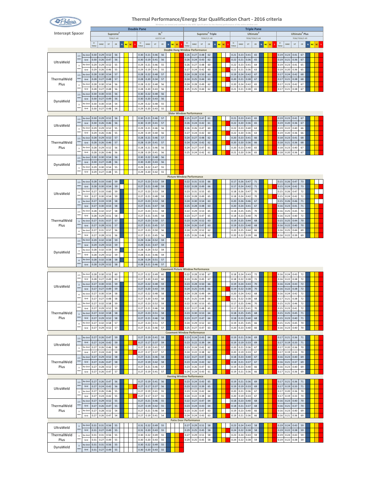

|                         |                               |                 |              |              |      |              |                                   |             |    | <b>Double Pane</b> |              |              |              |                     |   |       |              |                                            |                             |             |        |          |                              |               | <b>Triple Pane</b>                |   |           |    |              |              |              |                                              |   |       |  |
|-------------------------|-------------------------------|-----------------|--------------|--------------|------|--------------|-----------------------------------|-------------|----|--------------------|--------------|--------------|--------------|---------------------|---|-------|--------------|--------------------------------------------|-----------------------------|-------------|--------|----------|------------------------------|---------------|-----------------------------------|---|-----------|----|--------------|--------------|--------------|----------------------------------------------|---|-------|--|
| <b>Intercept Spacer</b> |                               |                 |              |              |      |              | Supreme <sup>2</sup><br>7036/C-AR |             |    |                    |              |              |              | $XL^2$<br>6227/C-AR |   |       |              |                                            | Supreme <sup>2</sup> Triple | 7036/C/C-AR |        |          |                              |               | <b>Ultimate</b><br>7036/7036/C-AR |   |           |    |              |              |              | Ultimate <sup>2</sup> Plus<br>7036/7036/C-KR |   |       |  |
|                         |                               |                 | $U-$         |              |      |              |                                   |             |    |                    | $\mathbf{U}$ |              |              |                     |   |       | U-           |                                            |                             |             |        |          | U-                           |               |                                   |   |           |    | $U-$         |              |              |                                              |   |       |  |
|                         |                               |                 | Value        | SHGC         |      | VT           | ${\sf CR}$                        | $\mathbf N$ | NC | <b>SC</b>          | Value        | SHGC         | VT           | ${\sf CR}$          | N | NC SC | Value        | SHGC                                       | VT                          | ${\sf CR}$  | $\,$ N | sc<br>NC | SHGC<br>Value                | VT            | ${\sf CR}$                        | N | <b>NC</b> | SC | Value        | SHGC         | VT           | ${\sf CR}$                                   | N | NC SC |  |
|                         |                               |                 |              |              |      |              |                                   |             |    |                    |              |              |              |                     |   |       |              | <b>Double Hung Window Performance</b>      |                             |             |        |          |                              |               |                                   |   |           |    |              |              |              |                                              |   |       |  |
|                         | 2.5<br>mm                     | No Grid         | 0.30         | 0.29         |      | 0.52         | 56                                |             |    |                    | 0.30         | 0.21         | 0.46         | 56                  |   |       | 0.26         | 0.27                                       | 0.48                        | 62          |        |          | 0.21<br>0.23                 | 0.41          | 65                                |   |           |    | 0.19         | 0.23         | 0.41         | 67                                           |   |       |  |
| UltraWeld               |                               | Grid            | 0.30         | 0.26         |      | 0.47         | 56                                |             |    |                    | 0.30         | 0.19         | 0.41         | 56                  |   |       | 0.26         | 0.24                                       | 0.43                        | 62          |        |          | 0.22<br>0.21                 | 0.36          | 65                                |   |           |    | 0.19         | 0.21         | 0.36         | 67                                           |   |       |  |
|                         | $\mathsf 3$<br>mm             | No Grio         | 0.29         | 0.29         |      | 0.52         | 55                                |             |    |                    | 0.29         | 0.21         | 0.46         | 55                  |   |       | 0.26         | 0.27                                       | 0.48                        | 60          |        |          | 0.22<br>0.23                 | 0.41          | 64                                |   |           |    | 0.19         | 0.23         | 0.41         | 65                                           |   |       |  |
|                         |                               | Grid            | 0.29         | 0.26         |      | 0.46         | 55                                |             |    |                    | 0.29         | 0.19         | 0.41         | 55                  |   |       | 0.27         | 0.24                                       | 0.42                        | 60          |        |          | 0.22<br>0.21                 | 0.36          | 63                                |   |           |    | 0.19         | 0.20         | 0.36         | 65                                           |   |       |  |
|                         | 2.5<br>mm                     | No Grid         | 0.28         | 0.30         |      | 0.54         | 57                                |             |    |                    | 0.28         | 0.22         | 0.48         | 57                  |   |       | 0.24         | 0.28                                       | 0.50                        | 63          |        |          | 0.19<br>0.24                 | 0.42          | 67                                |   |           |    | 0.17         | 0.24         | 0.42         | 68                                           |   |       |  |
| ThermalWeld             |                               | Grid            | 0.28         | 0.27         |      | 0.48         | 57                                |             |    |                    | 0.28         | 0.20         | 0.34         | 57                  |   |       | 0.24         | 0.25                                       | 0.44                        | 63          |        |          | 0.20<br>0.21                 | 0.38          | 67                                |   |           |    | 0.17         | 0.21         | 0.38         | 68                                           |   |       |  |
| Plus                    | $\overline{\mathbf{3}}$<br>mm | No Gric         | 0.28         | 0.30         |      | 0.54         | 56                                |             |    |                    | 0.28         | 0.22         | 0.48         | 56                  |   |       | 0.24         | 0.28                                       | 0.49                        | 62          |        |          | 0.20<br>0.24                 | 0.42          | 65                                |   |           |    | 0.17         | 0.23         | 0.42         | 67                                           |   |       |  |
|                         |                               | Grid<br>No Grid | 0.28         | 0.27         |      | 0.48         | 56                                |             |    |                    | 0.28<br>0.30 | 0.20         | 0.43<br>0.48 | 56<br>56            |   |       | 0.25         | 0.25                                       | 0.44                        | 62          |        |          | 0.21<br>0.21                 | 0.38          | 65                                |   |           |    | 0.17         | 0.21         | 0.38         | 67                                           |   |       |  |
|                         | 2.5<br>mm                     | Grid            | 0.30<br>0.30 | 0.30<br>0.27 |      | 0.55<br>0.49 | 56<br>56                          |             |    |                    | 0.30         | 0.22<br>0.20 | 0.43         | 56                  |   |       |              |                                            |                             |             |        |          |                              |               |                                   |   |           |    |              |              |              |                                              |   |       |  |
| DynaWeld                |                               | No Gric         | 0.30         | 0.30         |      | 0.54         | 54                                |             |    |                    | 0.29         | 0.22         | 0.48         | 55                  |   |       |              |                                            |                             |             |        |          |                              |               |                                   |   |           |    |              |              |              |                                              |   |       |  |
|                         | $\overline{\mathbf{3}}$<br>mm | Grid            | 0.30         | 0.27         |      | 0.48         | 54                                |             |    |                    | 0.29         | 0.20         | 0.43         | 55                  |   |       |              |                                            |                             |             |        |          |                              |               |                                   |   |           |    |              |              |              |                                              |   |       |  |
|                         |                               |                 |              |              |      |              |                                   |             |    |                    |              |              |              |                     |   |       |              | <b>Slider Window Performance</b>           |                             |             |        |          |                              |               |                                   |   |           |    |              |              |              |                                              |   |       |  |
|                         | 2.5                           | No Grid         | 0.30         |              | 0.29 | 0.52         | 56                                |             |    |                    | 0.30         | 0.21         | 0.46         | 57                  |   |       | 0.25         | 0.27                                       | 0.47                        | 61          |        |          | 0.23<br>0.21                 | 0.41          | 65                                |   |           |    | 0.19         | 0.23         | 0.41         | 67                                           |   |       |  |
|                         | mm                            | Grid            | 0.30         | 0.26         |      | 0.46         | 56                                |             |    |                    | 0.30         | 0.19         | 0.41         | 57                  |   |       | 0.26         | 0.24                                       | 0.42                        | 61          |        |          | 0.22<br>0.20                 | 0.36          | 65                                |   |           |    | 0.19         | 0.20         | 0.36         | 67                                           |   |       |  |
| UltraWeld               | $\mathsf 3$                   | No Gri          | 0.29         | 0.29         |      | 0.52         | 55                                |             |    |                    | 0.29         | 0.21         | 0.46         | 56                  |   |       | 0.26         | 0.26                                       | 0.47                        | 60          |        |          | 0.22<br>0.23                 | 0.40          | 63                                |   |           |    | 0.19         | 0.22         | 0.40         | 66                                           |   |       |  |
|                         | mm                            | Grid            | 0.29         | 0.26         |      | 0.46         | 55                                |             |    |                    | 0.29         | 0.19         | 0.40         | 56                  |   |       | 0.27         | 0.24                                       | 0.42                        | 60          |        |          | 0.22<br>0.20                 | 0.36          | 63                                |   |           |    | 0.19         | 0.20         | 0.36         | 66                                           |   |       |  |
|                         | $2.5\,$                       | No Gri          | 0.28         | 0.29         |      | 0.52         | 57                                |             |    |                    | 0.28         | 0.21         | 0.46         | 57                  |   |       | 0.24         | 0.27                                       | 0.48                        | 62          |        |          | 0.20<br>0.23                 | 0.41          | 66                                |   |           |    | 0.18         | 0.23         | 0.41         | 68                                           |   |       |  |
| ThermalWeld             | mm                            | Grid            | 0.28         | 0.26         |      | 0.46         | 57                                |             |    |                    | 0.28         | 0.19         | 0.41         | 57                  |   |       | 0.24         | 0.24                                       | 0.42                        | 62          |        |          | 0.20<br>0.20                 | 0.36          | 66                                |   |           |    | 0.18         | 0.21         | 0.36         | 68                                           |   |       |  |
| Plus                    | $\overline{\mathbf{3}}$       | No Gric         | 0.28         | 0.29         |      | 0.52         | 56                                |             |    |                    | 0.28         | 0.21         | 0.46         | 56                  |   |       | 0.24         | 0.27                                       | 0.47                        | 61          |        |          | 0.20<br>0.23                 | 0.40          | 65                                |   |           |    | 0.18         | 0.23         | 0.40         | 67                                           |   |       |  |
|                         | mm                            | Grid            | 0.28         | 0.26         |      | 0.46         | 56                                |             |    |                    | 0.28         | 0.19         | 0.41         | 56                  |   |       | 0.25         | 0.24                                       | 0.42                        | 61          |        |          | 0.21<br>0.20                 | 0.36          | 65                                |   |           |    | 0.18         | 0.20         | 0.36         | 67                                           |   |       |  |
|                         | 2.5                           | No Grio         | 0.30         | 0.30         |      | 0.54         | 56                                |             |    |                    | 0.30         | 0.22         | 0.48         | 56                  |   |       |              |                                            |                             |             |        |          |                              |               |                                   |   |           |    |              |              |              |                                              |   |       |  |
|                         | mm                            | Grid            | 0.30         | 0.27         |      | 0.48         | 56                                |             |    |                    | 0.30         | 0.20         | 0.43         | 56                  |   |       |              |                                            |                             |             |        |          |                              |               |                                   |   |           |    |              |              |              |                                              |   |       |  |
| DynaWeld                | $\overline{\mathbf{3}}$       | No Gri          | 0.29         | 0.30         |      | 0.54         | 55                                |             |    |                    | 0.29         | 0.22         | 0.47         | 55                  |   |       |              |                                            |                             |             |        |          |                              |               |                                   |   |           |    |              |              |              |                                              |   |       |  |
|                         | mm                            | Grid            | 0.29         | 0.27         |      | 0.48         | 55                                |             |    |                    | 0.29         | 0.20         | 0.42         | 55                  |   |       |              |                                            |                             |             |        |          |                              |               |                                   |   |           |    |              |              |              |                                              |   |       |  |
|                         |                               |                 |              |              |      |              |                                   |             |    |                    |              |              |              |                     |   |       |              | <b>Picture Window Performance</b>          |                             |             |        |          |                              |               |                                   |   |           |    |              |              |              |                                              |   |       |  |
|                         | $2.5\,$                       | No Grid         | 0.28         |              | 0.33 | 0.60         | 59                                |             |    |                    | 0.27         | 0.23         | 0.53         | 59                  |   |       | 0.22         | 0.31                                       | 0.55                        | 66          |        |          | 0.17<br>0.26                 | 0.47          | $71\,$                            |   |           |    | 0.15         | 0.26         | 0.47         | 73                                           |   |       |  |
|                         | mm                            | Gric            | 0.28         | 0.30         |      | 0.54         | 59                                |             |    |                    | 0.27         | 0.21         | 0.48         | 59                  |   |       | 0.22         | 0.28                                       | 0.49                        | 66          |        |          | 0.17<br>0.24                 | 0.42          | 71                                |   |           |    | 0.15         | 0.24         | 0.42         | 73                                           |   |       |  |
| UltraWeld               | $\overline{\mathbf{3}}$       | No Grid         | 0.27         |              | 0.33 | 0.60         | 59                                |             |    |                    | 0.27         | 0.23         | 0.53         | 59                  |   |       | 0.23         | 0.31                                       | 0.55                        | 65          |        |          | 0.18<br>0.26                 | 0.47          | 70                                |   |           |    | 0.15         | 0.26         | 0.47         | 72                                           |   |       |  |
|                         | mm                            | Grid            | 0.27         | 0.30         |      | 0.54         | 59                                |             |    |                    | 0.27         | 0.21         | 0.48         | 59                  |   |       | 0.23         | 0.28                                       | 0.49                        | 65          |        |          | 0.18<br>0.24                 | 0.42          | 70                                |   |           |    | 0.15         | 0.24         | 0.42         | 72                                           |   |       |  |
|                         | $\,4\,$                       | No Grid         | 0.27         | 0.33         |      | 0.59         | 58                                |             |    |                    | 0.27         | 0.23         | 0.53         | 58                  |   |       | 0.24         | 0.30                                       | 0.54                        | 63          |        |          | 0.20<br>0.26                 | 0.46          | 67                                |   |           |    | 0.15         | 0.26         | 0.46         | 71                                           |   |       |  |
|                         | mm                            | Grid            | 0.27         |              | 0.30 | 0.53         | 58                                |             |    |                    | 0.27         | 0.21         | 0.47         | 58                  |   |       | 0.25         | 0.28                                       | 0.48                        | 63          |        |          | 0.20<br>0.24                 | 0.41          | 67                                |   |           |    | 0.16         | 0.23         | 0.41         | 71                                           |   |       |  |
|                         | 2.5                           | No Gric         | 0.28         | 0.32         |      | 0.57         | 58                                |             |    |                    | 0.27         | 0.23         | 0.51         | 58                  |   |       | 0.22         | 0.29                                       | 0.53                        | 65          |        |          | 0.18<br>0.25                 | 0.45          | 70                                |   |           |    | 0.16         | 0.25         | 0.45         | 72                                           |   |       |  |
|                         | mm                            | Grid            | 0.28         | 0.29         |      | 0.51         | 58                                |             |    |                    | 0.27         | 0.21         | 0.45         | 58                  |   |       | 0.23         | 0.27                                       | 0.47                        | 65          |        |          | 0.18<br>0.23                 | 0.40          | 70                                |   |           |    | 0.16         | 0.23         | 0.40         | 72                                           |   |       |  |
| ThermalWeld             | $\overline{\mathbf{3}}$       | No Grid         | 0.27         | 0.31         |      | 0.57         | 57                                |             |    |                    | 0.27         | 0.23         | 0.50         | 57                  |   |       | 0.23         | 0.29                                       | 0.52                        | 63          |        |          | 0.19<br>0.25                 | 0.44          | 68                                |   |           |    | 0.15         | 0.25         | 0.44         | 70                                           |   |       |  |
| Plus                    | mm                            | Grid            | 0.27         | 0.28         |      | 0.51         | 57                                |             |    |                    | 0.27         | 0.21         | 0.45         | 57                  |   |       | 0.24         | 0.26                                       | 0.47                        | 63          |        |          | 0.19<br>0.23                 | 0.40          | 68                                |   |           |    | 0.16         | 0.22         | 0.40         | 70                                           |   |       |  |
|                         | $\ddot{a}$<br>mm              | No Gri          | 0.27         | 0.31         |      | 0.57         | 56                                |             |    |                    | 0.27         | 0.23         | 0.50         | 56                  |   |       | 0.24         | 0.29                                       | 0.52                        | 62          |        |          | 0.20<br>0.25                 | 0.44          | 66                                |   |           |    | 0.16         | 0.25         | 0.44         | 69                                           |   |       |  |
|                         |                               | Gric            | 0.27         | 0.28         |      | 0.51         | 56                                |             |    |                    | 0.27         | 0.21         | 0.45         | 56                  |   |       | 0.25         | 0.26                                       | 0.46                        | 62          |        |          | 0.20<br>0.22                 | 0.39          | 66                                |   |           |    | 0.16         | 0.22         | 0.39         | 69                                           |   |       |  |
|                         | 2.5<br>mm                     | No Grid         | 0.29         | 0.32         |      | 0.59         | 59                                |             |    |                    | 0.29         | 0.24         | 0.52         | 59                  |   |       |              |                                            |                             |             |        |          |                              |               |                                   |   |           |    |              |              |              |                                              |   |       |  |
|                         |                               | Grid            | 0.29         | 0.29         |      | 0.53         | 59                                |             |    |                    | 0.29         | 0.21         | 0.47         | 59                  |   |       |              |                                            |                             |             |        |          |                              |               |                                   |   |           |    |              |              |              |                                              |   |       |  |
| DynaWeld                | $\mathsf 3$<br>mm             | No Gri<br>Grid  | 0.28<br>0.28 | 0.32<br>0.29 |      | 0.59<br>0.52 | 59<br>59                          |             |    |                    | 0.28<br>0.28 | 0.24<br>0.21 | 0.52<br>0.46 | 59<br>59            |   |       |              |                                            |                             |             |        |          |                              |               |                                   |   |           |    |              |              |              |                                              |   |       |  |
|                         |                               | No Gri          |              |              |      |              |                                   |             |    |                    |              |              |              |                     |   |       |              |                                            |                             |             |        |          |                              |               |                                   |   |           |    |              |              |              |                                              |   |       |  |
|                         | $\overline{4}$<br>mm          | Grid            | 0.28<br>0.28 | 0.32         | 0.29 | 0.58<br>0.52 | 58<br>58                          |             |    |                    | 0.28<br>0.28 | 0.24<br>0.21 | 0.51<br>0.46 | 57<br>57            |   |       |              |                                            |                             |             |        |          |                              |               |                                   |   |           |    |              |              |              |                                              |   |       |  |
|                         |                               |                 |              |              |      |              |                                   |             |    |                    |              |              |              |                     |   |       |              | <b>Casement Picture Window Performance</b> |                             |             |        |          |                              |               |                                   |   |           |    |              |              |              |                                              |   |       |  |
|                         | 2.5                           | No Grid         | 0.28         | 0.30         |      | 0.55         | 60                                |             |    |                    | 0.27         | 0.22         | 0.49         | 60                  |   |       | 0.22         | 0.28                                       | 0.50                        | 67          |        |          | 0.18<br>0.24                 | 0.43          | 72                                |   |           |    | 0.16         | 0.24         | 0.43         | 72                                           |   |       |  |
|                         | mm                            | Grid            | 0.28         | 0.27         |      | 0.49         | 60                                |             |    |                    | 0.27         | 0.20         | 0.43         | 60                  |   |       | 0.23         | 0.26                                       | 0.45                        | 67          |        |          | 0.18<br>0.22                 | 0.38          | 72                                |   |           |    | 0.16         | 0.22         | 0.38         | 72                                           |   |       |  |
|                         | $\overline{\mathbf{3}}$       | No Grid         | 0.27         | 0.30         |      | 0.55         | 59                                |             |    |                    | 0.27         | 0.22         | 0.48         | 59                  |   |       | 0.23         | 0.28                                       | 0.50                        | 66          |        |          | 0.19<br>0.24                 | 0.43          | 70                                |   |           |    | 0.16         | 0.24         | 0.43         | 72                                           |   |       |  |
| UltraWeld               | mm                            | Grid            | 0.27         | 0.27         |      | 0.49         | 59                                |             |    |                    | 0.27         | 0.20         | 0.43         | 59                  |   |       | 0.24         | 0.25                                       | 0.45                        | 66          |        |          | 0.19<br>0.22                 | 0.38          | 70                                |   |           |    | 0.16         | 0.22         | 0.38         | 72                                           |   |       |  |
|                         | $\ddot{\bf 4}$                | No Grid         | 0.27         | 0.30         |      | 0.54         | 58                                |             |    |                    | 0.27         | 0.22         | 0.48         | 58                  |   |       | 0.24         | 0.28                                       | 0.49                        | 64          |        |          | 0.20<br>0.24                 | 0.42          | 68                                |   |           |    | 0.16         | 0.24         | 0.42         | 72                                           |   |       |  |
|                         | mm                            | Grid            | 0.27         |              | 0.27 | 0.48         | 58                                |             |    |                    | 0.27         | 0.20         | 0.43         | 58                  |   |       | 0.25         | 0.25                                       | 0.44                        | 64          |        |          | 0.21                         | $0.22 \ 0.38$ | 68                                |   |           |    | 0.17         | 0.21         | 0.38         | 72                                           |   |       |  |
|                         | 2.5                           | No Gric         | 0.27         | 0.32         |      | 0.58         | 59                                |             |    |                    | 0.27         | 0.23         | 0.52         | 59                  |   |       | 0.22         | 0.30                                       | 0.53                        | 65          |        |          | 0.17<br>0.25                 | 0.46          | 70                                |   |           |    | 0.15         | 0.25         | 0.46         | 72                                           |   |       |  |
|                         | mm                            | Grid            | 0.27         | 0.29         |      | 0.52         | 59                                |             |    |                    | 0.27         | 0.21         | 0.46         | 59                  |   |       | 0.22         | 0.27                                       | 0.48                        | 65          |        |          | 0.17<br>0.23                 | 0.41          | 70                                |   |           |    | 0.15         | 0.23         | 0.41         | 72                                           |   |       |  |
| ThermalWeld             | $\overline{\mathbf{3}}$       | No Grid         | 0.27         |              | 0.32 | 0.58         | 58                                |             |    |                    | 0.27         | 0.23         | 0.51         | 58                  |   |       | 0.23         | 0.30                                       | 0.53                        | 64          |        |          | 0.18<br>0.25                 | 0.45          | 68                                |   |           |    | 0.15         | 0.25         | 0.45         | $71\,$                                       |   |       |  |
| Plus                    | mm                            | Grid            | 0.27         | 0.29         |      | 0.52         | 58                                |             |    |                    | 0.27         | 0.21         | 0.46         | 58                  |   |       | 0.23         | 0.27                                       | 0.47                        | 64          |        |          | 0.18<br>0.23                 | 0.40          | 68                                |   |           |    | 0.15         | 0.23         | 0.40         | $71\,$                                       |   |       |  |
|                         | $\Delta$                      | No Grid         | 0.27         | 0.32         |      | 0.58         | 57                                |             |    |                    | 0.27         | 0.23         | 0.51         | 57                  |   |       | 0.24         | 0.29                                       | 0.52                        | 63          |        |          | 0.19<br>0.25                 | 0.45          | 66                                |   |           |    | 0.15         | 0.25         | 0.45         | 70                                           |   |       |  |
|                         | mm                            | Grid            | 0.27         | 0.29         |      | 0.52         | 57                                |             |    |                    | 0.27         | 0.21         | 0.46         | 57                  |   |       | 0.25         | 0.27                                       | 0.47                        | 63          |        |          | 0.20<br>0.23                 | 0.40          | 66                                |   |           |    | 0.16         | 0.23         | 0.40         | 70                                           |   |       |  |
|                         |                               |                 |              |              |      |              |                                   |             |    |                    |              |              |              |                     |   |       |              | <b>Casement Window Performance</b>         |                             |             |        |          |                              |               |                                   |   |           |    |              |              |              |                                              |   |       |  |
|                         | 2.5                           | No Grid         | 0.27         | 0.26         |      | 0.47         | 59                                |             |    |                    | 0.27         | 0.19         | 0.41         | 59                  |   |       | 0.23         | 0.24                                       | 0.43                        | 64          |        |          | 0.19                         | $0.21$ 0.36   | 69                                |   |           |    | 0.17         | 0.21         | 0.36         | $71\,$                                       |   |       |  |
| UltraWeld               | mm                            | Grid            | 0.27         |              | 0.24 | 0.42         | 59                                |             |    |                    | 0.27         | 0.17         | 0.37         | 59                  |   |       | 0.23         | 0.22                                       | 0.39                        | 64          |        |          | 0.19<br>0.19                 | 0.33          | 69                                |   |           |    | 0.17         | 0.19         | 0.33         | $71\,$                                       |   |       |  |
|                         | $\ensuremath{\mathsf{3}}$     | No Grid         | 0.27         | 0.26         |      | 0.46         | 58                                |             |    |                    | 0.27         | 0.19         | 0.41         | 57                  |   |       | 0.23         | 0.24                                       | 0.42                        | 62          |        |          | 0.20<br>0.21                 | 0.36          | 67                                |   |           |    | 0.17         | 0.20         | 0.36         | 70                                           |   |       |  |
|                         | mm                            | Grid            | 0.27         | 0.24         |      | 0.42         | 58                                |             |    |                    | 0.27         | 0.17         | 0.37         | 57                  |   |       | 0.24         | 0.22                                       | 0.38                        | 62          |        |          | 0.20<br>0.19                 | 0.33          | 67                                |   |           |    | 0.17         | 0.19         | 0.33         | 70                                           |   |       |  |
|                         | $2.5\,$                       | No Grid         | 0.27         |              | 0.29 | 0.52         | 58                                |             |    |                    | 0.27         | 0.21         | 0.46         | 58                  |   |       | 0.22         | 0.27                                       | 0.47                        | 62          |        |          | 0.18<br>0.23                 | 0.40          | 67                                |   |           |    | 0.16         | 0.23         | 0.40         | 69                                           |   |       |  |
| ThermalWeld             | mm                            | Grid            | 0.27         |              | 0.26 | 0.47         | 58                                |             |    |                    | 0.27         | 0.19         | 0.42         | 58                  |   |       | 0.23         | 0.24                                       | 0.43                        | 62          |        |          | 0.18<br>0.21                 | 0.37          | 67                                |   |           |    | 0.16         | 0.21         | 0.37         | 69                                           |   |       |  |
| Plus                    | $\overline{3}$<br>mm          | No Grid         | 0.27         | 0.28         |      | 0.52         | 57                                |             |    |                    | 0.27         | 0.21         | 0.46         | 57                  |   |       | 0.23         | 0.26                                       | 0.47                        | 61          |        |          | 0.19<br>0.23                 | 0.40          | 66                                |   |           |    | 0.16         | 0.23         | 0.40         | 69                                           |   |       |  |
|                         |                               | Grid            | 0.27         | 0.26         |      | 0.47         | 57                                |             |    |                    | 0.27         | 0.19         | 0.41         | 57                  |   |       | 0.24         | 0.24                                       | 0.43                        | 61          |        |          | 0.19<br>0.21                 | 0.36          | 66                                |   |           |    | 0.17         | 0.21         | 0.36         | 69                                           |   |       |  |
|                         |                               |                 |              |              |      |              |                                   |             |    |                    |              |              |              |                     |   |       |              | <b>Awning Window Performance</b>           |                             |             |        |          |                              |               |                                   |   |           |    |              |              |              |                                              |   |       |  |
|                         | $2.5\,$<br>mm                 | No Grid         | 0.27         | 0.26         |      | 0.47         | 56                                |             |    |                    | 0.27         | 0.19         | 0.41         | 56                  |   |       | 0.23         | 0.24                                       | 0.43                        | 65          |        |          | 0.19                         | $0.21$ 0.36   | 69                                |   |           |    | 0.17         | 0.21         | 0.36         | $71\,$                                       |   |       |  |
| UltraWeld               |                               | Grid            | 0.27         |              | 0.24 | 0.42         | 56                                |             |    |                    | 0.27         | 0.17         | 0.37         | 56                  |   |       | 0.23         | 0.22                                       | 0.39                        | 65          |        |          | 0.19<br>0.19                 | 0.33          | 69                                |   |           |    | 0.17         | 0.19         | 0.33         | $71\,$                                       |   |       |  |
|                         | $\overline{\mathbf{3}}$<br>mm | No Grid         | 0.27         |              | 0.26 | 0.46         | 55                                |             |    |                    | 0.27         | 0.19         | 0.41         | 55                  |   |       | 0.23         | 0.24                                       | 0.42                        | 64          |        |          | 0.20<br>0.21                 | 0.36          | 67                                |   |           |    | 0.17         | 0.20         | 0.36         | 70                                           |   |       |  |
|                         |                               | Grid<br>No Grid | 0.27<br>0.27 | 0.24<br>0.29 |      | 0.42<br>0.52 | 55<br>55                          |             |    |                    | 0.27<br>0.27 | 0.17<br>0.21 | 0.37<br>0.46 | 55<br>55            |   |       | 0.24<br>0.22 | 0.22<br>0.27                               | 0.38<br>0.47                | 64<br>64    |        |          | 0.20<br>0.19<br>0.18<br>0.23 | 0.33<br>0.40  | 67<br>68                          |   |           |    | 0.17<br>0.16 | 0.19<br>0.23 | 0.33<br>0.40 | 70<br>70                                     |   |       |  |
| ThermalWeld             | 2.5<br>mm                     | Grid            | 0.27         |              | 0.26 | 0.47         | 55                                |             |    |                    | 0.27         |              | 0.42         | 55                  |   |       | 0.23         | 0.24                                       | 0.43                        | 64          |        |          | 0.18                         | 0.37          | 68                                |   |           |    |              | 0.21         | 0.37         | 70                                           |   |       |  |
| Plus                    |                               | No Grid         | 0.27         | 0.28         |      | 0.52         | 54                                |             |    |                    | 0.27         | 0.19<br>0.21 | 0.46         | 54                  |   |       | 0.23         | 0.26                                       | 0.47                        | 63          |        |          | 0.21<br>0.19<br>0.23         | 0.40          | 66                                |   |           |    | 0.16<br>0.16 | 0.23         | 0.40         | 69                                           |   |       |  |
|                         | $\overline{\mathbf{3}}$<br>mm | Grid            | 0.27         | 0.26         |      | 0.47         | 54                                |             |    |                    | 0.27         | 0.19         | 0.41         | 54                  |   |       | 0.24         | 0.24                                       | 0.43                        | 63          |        |          | 0.19<br>0.21                 | 0.36          | 66                                |   |           |    | 0.16         | 0.21         | 0.36         | 69                                           |   |       |  |
|                         |                               |                 |              |              |      |              |                                   |             |    |                    |              |              |              |                     |   |       |              | <b>Patio Door Performance</b>              |                             |             |        |          |                              |               |                                   |   |           |    |              |              |              |                                              |   |       |  |
|                         | $\ensuremath{\mathsf{3}}$     | No Grid         | 0.31         |              | 0.31 | 0.56         | 55                                |             |    |                    | 0.31         | 0.22         | 0.49         | 55                  |   |       | 0.27         | 0.29                                       | 0.51                        | 58          |        |          | 0.23<br>0.24                 | 0.43          | 58                                |   |           |    | 0.19         | 0.24         | 0.43         | 59                                           |   |       |  |
| UltraWeld               | mm                            | Grid            | 0.31         | 0.27         |      | 0.49         | 55                                |             |    |                    | 0.31         | 0.20         | 0.43         | 55                  |   |       | 0.29         | 0.25                                       | 0.45                        | 58          |        |          | 0.24<br>0.22                 | 0.38          | 58                                |   |           |    | 0.19         | 0.22         | 0.38         | 59                                           |   |       |  |
| ThermalWeld             | $\overline{\mathbf{3}}$       | No Grid         | 0.31         |              | 0.31 | 0.56         | 55                                |             |    |                    | 0.30         | 0.22         | 0.49         | 55                  |   |       | 0.27         | 0.29                                       | 0.51                        | 58          |        |          | 0.23<br>0.24                 | 0.43          | 59                                |   |           |    | 0.19         | 0.24         | 0.43         | 59                                           |   |       |  |
| Plus                    | mm                            | Grid            | 0.31         | 0.27         |      | 0.49         | 55                                |             |    |                    | 0.30         | 0.20         | 0.43         | 55                  |   |       | 0.29         | 0.25                                       | 0.45                        | 58          |        |          | 0.24<br>0.22                 | 0.38          | 59                                |   |           |    | 0.19         | 0.22         | 0.38         | 59                                           |   |       |  |
|                         | $\ensuremath{\mathsf{3}}$     | No Grid         | 0.31         | 0.31         |      | 0.56         | 55                                |             |    |                    | 0.30         | 0.22         | 0.49         | 55                  |   |       |              |                                            |                             |             |        |          |                              |               |                                   |   |           |    |              |              |              |                                              |   |       |  |
| DynaWeld                | mm                            | Grid            | 0.31         |              | 0.27 | 0.49         | 55                                |             |    |                    | 0.30         | 0.20         | 0.43         | 55                  |   |       |              |                                            |                             |             |        |          |                              |               |                                   |   |           |    |              |              |              |                                              |   |       |  |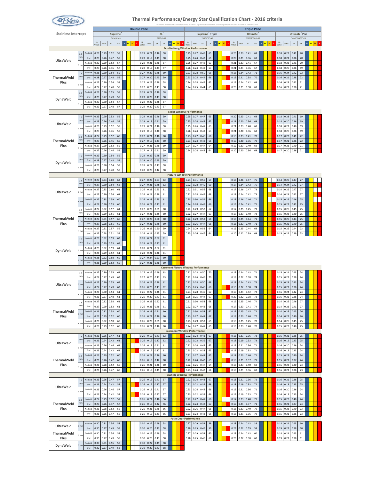

|                            |                 |         |              |                  |      |                      |             |             | <b>Double Pane</b> |              |                  |              |            |                        |                                            |              |                             |             |           |       |                  |      | <b>Triple Pane</b> |                        |       |      |                            |              |                        |  |
|----------------------------|-----------------|---------|--------------|------------------|------|----------------------|-------------|-------------|--------------------|--------------|------------------|--------------|------------|------------------------|--------------------------------------------|--------------|-----------------------------|-------------|-----------|-------|------------------|------|--------------------|------------------------|-------|------|----------------------------|--------------|------------------------|--|
| <b>Stainless Intercept</b> |                 |         |              |                  |      | Supreme <sup>2</sup> |             |             |                    |              |                  |              | $XL^2$     |                        |                                            |              | Supreme <sup>2</sup> Triple |             |           |       |                  |      | Ultimate           |                        |       |      | Ultimate <sup>2</sup> Plus |              |                        |  |
|                            |                 |         | U            |                  |      | 7036/C-AR            |             |             |                    | U-           |                  |              | 6227/C-AR  |                        | U                                          |              |                             | 7036/C/C-AR |           | $U -$ |                  |      | 7036/7036/C-AR     |                        | $U -$ |      | 7036/7036/C-KR             |              |                        |  |
|                            |                 |         | Value        | SHGC             |      | VT                   | $_{\rm CR}$ | $\mathbf N$ | NC SC S            | Value        | SHGC             | VT           | ${\sf CR}$ | N <mark>NC SC S</mark> | Value                                      | SHGC         | VT                          | ${\tt CR}$  | N NC SC S | Value | SHGC             | VT   | ${\sf CR}$         | N <mark>NC SC S</mark> | Value | SHGC | VT                         | ${\sf CR}$   | N <mark>NC SC S</mark> |  |
|                            |                 |         |              |                  |      |                      |             |             |                    |              |                  |              |            |                        | <b>Double Hung Window Performance</b>      |              |                             |             |           |       |                  |      |                    |                        |       |      |                            |              |                        |  |
|                            | 2.5             | No Grid | 0.29         | 0.29             |      | 0.52                 | 58          |             |                    | 0.29         | 0.21             | 0.46         | 58         |                        | 0.25                                       | 0.27         | 0.48                        | 65          |           | 0.20  | 0.23             | 0.41 | 69                 |                        | 0.18  | 0.23 | 0.41                       | 70           |                        |  |
| UltraWeld                  | mm              | Grid    | 0.29         | 0.26             | 0.47 |                      | 58          |             |                    | 0.29         | 0.19             | 0.41         | 58         |                        | 0.25                                       | 0.24         | 0.43                        | 65          |           | 0.20  | 0.21             | 0.36 | 69                 |                        | 0.18  | 0.21 | 0.36                       | 70           |                        |  |
|                            |                 | No Grid | 0.29         | 0.29             | 0.52 |                      | 57          |             |                    | 0.29         | 0.21             | 0.46         | 57         |                        | 0.25                                       | 0.27         | 0.48                        | 63          |           | 0.21  | 0.23             | 0.41 | 67                 |                        | 0.18  | 0.23 | 0.41                       | 70           |                        |  |
|                            | m               | Grid    | 0.29         | 0.26             | 0.46 |                      | 57          |             |                    | 0.29         | 0.19             | 0.41         | 57         |                        | 0.26                                       | 0.24         | 0.42                        | 63          |           | 0.21  | 0.21             | 0.36 | 67                 |                        | 0.18  | 0.20 | 0.36                       | 69           |                        |  |
|                            | $2.5\,$         | No Grid | 0.28         | 0.30             |      | 0.54                 | 59          |             |                    | 0.27         | 0.22             | 0.48         | 59         |                        | 0.23                                       | 0.28         | 0.50                        | 66          |           | 0.18  | 0.24             | 0.42 | $71\,$             |                        | 0.16  | 0.24 | 0.42                       | $72\,$       |                        |  |
| ThermalWeld                | mm              | Grid    | 0.28         | 0.27             | 0.48 |                      | 59          |             |                    | 0.27         | 0.20             | 0.43         | 59         |                        | 0.23                                       | 0.25         | 0.44                        | 66          |           | 0.19  | 0.21             | 0.38 | 70                 |                        | 0.16  | 0.21 | 0.38                       | 72           |                        |  |
| Plus                       |                 | No Grid | 0.27         | 0.30             | 0.54 |                      | 58          |             |                    | 0.27         | 0.22             | 0.48         | 58         |                        | 0.24                                       | 0.28         | 0.49                        | 65          |           | 0.19  | 0.24             | 0.42 | 69                 |                        | 0.16  | 0.23 | 0.42                       | 71           |                        |  |
|                            | m               | Grid    | 0.27         | 0.27             |      | 0.48                 | 58          |             |                    | 0.27         | 0.20             | 0.43         | 58         |                        | 0.24                                       | 0.25         | 0.44                        | 65          |           | 0.20  | 0.21             | 0.38 | 69                 |                        | 0.16  | 0.21 | 0.38                       | $71\,$       |                        |  |
|                            |                 |         | 0.29         |                  |      |                      | 58          |             |                    |              |                  |              |            |                        |                                            |              |                             |             |           |       |                  |      |                    |                        |       |      |                            |              |                        |  |
|                            | 2.5<br>mm       | No Grid |              | 0.30             | 0.55 |                      |             |             |                    | 0.29         | 0.22             | 0.48         | 58         |                        |                                            |              |                             |             |           |       |                  |      |                    |                        |       |      |                            |              |                        |  |
| DynaWeld                   |                 | Grid    | 0.29         | 0.27             |      | 0.49                 | 58          |             |                    | 0.29         | 0.20             | 0.43         | 58         |                        |                                            |              |                             |             |           |       |                  |      |                    |                        |       |      |                            |              |                        |  |
|                            | i mi            | No Grid | 0.29         | 0.30             | 0.54 |                      | 57          |             |                    | 0.29         | 0.22             | 0.48         | 57         |                        |                                            |              |                             |             |           |       |                  |      |                    |                        |       |      |                            |              |                        |  |
|                            |                 | Grid    | 0.29         | 0.27             | 0.48 |                      | 57          |             |                    | 0.29         | 0.20             | 0.43         | 57         |                        |                                            |              |                             |             |           |       |                  |      |                    |                        |       |      |                            |              |                        |  |
|                            |                 |         |              |                  |      |                      |             |             |                    |              |                  |              |            |                        | <b>Slider Window Performance</b>           |              |                             |             |           |       |                  |      |                    |                        |       |      |                            |              |                        |  |
|                            | 2.5             | No Grid | 0.29         | 0.29             | 0.52 |                      | 59          |             |                    | 0.29         | 0.21             | 0.46         | 59         |                        | 0.25                                       | 0.27         | 0.47                        | 65          |           | 0.20  | 0.23             | 0.41 | 69                 |                        | 0.18  | 0.23 | 0.41                       | 69           |                        |  |
| UltraWeld                  | mm              | Grid    | 0.29         | 0.26             |      | 0.46                 | 59          |             |                    | 0.29         | 0.19             | 0.41         | 59         |                        | 0.25                                       | 0.24         | 0.42                        | 65          |           | 0.21  | 0.20             | 0.36 | 69                 |                        | 0.18  | 0.20 | 0.36                       | 69           |                        |  |
|                            |                 | No Grid | 0.29         | 0.29             | 0.52 |                      | 58          |             |                    | 0.29         | 0.21             | 0.46         | 58         |                        | 0.25                                       | 0.26         | 0.47                        | 63          |           | 0.21  | 0.23             | 0.40 | 68                 |                        | 0.18  | 0.22 | 0.40                       | 69           |                        |  |
|                            |                 | Grid    | 0.29         | 0.26             |      | 0.46                 | 58          |             |                    | 0.29         | 0.19             | 0.40         | 58         |                        | 0.26                                       | 0.24         | 0.42                        | 63          |           | 0.21  | 0.20             | 0.36 | 68                 |                        | 0.18  | 0.20 | 0.36                       | 69           |                        |  |
|                            | 2.5             | No Grid | 0.27         | 0.29             |      | 0.52                 | 60          |             |                    | 0.27         | 0.21             | 0.46         | 60         |                        | 0.23                                       | 0.27         | 0.48                        | 66          |           | 0.19  | 0.23             | 0.41 | 70                 |                        | 0.17  | 0.23 | 0.41                       | 72           |                        |  |
| ThermalWeld                | mm              | Grid    | 0.27         | 0.26             |      | 0.46                 | 60          |             |                    | 0.27         | 0.19             | 0.41         | 60         |                        | 0.23                                       | 0.24         | 0.42                        | 66          |           | 0.19  | 0.20             | 0.36 | 70                 |                        | 0.17  | 0.21 | 0.36                       | 72           |                        |  |
| Plus                       |                 | No Grid | 0.27         | 0.29             |      | 0.52                 | 59          |             |                    | 0.27         | 0.21             | 0.46         | 59         |                        | 0.24                                       | 0.27         | 0.47                        | 64          |           | 0.19  | 0.23             | 0.40 | 69                 |                        | 0.17  | 0.23 | 0.40                       | 71           |                        |  |
|                            |                 | Grid    | 0.27         | 0.26             |      | 0.46                 | 59          |             |                    | 0.27         | 0.19             | 0.41         | 59         |                        | 0.24                                       | 0.24         | 0.42                        | 64          |           | 0.20  | 0.20             | 0.36 | 69                 |                        | 0.17  | 0.20 | 0.36                       | $71\,$       |                        |  |
|                            | 2.5             | No Grid | 0.29         | 0.30             | 0.54 |                      | 59          |             |                    | 0.29         | 0.22             | 0.48         | 59         |                        |                                            |              |                             |             |           |       |                  |      |                    |                        |       |      |                            |              |                        |  |
|                            | mm              | Grid    | 0.29         | 0.27             | 0.48 |                      | 59          |             |                    | 0.29         | 0.20             | 0.43         | 59         |                        |                                            |              |                             |             |           |       |                  |      |                    |                        |       |      |                            |              |                        |  |
| DynaWeld                   |                 | No Grid |              |                  |      |                      |             |             |                    |              |                  |              |            |                        |                                            |              |                             |             |           |       |                  |      |                    |                        |       |      |                            |              |                        |  |
|                            | 3 mn            |         | 0.29         | 0.30             | 0.54 |                      | 58          |             |                    | 0.28         | 0.22             | 0.47         | 58         |                        |                                            |              |                             |             |           |       |                  |      |                    |                        |       |      |                            |              |                        |  |
|                            |                 | Grid    | 0.29         | 0.27             | 0.48 |                      | 58          |             |                    | 0.28         | 0.20             | 0.42         | 58         |                        |                                            |              |                             |             |           |       |                  |      |                    |                        |       |      |                            |              |                        |  |
|                            |                 |         |              |                  |      |                      |             |             |                    |              |                  |              |            |                        | <b>Picture Window Performance</b>          |              |                             |             |           |       |                  |      |                    |                        |       |      |                            |              |                        |  |
|                            | $2.5$<br>mm     | No Grid | 0.27<br>0.27 | 0.33<br>0.30     | 0.54 | 0.60                 | 62<br>62    |             |                    | 0.27<br>0.27 | 0.23<br>0.21     | 0.53<br>0.48 | 62<br>62   |                        | 0.21<br>0.22                               | 0.31<br>0.28 | 0.55<br>0.49                | 69<br>69    |           | 0.16  | 0.26             | 0.47 | 75                 |                        | 0.14  | 0.26 | 0.47                       | $77\,$<br>77 |                        |  |
|                            |                 | Grid    |              |                  |      |                      |             |             |                    |              |                  |              |            |                        |                                            |              |                             |             |           | 0.17  | 0.24             | 0.42 | 75                 |                        | 0.14  | 0.24 | 0.42                       |              |                        |  |
| UltraWeld                  | 3 mi            | No Grid | 0.27         | 0.33             | 0.60 |                      | 61          |             |                    | 0.26         | 0.23             | 0.53         | 61         |                        | 0.22                                       | 0.31         | 0.55                        | 68          |           | 0.17  | 0.26             | 0.47 | 73                 |                        | 0.14  | 0.26 | 0.47                       | 77           |                        |  |
|                            |                 | Grid    | 0.27         | 0.30             | 0.54 |                      | 61          |             |                    | 0.26         | 0.21             | 0.48         | 61         |                        | 0.22                                       | 0.28         | 0.49                        | 68          |           | 0.18  | 0.24             | 0.42 | 73                 |                        | 0.14  | 0.24 | 0.42                       | 77           |                        |  |
|                            |                 | No Grid | 0.27         | 0.33             |      | 0.59                 | 60          |             |                    | 0.26         | 0.23             | 0.53         | 61         |                        | 0.23                                       | 0.30         | 0.54                        | 66          |           | 0.19  | 0.26             | 0.46 | $71\,$             |                        | 0.15  | 0.26 | 0.46                       | 75           |                        |  |
|                            |                 | Grid    | 0.27         | 0.30             |      | 0.53                 | 60          |             |                    | 0.26         | 0.21             | 0.47         | 61         |                        | 0.24                                       | 0.28         | 0.48                        | 66          |           | 0.19  | 0.24             | 0.41 | $71\,$             |                        | 0.15  | 0.23 | 0.41                       | 75           |                        |  |
|                            | 2.5             | No Grid | 0.27         | 0.32             | 0.57 |                      | 61          |             |                    | 0.27         | 0.23             | 0.51         | 60         |                        | 0.22                                       | 0.29         | 0.53                        | 67          |           | 0.17  | 0.25             | 0.45 | 73                 |                        | 0.15  | 0.25 | 0.45                       | 75           |                        |  |
|                            |                 | Grid    | 0.27         | 0.29             | 0.51 |                      | 61          |             |                    | 0.27         | 0.21             | 0.45         | 60         |                        | 0.22                                       | 0.27         | 0.47                        | 67          |           | 0.17  | 0.23             | 0.40 | 73                 |                        | 0.15  | 0.23 | 0.40                       | 75           |                        |  |
| ThermalWeld                |                 | No Grid | 0.27         | 0.31             |      | 0.57                 | 60          |             |                    | 0.27         | 0.23             | 0.50         | 60         |                        | 0.22                                       | 0.29         | 0.52                        | 66          |           | 0.18  | 0.25             | 0.44 | $71\,$             |                        | 0.15  | 0.25 | 0.44                       | 75           |                        |  |
| Plus                       |                 | Grid    | 0.27         | 0.28             | 0.51 |                      | 60          |             |                    | 0.27         | 0.21             | 0.45         | 60         |                        | 0.23                                       | 0.26         | 0.47                        | 66          |           | 0.18  | 0.23             | 0.40 | $71\,$             |                        | 0.15  | 0.22 | 0.40                       | 75           |                        |  |
|                            |                 | No Grid | 0.27         | 0.31             | 0.57 |                      | 59          |             |                    | 0.26         | 0.23             | 0.50         | 59         |                        | 0.24                                       | 0.29         | 0.52                        | 64          |           | 0.19  | 0.25             | 0.44 | 69                 |                        | 0.15  | 0.25 | 0.44                       | 73           |                        |  |
|                            |                 | Grid    | 0.27         | 0.28             | 0.51 |                      | 59          |             |                    | 0.26         | 0.21             | 0.45         | 59         |                        | 0.25                                       | 0.26         | 0.46                        | 64          |           | 0.20  | 0.22             | 0.39 | 69                 |                        | 0.15  | 0.22 | 0.39                       | 73           |                        |  |
|                            | 2.5             | No Grid | 0.28         | 0.32             |      | 0.59                 | 62          |             |                    | 0.28         | 0.24             | 0.52         | 61         |                        |                                            |              |                             |             |           |       |                  |      |                    |                        |       |      |                            |              |                        |  |
|                            | mm              | Grid    | 0.28         | 0.29             |      | 0.53                 | 62          |             |                    | 0.28         | 0.21             | 0.47         | 61         |                        |                                            |              |                             |             |           |       |                  |      |                    |                        |       |      |                            |              |                        |  |
| DynaWeld                   |                 | No Grid | 0.28         | 0.32             | 0.59 |                      | 61          |             |                    | 0.28         | 0.24             | 0.52         | 61         |                        |                                            |              |                             |             |           |       |                  |      |                    |                        |       |      |                            |              |                        |  |
|                            |                 | Grid    | 0.28         | 0.29             | 0.52 |                      | 61          |             |                    | 0.28         | 0.21             | 0.46         | 61         |                        |                                            |              |                             |             |           |       |                  |      |                    |                        |       |      |                            |              |                        |  |
|                            | l mr            | No Grid | 0.28         | 0.32             |      | 0.58                 | 60          |             |                    | 0.27         | 0.24             | 0.51         | 60         |                        |                                            |              |                             |             |           |       |                  |      |                    |                        |       |      |                            |              |                        |  |
|                            |                 | Grid    | 0.28         | 0.29             | 0.52 |                      | 60          |             |                    | 0.27         | 0.21             | 0.46         | 60         |                        |                                            |              |                             |             |           |       |                  |      |                    |                        |       |      |                            |              |                        |  |
|                            |                 |         |              |                  |      |                      |             |             |                    |              |                  |              |            |                        | <b>Casement Picture Window Performance</b> |              |                             |             |           |       |                  |      |                    |                        |       |      |                            |              |                        |  |
|                            | 2.5             | No Grid | 0.27         | 0.30             | 0.55 |                      | 62          |             |                    | 0.27         | 0.22             | 0.49         | 63         |                        | 0.22                                       | 0.28         | 0.50                        | 70          |           | 0.17  | 0.24             | 0.43 | 74                 |                        | 0.15  | 0.24 | 0.43                       | 74           |                        |  |
|                            | mm              | Grid    | 0.27         | 0.27             | 0.49 |                      | 62          |             |                    | 0.27         | 0.20             | 0.43         | 63         |                        | 0.22                                       | 0.26         | 0.45                        | 70          |           | 0.18  | 0.22             | 0.38 | 74                 |                        | 0.15  | 0.22 | 0.38                       | 74           |                        |  |
|                            |                 | No Grid | 0.27         | 0.30             |      | 0.55                 | 62          |             |                    | 0.26         | 0.22             | 0.48         | 62         |                        | 0.22                                       | 0.28         | 0.50                        | 68          |           | 0.18  | 0.24             | 0.43 | $74\,$             |                        | 0.15  | 0.24 | 0.43                       | 74           |                        |  |
| UltraWeld                  | 3 <sub>mn</sub> | Grid    | 0.27         | 0.27             |      | 0.49                 | 62          |             |                    | 0.26         | 0.20             | 0.43         | 62         |                        | 0.23                                       | 0.25         | 0.45                        | 68          |           | 0.19  | 0.22             | 0.38 | 74                 |                        | 0.15  | 0.22 | 0.38                       | 74           |                        |  |
|                            |                 | No Grid | 0.26         | 0.30             | 0.54 |                      | 61          |             |                    | 0.26         | 0.22             | 0.48         | 61         |                        | 0.24                                       | 0.28         | 0.49                        | 67          |           | 0.19  | 0.24             | 0.42 | 72                 |                        | 0.16  | 0.24 | 0.42                       | 74           |                        |  |
|                            |                 | Grid    |              | $0.26$ 0.27 0.48 |      |                      | 61          |             |                    | 0.26         | $0.20 \mid 0.43$ |              | 61         |                        | 0.25                                       | 0.25         | 0.44                        | 67          |           |       | 0.20  0.22  0.38 |      | 72                 |                        | 0.16  | 0.21 | 0.38                       | 74           |                        |  |
|                            | 2.5             | No Grid | 0.27         | 0.32             | 0.58 |                      | 61          |             |                    | 0.26         | 0.23             | 0.52         | 61         |                        | 0.21                                       | 0.30         | 0.53                        | 68          |           | 0.16  | 0.25             | 0.46 | 74                 |                        | 0.14  | 0.25 | 0.46                       | 77           |                        |  |
|                            | mm              | Grid    | 0.27         | 0.29             | 0.52 |                      | 61          |             |                    | 0.26         | 0.21             | 0.46         | 61         |                        | 0.22                                       | 0.27         | 0.48                        | 68          |           | 0.17  | 0.23             | 0.41 | 74                 |                        | 0.14  | 0.23 | 0.41                       | 77           |                        |  |
| ThermalWeld                |                 | No Grid | 0.26         | 0.32             |      | 0.58                 | 60          |             |                    | 0.26         | 0.23             | 0.51         | 60         |                        | 0.22                                       | 0.30         | 0.53                        | 67          |           | 0.17  | 0.25             | 0.45 | 72                 |                        | 0.14  | 0.25 | 0.45                       | 76           |                        |  |
| Plus                       | I <sub>mr</sub> | Grid    | 0.26         | 0.29             | 0.52 |                      | 60          |             |                    | 0.26         | 0.21             | 0.46         | 60         |                        | 0.23                                       | 0.27         | 0.47                        | 67          |           | 0.18  | 0.23             | 0.40 | 72                 |                        | 0.14  | 0.23 | 0.40                       | 76           |                        |  |
|                            |                 | No Grid | 0.26         | 0.32             |      | 0.58                 | 60          |             |                    | 0.26         | 0.23             | 0.51         | 60         |                        | 0.23                                       | 0.29         | 0.52                        | 65          |           | 0.19  | 0.25             | 0.45 | 70                 |                        | 0.14  | 0.25 | 0.45                       | 75           |                        |  |
|                            | m               | Grid    | 0.26         | 0.29             | 0.52 |                      | 60          |             |                    | 0.26         | 0.21             | 0.46         | 60         |                        | 0.24                                       | 0.27         | 0.47                        | 65          |           | 0.19  | 0.23             | 0.40 | 70                 |                        | 0.15  | 0.23 | 0.40                       | 75           |                        |  |
|                            |                 |         |              |                  |      |                      |             |             |                    |              |                  |              |            |                        | <b>Casement Window Performance</b>         |              |                             |             |           |       |                  |      |                    |                        |       |      |                            |              |                        |  |
|                            | $2.5$           | No Grid | 0.26         | 0.26             | 0.47 |                      | 61          |             |                    | 0.26         | 0.19             | 0.41         | 62         |                        | 0.22                                       | 0.24         | 0.43                        | 67          |           | 0.18  | 0.21             | 0.36 | 73                 |                        | 0.16  | 0.21 | 0.36                       | $75\,$       |                        |  |
|                            | mm              | Grid    | 0.26         | 0.24             |      | 0.42                 | 61          |             |                    | 0.26         | 0.17             | 0.37         | 62         |                        | 0.22                                       | 0.22         | 0.39                        | 67          |           | 0.18  | 0.19             | 0.33 | 73                 |                        | 0.16  | 0.19 | 0.33                       | 75           |                        |  |
| UltraWeld                  |                 |         |              |                  |      |                      |             |             |                    |              |                  |              |            |                        |                                            |              |                             |             |           |       |                  |      |                    |                        |       |      |                            |              |                        |  |
|                            | 3 mn            | No Grid | 0.26         | 0.26             | 0.46 |                      | 61          |             |                    | 0.26         | 0.19             | 0.41         | 61         |                        | 0.22                                       | 0.24         | 0.42                        | 65          |           | 0.19  | 0.21             | 0.36 | 71                 |                        | 0.16  | 0.20 | 0.36                       | 74           |                        |  |
|                            |                 | Grid    | 0.26         | 0.24             | 0.42 |                      | 61          |             |                    | 0.26         | 0.17             | 0.37         | 61         |                        | 0.23                                       | 0.22         | 0.38                        | 65          |           | 0.19  | 0.19             | 0.33 | 71                 |                        | 0.16  | 0.19 | 0.33                       | 74           |                        |  |
|                            | 2.5<br>mm       | No Grid | 0.26         | 0.29             | 0.52 |                      | 60          |             |                    | 0.26         | 0.21             | 0.46         | 60         |                        | 0.21                                       | 0.27         | 0.47                        | 65          |           | 0.17  | 0.23             | 0.40 | $71\,$             |                        | 0.15  | 0.23 | 0.40                       | $74\,$       |                        |  |
| ThermalWeld                |                 | Grid    | 0.26         | 0.26             | 0.47 |                      | 60          |             |                    | 0.26         | 0.19             | 0.42         | 60         |                        | 0.22                                       | 0.24         | 0.43                        | 65          |           | 0.18  | 0.21             | 0.37 | 71                 |                        | 0.15  | 0.21 | 0.37                       | 74           |                        |  |
| Plus                       | 3 mn            | No Grid | 0.26         | 0.28             |      | 0.52                 | 60          |             |                    | 0.26         | 0.21             | 0.46         | 60         |                        | 0.22                                       | 0.26         | 0.47                        | 64          |           | 0.18  | 0.23             | 0.40 | 69                 |                        | 0.15  | 0.23 | 0.40                       | 73           |                        |  |
|                            |                 | Grid    | 0.26         | 0.26             | 0.47 |                      | 60          |             |                    | 0.26         | 0.19             | 0.41         | 60         |                        | 0.23                                       | 0.24         | 0.43                        | 64          |           | 0.18  | 0.21             | 0.36 | 69                 |                        | 0.16  | 0.21 | 0.36                       | 73           |                        |  |
|                            |                 |         |              |                  |      |                      |             |             |                    |              |                  |              |            |                        | <b>Awning Window Performance</b>           |              |                             |             |           |       |                  |      |                    |                        |       |      |                            |              |                        |  |
|                            | $2.5\,$<br>mm   | No Grid | 0.26         | 0.26             | 0.47 |                      | 57          |             |                    | 0.26         | 0.19             | 0.41         | 57         |                        | 0.22                                       | 0.24         | 0.43                        | 67          |           | 0.18  | 0.21             | 0.36 | 72                 |                        | 0.16  | 0.21 | 0.36                       | 75           |                        |  |
| UltraWeld                  |                 | Grid    | 0.26         | 0.24             | 0.42 |                      | 57          |             |                    | 0.26         | 0.17             | 0.37         | 57         |                        | 0.22                                       | 0.22         | 0.39                        | 68          |           | 0.18  | 0.19             | 0.33 | $72\,$             |                        | 0.16  | 0.19 | 0.33                       | 75           |                        |  |
|                            | m               | No Grid | 0.26         | 0.26             | 0.46 |                      | 57          |             |                    | 0.26         | 0.19             | 0.41         | 57         |                        | 0.23                                       | 0.24         | 0.42                        | 66          |           | 0.19  | 0.21             | 0.36 | 71                 |                        | 0.16  | 0.20 | 0.36                       | 74           |                        |  |
|                            |                 | Grid    | 0.26         | 0.24             | 0.42 |                      | 57          |             |                    | 0.26         | 0.17             | 0.37         | 57         |                        | 0.23                                       | 0.22         | 0.38                        | 66          |           | 0.19  | 0.19             | 0.33 | $71\,$             |                        | 0.16  | 0.19 | 0.33                       | 74           |                        |  |
|                            | 2.5             | No Grid | 0.27         | 0.29             | 0.52 |                      | 57          |             |                    | 0.26         | 0.21             | 0.46         | 56         |                        | 0.22                                       | 0.27         | 0.47                        | 66          |           | 0.17  | 0.23             | 0.40 | 71                 |                        | 0.15  | 0.23 | 0.40                       | 74           |                        |  |
| ThermalWeld                | mm              | Grid    | 0.27         | 0.26             |      | 0.47                 | 57          |             |                    | 0.26         | 0.19             | 0.42         | 56         |                        | 0.22                                       | 0.24         | 0.43                        | 67          |           | 0.17  | 0.21             | 0.37 | 71                 |                        | 0.15  | 0.21 | 0.37                       | 74           |                        |  |
| Plus                       | 3 mn            | No Grid | 0.26         | 0.28             | 0.52 |                      | 56          |             |                    | 0.26         | 0.21             | 0.46         | 56         |                        | 0.22                                       | 0.26         | 0.47                        | 65          |           | 0.18  | 0.23             | 0.40 | 70                 |                        | 0.15  | 0.23 | 0.40                       | 73           |                        |  |
|                            |                 | Grid    | 0.26         | 0.26             | 0.47 |                      | 56          |             |                    | 0.26         | 0.19             | 0.41         | 56         |                        | 0.23                                       | 0.24         | 0.43                        | 65          |           | 0.18  | 0.21             | 0.36 | $70\,$             |                        | 0.15  | 0.21 | 0.36                       | 73           |                        |  |
|                            |                 |         |              |                  |      |                      |             |             |                    |              |                  |              |            |                        | <b>Patio Door Performance</b>              |              |                             |             |           |       |                  |      |                    |                        |       |      |                            |              |                        |  |
| UltraWeld                  | $3 \text{mn}$   | No Grid | 0.30         | 0.31             |      | 0.56                 | 58          |             |                    | 0.30         | 0.22             | 0.49         | 58         |                        | 0.27                                       | 0.29         | 0.51                        | 59          |           | 0.23  | 0.24             | 0.43 | 38                 |                        | 0.18  | 0.24 | 0.43                       | 60           |                        |  |
|                            |                 | Grid    | 0.30         | 0.27             |      | 0.49                 | 58          |             |                    | 0.30         | 0.20             | 0.43         | 58         |                        | 0.28                                       | 0.25         | 0.45                        | 59          |           | 0.23  | 0.22             | 0.59 | 59                 |                        | 0.19  | 0.22 | 0.38                       | 60           |                        |  |
| ThermalWeld                | m               | No Grid | 0.30         | 0.31             |      | 0.56                 | 58          |             |                    | 0.30         | 0.22             | 0.49         | 58         |                        | 0.27                                       | 0.29         | 0.51                        | 60          |           | 0.23  | 0.24             | 0.43 | 60                 |                        | 0.18  | 0.24 | 0.43                       | 61           |                        |  |
| Plus                       |                 | Grid    | 0.30         | 0.27             |      | 0.49                 | 58          |             |                    | 0.30         | 0.20             | 0.43         | 58         |                        | 0.28                                       | 0.25         | 0.45                        | 60          |           | 0.23  | 0.22             | 0.38 | 60                 |                        | 0.19  | 0.22 | 0.38                       | 61           |                        |  |
| DynaWeld                   |                 | No Grid | 0.30         | 0.31             | 0.56 |                      | 58          |             |                    | 0.30         | 0.22             | 0.49         | 58         |                        |                                            |              |                             |             |           |       |                  |      |                    |                        |       |      |                            |              |                        |  |
|                            |                 | Grid    | 0.30         | 0.27             |      | 0.49                 | 58          |             |                    | 0.30         | 0.20             | 0.43         | 58         |                        |                                            |              |                             |             |           |       |                  |      |                    |                        |       |      |                            |              |                        |  |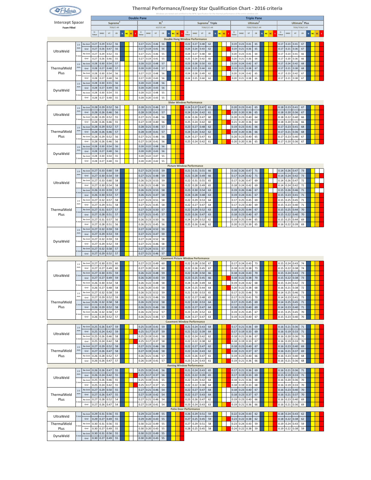| Rolaris.                |             |                 |               |              |                          |                      |   |          |                    |                |              |                        |            |        |       |                                                      |                          |                             |             |                   | Thermal Performance/Energy Star Qualification Chart - 2016 criteria<br>Windows are tested and certified to the NFRC Specification for the thermal performance of the e |              |                          |                        |                                             |         |    |                       |                          |              |                            |              |    |
|-------------------------|-------------|-----------------|---------------|--------------|--------------------------|----------------------|---|----------|--------------------|----------------|--------------|------------------------|------------|--------|-------|------------------------------------------------------|--------------------------|-----------------------------|-------------|-------------------|------------------------------------------------------------------------------------------------------------------------------------------------------------------------|--------------|--------------------------|------------------------|---------------------------------------------|---------|----|-----------------------|--------------------------|--------------|----------------------------|--------------|----|
| <b>Intercept Spacer</b> |             |                 |               |              |                          | Supreme <sup>2</sup> |   |          | <b>Double Pane</b> |                |              |                        | $XL^2$     |        |       |                                                      |                          | Supreme <sup>2</sup> Triple |             |                   |                                                                                                                                                                        |              |                          |                        | <b>Triple Pane</b><br>Ultimate <sup>2</sup> |         |    |                       |                          |              | Ultimate <sup>2</sup> Plus |              |    |
| <b>Foam Filled</b>      |             |                 |               |              |                          | 7036/C-AR            |   |          |                    |                |              |                        | 6227/C-AR  |        |       |                                                      |                          |                             | 7036/C/C-AR |                   |                                                                                                                                                                        |              |                          |                        | 7036/7036/C-AR                              |         |    |                       |                          |              | 7036/7036/C-KF             |              |    |
|                         |             |                 | $U-$<br>Value | SHGC         | VT                       | CR                   | N | ۷Ć<br>SC |                    | $U -$<br>Value | SHGC         | $\mathsf{V}\mathsf{T}$ | ${\sf CR}$ | $\,$ N | NC SC | U-<br>Valus<br><b>Double Hung Window Performance</b> | SHGC                     | $\mathsf{V}\mathsf{T}$      | ${\sf CR}$  | NC<br>$\mathbf N$ | SC<br>s                                                                                                                                                                | U-<br>Value  | SHGC                     | $\mathsf{V}\mathsf{T}$ | ${\sf CR}$                                  | N<br>NC | SC | U.<br>Value           | <b>SHGC</b>              | VT           | ${\tt CR}$                 | NC<br>$\,$ N | SC |
|                         | 2.5<br>mm   | No Grid<br>Grid | 0.27<br>0.27  | 0.29<br>0.26 | 0.52<br>0.47             | 56<br>56             |   |          |                    | 0.27<br>0.27   | 0.21<br>0.19 | 0.46<br>0.41           | 56<br>56   |        |       | 0.23<br>0.24                                         | 0.27<br>0.24             | 0.48<br>0.43                | 62<br>62    |                   |                                                                                                                                                                        | 0.19<br>0.19 | 0.23<br>0.21             | 0.41<br>0.36           | 65<br>65                                    |         |    | 0.17<br>0.17          | 0.23<br>0.21             | 0.41<br>0.36 | 67<br>67                   |              |    |
| UltraWeld               | l mm        | No Grid         | 0.27          | 0.29         | 0.52                     | 55                   |   |          |                    | 0.27           | 0.21         | 0.46                   | 55         |        |       | 0.24                                                 | 0.27                     | 0.48                        | 60          |                   |                                                                                                                                                                        | 0.20         | 0.23                     | 0.41                   | 64                                          |         |    | 0.17                  | 0.23                     | 0.41         | 66                         |              |    |
|                         | $2.5$       | Grid<br>No Grid | 0.27<br>0.28  | 0.26<br>0.30 | 0.46<br>0.54             | 55<br>57             |   |          |                    | 0.27<br>0.28   | 0.19<br>0.22 | 0.41<br>0.48           | 55<br>57   |        |       | 0.25<br>0.23                                         | 0.24<br>0.28             | 0.42<br>0.50                | 60<br>63    |                   |                                                                                                                                                                        | 0.20<br>0.19 | 0.21<br>0.24             | 0.36<br>0.42           | 64<br>67                                    |         |    | 0.17<br>0.17          | 0.20<br>0.24             | 0.36<br>0.42 | 66<br>68                   |              |    |
| ThermalWeld<br>Plus     | mm          | Grid<br>No Grid | 0.28<br>0.28  | 0.27<br>0.30 | 0.48<br>0.54             | 57<br>56             |   |          |                    | 0.28<br>0.27   | 0.20<br>0.22 | 0.43<br>0.48           | 57<br>56   |        |       | 0.24<br>0.24                                         | 0.25<br>0.28             | 0.44<br>0.49                | 63<br>62    |                   |                                                                                                                                                                        | 0.19<br>0.20 | 0.21<br>0.24             | 0.38<br>0.42           | 67<br>65                                    |         |    | 0.17<br>0.17          | 0.21<br>0.23             | 0.38<br>0.42 | 68<br>67                   |              |    |
|                         | l mn        | Grid<br>No Grid | 0.28<br>0.28  | 0.27<br>0.30 | 0.48<br>0.55             | 56<br>56             |   |          |                    | 0.27<br>0.28   | 0.20<br>0.22 | 0.43<br>0.48           | 56<br>56   |        |       | 0.24                                                 | 0.25                     | 0.44                        | 62          |                   |                                                                                                                                                                        | 0.20         | 0.21                     | 0.38                   | 65                                          |         |    | 0.17                  | 0.21                     | 0.38         | 67                         |              |    |
| DynaWeld                | 2.5<br>mm   | Grid            | 0.28          | 0.27         | 0.49                     | 56                   |   |          |                    | 0.28           | 0.20         | 0.43                   | 56         |        |       |                                                      |                          |                             |             |                   |                                                                                                                                                                        |              |                          |                        |                                             |         |    |                       |                          |              |                            |              |    |
|                         |             | No Grid<br>Grid | 0.28<br>0.28  | 0.30<br>0.27 | 0.54<br>0.48             | 55<br>55             |   |          |                    | 0.28<br>0.28   | 0.22<br>0.20 | 0.48<br>0.43           | 55<br>55   |        |       |                                                      |                          |                             |             |                   |                                                                                                                                                                        |              |                          |                        |                                             |         |    |                       |                          |              |                            |              |    |
|                         | 2.5         | No Grid         | 0.28          | 0.29         | 0.52                     | 56                   |   |          |                    | 0.28           | 0.21         | 0.46                   | 57         |        |       | <b>Slider Window Performance</b><br>0.24             | 0.27                     | 0.47                        | 61          |                   |                                                                                                                                                                        | 0.20         | 0.23                     | 0.41                   | 65                                          |         |    | 0.18                  | 0.23                     | 0.41         | 67                         |              |    |
| UltraWeld               | mm          | Grid<br>No Grid | 0.28<br>0.28  | 0.26<br>0.29 | 0.46<br>0.52             | 56<br>55             |   |          |                    | 0.28<br>0.27   | 0.19<br>0.21 | 0.41<br>0.46           | 57<br>56   |        |       | 0.24<br>0.24                                         | 0.24<br>0.26             | 0.42<br>0.47                | 61<br>60    |                   |                                                                                                                                                                        | 0.20<br>0.20 | 0.20<br>0.23             | 0.36<br>0.40           | 65<br>64                                    |         |    | 0.18<br>0.18          | 0.20<br>0.22             | 0.36<br>0.40 | 67<br>66                   |              |    |
|                         | mn          | Grid            | 0.28          | 0.26         | 0.46                     | 55                   |   |          |                    | 0.27           | 0.19         | 0.40                   | 56         |        |       | 0.25                                                 | 0.24                     | 0.42                        | 60          |                   |                                                                                                                                                                        | 0.21         | 0.20                     | 0.36                   | 64                                          |         |    | 0.18                  | 0.20                     | 0.36         | 66                         |              |    |
| ThermalWeld             | 2.5<br>mm   | No Grid<br>Grid | 0.28<br>0.28  | 0.29<br>0.26 | 0.52<br>0.46             | 57<br>57             |   |          |                    | 0.28<br>0.28   | 0.21<br>0.19 | 0.46<br>0.41           | 57<br>57   |        |       | 0.23<br>0.24                                         | 0.27<br>0.24             | 0.48<br>0.42                | 62<br>62    |                   |                                                                                                                                                                        | 0.19<br>0.19 | 0.23<br>0.20             | 0.41<br>0.36           | 66<br>66                                    |         |    | 0.17<br>0.17          | 0.23<br>0.21             | 0.41<br>0.36 | 68<br>68                   |              |    |
| Plus                    | mn          | No Grid<br>Grid | 0.28<br>0.28  | 0.29<br>0.26 | 0.52<br>0.46             | 56<br>56             |   |          |                    | 0.27<br>0.27   | 0.21<br>0.19 | 0.46<br>0.41           | 56<br>56   |        |       | 0.24<br>0.25                                         | 0.27<br>0.24             | 0.47<br>0.42                | 61<br>61    |                   |                                                                                                                                                                        | 0.20<br>0.20 | 0.23<br>0.20             | 0.40<br>0.36           | 65<br>65                                    |         |    | 0.17<br>0.17          | 0.23<br>0.20             | 0.40<br>0.36 | 67<br>67                   |              |    |
|                         | $2.5$<br>mm | No Grid<br>Grid | 0.28<br>0.28  | 0.30         | 0.54                     | 56                   |   |          |                    | 0.28           | 0.22         | 0.48                   | 56         |        |       |                                                      |                          |                             |             |                   |                                                                                                                                                                        |              |                          |                        |                                             |         |    |                       |                          |              |                            |              |    |
| DynaWeld                | mn          | No Grid         | 0.28          | 0.27<br>0.30 | 0.48<br>0.54             | 56<br>55             |   |          |                    | 0.28<br>0.28   | 0.20<br>0.22 | 0.43<br>0.47           | 56<br>55   |        |       |                                                      |                          |                             |             |                   |                                                                                                                                                                        |              |                          |                        |                                             |         |    |                       |                          |              |                            |              |    |
|                         |             | Grid            | 0.28          | 0.27         | 0.48                     | 55                   |   |          |                    | 0.28           | 0.20         | 0.42                   | 55         |        |       | <b>Picture Window Performance</b>                    |                          |                             |             |                   |                                                                                                                                                                        |              |                          |                        |                                             |         |    |                       |                          |              |                            |              |    |
|                         | $2.5$<br>mm | No Grid<br>Grid | 0.27<br>0.27  | 0.33<br>0.30 | 0.60<br>0.54             | 59<br>59             |   |          |                    | 0.27<br>0.27   | 0.23<br>0.21 | 0.53<br>0.48           | 59<br>59   |        |       | 0.21<br>0.21                                         | 0.31<br>0.28             | 0.55<br>0.49                | 66<br>66    |                   |                                                                                                                                                                        | 0.16<br>0.17 | 0.26<br>0.24             | 0.47<br>0.42           | 71<br>71                                    |         |    | 0.14<br>0.14          | 0.26<br>0.24             | 0.47<br>0.42 | 73<br>73                   |              |    |
| UltraWeld               | 3 mn        | No Grid         | 0.27          | 0.33         | 0.60                     | 58                   |   |          |                    | 0.26           | 0.23         | 0.53                   | 59         |        |       | 0.22                                                 | 0.31                     | 0.55                        | 65          |                   |                                                                                                                                                                        | 0.17         | 0.26                     | 0.47                   | 69                                          |         |    | 0.14                  | 0.26                     | 0.47         | 72                         |              |    |
|                         | mn          | Grid<br>No Grid | 0.27<br>0.26  | 0.30<br>0.33 | 0.54<br>0.59             | 58<br>57             |   |          |                    | 0.26<br>0.26   | 0.21<br>0.23 | 0.48<br>0.53           | 59<br>58   |        |       | 0.22<br>0.23                                         | 0.28<br>0.30             | 0.49<br>0.54                | 65<br>63    |                   |                                                                                                                                                                        | 0.18<br>0.19 | 0.24<br>0.26             | 0.42<br>0.46           | 69<br>67                                    |         |    | 0.14<br>0.15          | 0.24<br>0.26             | 0.42<br>0.46 | 72<br>71                   |              |    |
|                         | $2.5\,$     | Grid<br>No Grid | 0.26<br>0.27  | 0.30<br>0.32 | 0.53<br>0.57             | 57<br>58             |   |          |                    | 0.26<br>0.27   | 0.21<br>0.23 | 0.47<br>0.51           | 58<br>58   |        |       | 0.24<br>0.22                                         | 0.28<br>0.29             | 0.48<br>0.53                | 63<br>64    |                   |                                                                                                                                                                        | 0.19<br>0.17 | 0.24<br>0.25             | 0.41<br>0.45           | 67<br>69                                    |         |    | 0.15<br>0.15          | 0.23<br>0.25             | 0.41<br>0.45 | $71\,$<br>71               |              |    |
| ThermalWeld             | mm          | Grid<br>No Grid | 0.27<br>0.27  | 0.29<br>0.31 | 0.51<br>0.57             | 58<br>57             |   |          |                    | 0.27<br>0.27   | 0.21<br>0.23 | 0.45<br>0.50           | 58<br>57   |        |       | 0.22<br>0.22                                         | 0.27<br>0.29             | 0.47<br>0.52                | 64<br>63    |                   |                                                                                                                                                                        | 0.17<br>0.18 | 0.23<br>0.25             | 0.40<br>0.44           | 69<br>67                                    |         |    | 0.15<br>0.15          | 0.23<br>0.25             | 0.40<br>0.44 | 71<br>$70$                 |              |    |
| Plus                    | mn          | Grid            | 0.27          | 0.28         | 0.51                     | 57                   |   |          |                    | 0.27           | 0.21         | 0.45                   | 57         |        |       | 0.23                                                 | 0.26                     | 0.47                        | 63          |                   |                                                                                                                                                                        | 0.18         | 0.23                     | 0.40                   | 67                                          |         |    | 0.15                  | 0.22                     | 0.40         | 70                         |              |    |
|                         | mr          | No Grid<br>Grid | 0.27<br>0.27  | 0.31<br>0.28 | 0.57<br>0.51             | 56<br>56             |   |          |                    | 0.26<br>0.26   | 0.23<br>0.21 | 0.50<br>0.45           | 56<br>56   |        |       | 0.24<br>0.25                                         | 0.29<br>0.26             | 0.52<br>0.46                | 62<br>62    |                   |                                                                                                                                                                        | 0.19<br>0.20 | 0.25<br>0.22             | 0.44<br>0.39           | 65<br>65                                    |         |    | 0.15<br>0.16          | 0.25<br>0.22             | 0.44<br>0.39 | 69<br>69                   |              |    |
|                         | $2.5$<br>mm | No Grid<br>Grid | 0.27<br>0.27  | 0.32<br>0.29 | 0.59<br>0.53             | 59<br>59             |   |          |                    | 0.27<br>0.27   | 0.24<br>0.21 | 0.52<br>0.47           | 59<br>59   |        |       |                                                      |                          |                             |             |                   |                                                                                                                                                                        |              |                          |                        |                                             |         |    |                       |                          |              |                            |              |    |
| DynaWeld                | 3 mn        | No Grid         | 0.27          | 0.32         | 0.59                     | 59                   |   |          |                    | 0.27           | 0.24         | 0.52                   | 58         |        |       |                                                      |                          |                             |             |                   |                                                                                                                                                                        |              |                          |                        |                                             |         |    |                       |                          |              |                            |              |    |
|                         | mn          | Grid<br>No Grid | 0.27<br>0.27  | 0.29<br>0.32 | 0.52<br>0.58             | 59<br>57             |   |          |                    | 0.27<br>0.27   | 0.21<br>0.24 | 0.46<br>0.51           | 58<br>57   |        |       |                                                      |                          |                             |             |                   |                                                                                                                                                                        |              |                          |                        |                                             |         |    |                       |                          |              |                            |              |    |
|                         |             | Grid            | 0.27          | 0.29         | 0.52                     | 57                   |   |          |                    | 0.27           | 0.21         | 0.46                   | 57         |        |       | <b>Casement Picture Window Performance</b>           |                          |                             |             |                   |                                                                                                                                                                        |              |                          |                        |                                             |         |    |                       |                          |              |                            |              |    |
|                         | 2.5<br>mm   | No Grid<br>Grid | 0.27<br>0.27  | 0.30<br>0.27 | 0.55<br>0.49             | 60<br>60             |   |          |                    | 0.27<br>0.27   | 0.22<br>0.20 | 0.49<br>0.43           | 60<br>60   |        |       | 0.22<br>0.22                                         | 0.28<br>0.26             | 0.50<br>0.45                | 67<br>67    |                   |                                                                                                                                                                        | 0.17<br>0.18 | 0.24<br>0.22             | 0.43<br>0.38           | 73<br>73                                    |         |    | 0.15<br>0.15          | 0.24<br>0.22             | 0.43<br>0.38 | 74<br>74                   |              |    |
| UltraWeld               | mn          | No Grid         | 0.27          | 0.30         | 0.55                     | 59                   |   |          |                    | 0.26           | 0.22         | 0.48                   | 59         |        |       | 0.22                                                 | 0.28                     | 0.50                        | 66          |                   |                                                                                                                                                                        | 0.18         | 0.24                     | 0.43                   | 70                                          |         |    | 0.15                  | 0.24                     | 0.43         | 73                         |              |    |
|                         | mn          | Grid<br>No Grid | 0.26          | 0.30         | $0.27$ 0.27 0.49<br>0.54 | 59<br>58             |   |          |                    | 0.26<br>0.26   | 0.22         | $0.20 \, 0.43$<br>0.48 | 59<br>58   |        |       | 0.24                                                 | $0.23$ 0.25 0.45<br>0.28 | 0.49                        | 66<br>64    |                   |                                                                                                                                                                        | 0.19         | $0.18$ 0.22 0.38<br>0.24 | 0.42                   | 70<br>68                                    |         |    | 0.15                  | $0.15$ 0.22 0.38<br>0.24 | 0.42         | 73<br>72                   |              |    |
|                         | $2.5\,$     | Grid<br>No Grid | 0.26<br>0.27  | 0.27<br>0.32 | 0.48<br>0.58             | 58<br>59             |   |          |                    | 0.26<br>0.26   | 0.20<br>0.23 | 0.43<br>0.52           | 58<br>59   |        |       | 0.24<br>0.21                                         | 0.25<br>0.30             | 0.44<br>0.53                | 64<br>65    |                   |                                                                                                                                                                        | 0.20<br>0.17 | 0.22<br>0.25             | 0.38<br>0.46           | 68<br>70                                    |         |    | 0.16<br>0.14          | 0.21<br>0.25             | 0.38<br>0.46 | 72<br>73                   |              |    |
| ThermalWeld             | mm          | Grid            | 0.27<br>0.26  | 0.29<br>0.32 | 0.52<br>0.58             | 59<br>58             |   |          |                    | 0.26<br>0.26   | 0.21         | 0.46<br>0.52           | 59<br>58   |        |       | 0.22<br>0.22                                         | 0.27<br>0.30             | 0.48<br>0.53                | 65<br>64    |                   |                                                                                                                                                                        | 0.17<br>0.17 | $0.23$ 0.41<br>0.25      | 0.45                   | 70<br>69                                    |         |    | $0.14$ 0.23<br>0.14   | 0.25                     | 0.41<br>0.45 | 73<br>$71\,$               |              |    |
| Plus                    | 3 mm        | No Grid<br>Grid | 0.26          | 0.29         | 0.52                     | 58                   |   |          |                    | 0.26           | 0.23<br>0.21 | 0.46                   | 58         |        |       | 0.23                                                 | 0.27                     | 0.47                        | 64          |                   |                                                                                                                                                                        | 0.18         | 0.23                     | 0.40                   | 69                                          |         |    | 0.14                  | 0.23                     | 0.40         | $71\,$                     |              |    |
|                         | mn          | No Grid<br>Grid | 0.26<br>0.26  | 0.32<br>0.29 | 0.58<br>0.52             | 57<br>57             |   |          |                    | 0.26<br>0.26   | 0.23<br>0.21 | 0.52<br>0.46           | 57<br>57   |        |       | 0.23<br>0.24                                         | 0.29<br>0.27             | 0.52<br>0.47                | 63<br>63    |                   |                                                                                                                                                                        | 0.19<br>0.19 | 0.25<br>0.23             | 0.45<br>0.40           | 67<br>67                                    |         |    | 0.15<br>0.15          | 0.25<br>0.23             | 0.45<br>0.40 | 70<br>70                   |              |    |
|                         | 2.5         | No Grid         | 0.25          | 0.26         | 0.47                     | 59                   |   |          |                    | 0.25           | 0.19         | 0.41                   | 59         |        |       | <b>Casement Window Performance</b><br>0.21           | 0.24                     | 0.43                        | 64          |                   |                                                                                                                                                                        | 0.17         | 0.21                     | 0.36                   | 69                                          |         |    | 0.16                  | 0.21                     | 0.36         | 71                         |              |    |
| UltraWeld               | mm          | Grid            | 0.25          | 0.24         | 0.42                     | 59                   |   |          |                    | 0.25           | 0.17         | 0.37                   | 59         |        |       | 0.21                                                 | 0.22                     | 0.39                        | 64          |                   |                                                                                                                                                                        | 0.17         | 0.19                     | 0.33                   | 69                                          |         |    | 0.16                  | 0.19                     | 0.33         | $71\,$                     |              |    |
|                         |             | No Grid<br>Grid | 0.25<br>0.25  | 0.26<br>0.24 | 0.46<br>0.42             | 58<br>58             |   |          |                    | 0.25<br>0.25   | 0.19<br>0.17 | 0.41<br>0.37           | 58<br>58   |        |       | 0.22<br>0.22                                         | 0.24<br>0.22             | 0.42<br>0.38                | 62<br>62    |                   |                                                                                                                                                                        | 0.18<br>0.18 | 0.21<br>0.19             | 0.36<br>0.33           | 67<br>67                                    |         |    | 0.16<br>0.16          | 0.20<br>0.19             | 0.36<br>0.33 | 70<br>70                   |              |    |
| ThermalWeld             | $2.5$<br>mm | No Grid<br>Grid | 0.27<br>0.27  | 0.29<br>0.26 | 0.52<br>0.47             | 58<br>58             |   |          |                    | 0.27<br>0.27   | 0.21<br>0.19 | 0.46<br>0.42           | 58<br>58   |        |       | 0.22<br>0.22                                         | 0.27<br>0.24             | 0.47<br>0.43                | 62<br>62    |                   |                                                                                                                                                                        | 0.18<br>0.18 | 0.23<br>0.21             | 0.40<br>0.37           | 67<br>67                                    |         |    | 0.16<br>0.16          | 0.23<br>0.21             | 0.40<br>0.37 | 69<br>69                   |              |    |
| Plus                    | mn          | No Grid<br>Grid | 0.26<br>0.26  | 0.28<br>0.26 | 0.52<br>0.47             | 57<br>57             |   |          |                    | 0.26<br>0.26   | 0.21<br>0.19 | 0.46<br>0.41           | 57<br>57   |        |       | 0.23<br>0.23                                         | 0.26<br>0.24             | 0.47<br>0.43                | 61<br>61    |                   |                                                                                                                                                                        | 0.19<br>0.19 | 0.23<br>0.21             | 0.40<br>0.36           | 66<br>66                                    |         |    | 0.16<br>$0.16$ $0.21$ | 0.23                     | 0.40<br>0.36 | 68<br>68                   |              |    |
|                         |             |                 |               |              |                          |                      |   |          |                    |                |              |                        |            |        |       | <b>Awning Window Performance</b>                     |                          |                             |             |                   |                                                                                                                                                                        |              |                          |                        |                                             |         |    |                       |                          |              |                            |              |    |
| UltraWeld               | 2.5<br>mm   | No Grid<br>Grid | 0.26<br>0.26  | 0.26<br>0.24 | 0.47<br>0.42             | 55<br>55             |   |          |                    | 0.25<br>0.25   | 0.19<br>0.17 | 0.41<br>0.37           | 56<br>56   |        |       | 0.21<br>0.21                                         | 0.24<br>0.22             | 0.43<br>0.39                | 65<br>65    |                   |                                                                                                                                                                        | 0.17<br>0.17 | 0.21<br>0.19             | 0.36<br>0.33           | 69<br>69                                    |         |    | 0.16<br>0.15          | 0.21<br>0.19             | 0.36<br>0.33 | 71<br>$71\,$               |              |    |
|                         |             | No Grid<br>Grid | 0.25<br>0.25  | 0.26<br>0.24 | 0.46<br>0.42             | 55<br>55             |   |          |                    | 0.25<br>0.25   | 0.19<br>0.17 | 0.41<br>0.37           | 55<br>55   |        |       | 0.22<br>0.22                                         | 0.24<br>0.22             | 0.42<br>0.38                | 64<br>64    |                   |                                                                                                                                                                        | 0.18<br>0.18 | $0.21$ 0.36<br>0.19      | 0.33                   | 68<br>68                                    |         |    | 0.16<br>0.16          | 0.20<br>0.19             | 0.36<br>0.33 | 70<br>70                   |              |    |
| ThermalWeld             | $2.5$<br>mm | No Grid<br>Grid | 0.27<br>0.27  | 0.29<br>0.26 | 0.50<br>0.47             | 55<br>55             |   |          |                    | 0.27<br>0.27   | 0.21<br>0.19 | 0.46<br>0.42           | 54<br>54   |        |       | 0.22<br>0.22                                         | 0.27<br>0.27             | 0.47<br>0.43                | 64<br>64    |                   |                                                                                                                                                                        | 0.18<br>0.18 | 0.23<br>0.23             | 0.40<br>0.37           | 67<br>67                                    |         |    | 0.16<br>0.16          | 0.23<br>0.21             | 0.40<br>0.37 | 70<br>70                   |              |    |
| Plus                    | mn          | No Grid         | 0.27          | 0.28         | 0.52                     | 54                   |   |          |                    | 0.27           | 0.21         | 0.46                   | 54         |        |       | 0.23                                                 | 0.26                     | 0.47                        | 62          |                   |                                                                                                                                                                        | 0.19         | 0.23                     | 0.40                   | 66                                          |         |    | 0.16                  | 0.23                     | 0.40         | 69                         |              |    |
|                         |             | Grid            | 0.27          | 0.26         | 0.47                     | 54                   |   |          |                    | 0.27           | 0.19         | 0.41                   | 54         |        |       | 0.23<br><b>Patio Door Performance</b>                | 0.24                     | 0.43                        | 63          |                   |                                                                                                                                                                        | 0.19         | 0.21                     | 0.36                   | 66                                          |         |    | 0.16                  | 0.21                     | 0.36         | 69                         |              |    |
| UltraWeld               | mn          | No Grid<br>Grid | 0.29<br>0.29  | 0.31<br>0.27 | 0.56<br>0.49             | 55<br>55             |   |          |                    | 0.29<br>0.29   | 0.22<br>0.20 | 0.49<br>0.43           | 55<br>55   |        |       | 0.26<br>0.27                                         | 0.29<br>0.25             | 0.51<br>0.45                | 59<br>59    |                   |                                                                                                                                                                        | 0.22<br>0.23 | 0.24<br>0.22             | 0.43<br>0.38           | 62<br>62                                    |         |    | 0.18<br>0.18          | 0.24<br>0.22             | 0.43<br>0.38 | 62<br>62                   |              |    |
| ThermalWeld<br>Plus     |             | No Grid<br>Grid | 0.30<br>0.30  | 0.31<br>0.27 | 0.56<br>0.49             | 55<br>55             |   |          |                    | 0.30<br>0.30   | 0.22<br>0.20 | 0.49<br>0.43           | 55<br>55   |        |       | 0.27<br>0.28                                         | 0.29<br>0.25             | 0.51<br>0.45                | 58<br>58    |                   |                                                                                                                                                                        | 0.23<br>0.24 | 0.24<br>0.22             | 0.43<br>0.38           | 59<br>59                                    |         |    | 0.19<br>0.19          | 0.24<br>0.22             | 0.43<br>0.38 | 59<br>59                   |              |    |
| DynaWeld                | 3 mn        | No Grid<br>Grid | 0.30<br>0.30  | 0.31<br>0.27 | 0.56<br>0.49             | 55<br>55             |   |          |                    | 0.30<br>0.30   | 0.22<br>0.20 | 0.49<br>0.43           | 55<br>55   |        |       |                                                      |                          |                             |             |                   |                                                                                                                                                                        |              |                          |                        |                                             |         |    |                       |                          |              |                            |              |    |
|                         |             |                 |               |              |                          |                      |   |          |                    |                |              |                        |            |        |       |                                                      |                          |                             |             |                   |                                                                                                                                                                        |              |                          |                        |                                             |         |    |                       |                          |              |                            |              |    |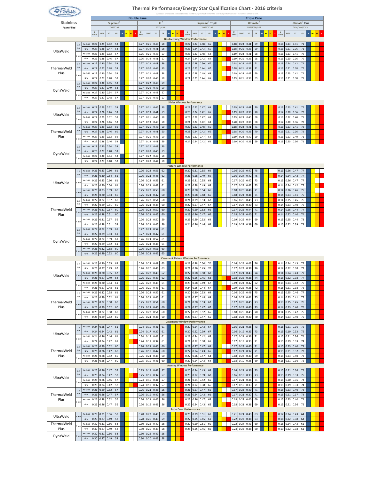| & Polaris.          |               |                 |               |                     |                          |                      |         |    |                    |                        |                        |            |        |                                                |              |                          |                             |             |                   | Thermal Performance/Energy Star Qualification Chart - 2016 criteria<br>Windows are tested and certified to the NFRC Specification for the thermal performance of the e |              |                          |                        |                                             |         |    |                          |              |              |                            |              |    |
|---------------------|---------------|-----------------|---------------|---------------------|--------------------------|----------------------|---------|----|--------------------|------------------------|------------------------|------------|--------|------------------------------------------------|--------------|--------------------------|-----------------------------|-------------|-------------------|------------------------------------------------------------------------------------------------------------------------------------------------------------------------|--------------|--------------------------|------------------------|---------------------------------------------|---------|----|--------------------------|--------------|--------------|----------------------------|--------------|----|
| <b>Stainless</b>    |               |                 |               |                     |                          | Supreme <sup>2</sup> |         |    | <b>Double Pane</b> |                        |                        | $XL^2$     |        |                                                |              |                          | Supreme <sup>2</sup> Triple |             |                   |                                                                                                                                                                        |              |                          |                        | <b>Triple Pane</b><br>Ultimate <sup>2</sup> |         |    |                          |              |              | Ultimate <sup>2</sup> Plus |              |    |
| <b>Foam Filled</b>  |               |                 |               |                     |                          | 7036/C-AR            |         |    |                    |                        |                        | 6227/C-AR  |        |                                                |              |                          |                             | 7036/C/C-AR |                   |                                                                                                                                                                        |              |                          |                        | 7036/7036/C-AR                              |         |    |                          |              |              | 7036/7036/C-KF             |              |    |
|                     |               |                 | $U-$<br>Value | <b>SHGC</b>         | VT                       | CR                   | N<br>۷Ć | SC | $U -$<br>Value     | SHGC                   | $\mathsf{V}\mathsf{T}$ | ${\sf CR}$ | $\,$ N | NC SC<br><b>Double Hung Window Performance</b> | IJ.<br>Value | SHGC                     | $\mathsf{V}\mathsf{T}$      | ${\sf CR}$  | NC<br>$\mathbf N$ | SC<br>s                                                                                                                                                                | U-<br>Value  | SHGC                     | $\mathsf{V}\mathsf{T}$ | ${\sf CR}$                                  | N<br>NC | SC | U.<br>Value              | <b>SHGC</b>  | VT           | ${\tt CR}$                 | NC<br>$\,$ N | SC |
|                     | 2.5<br>mm     | No Grid<br>Grid | 0.27<br>0.27  | 0.29<br>0.26        | 0.52<br>0.47             | 58<br>58             |         |    | 0.27<br>0.27       | 0.21<br>0.19           | 0.46<br>0.41           | 58<br>58   |        |                                                | 0.22<br>0.23 | 0.27<br>0.24             | 0.48<br>0.43                | 65<br>65    |                   |                                                                                                                                                                        | 0.18<br>0.18 | 0.23<br>0.21             | 0.41<br>0.36           | 69<br>69                                    |         |    | 0.16<br>0.16             | 0.23<br>0.21 | 0.41<br>0.36 | $71\,$<br>$71\,$           |              |    |
| UltraWeld           | l mm          | No Grid<br>Grid | 0.26<br>0.26  | 0.29<br>0.26        | 0.52<br>0.46             | 57<br>57             |         |    | 0.26<br>0.26       | 0.21<br>0.19           | 0.46<br>0.41           | 57<br>57   |        |                                                | 0.23<br>0.24 | 0.27<br>0.24             | 0.48<br>0.42                | 64<br>64    |                   |                                                                                                                                                                        | 0.19<br>0.19 | 0.23<br>0.21             | 0.41<br>0.36           | 68<br>68                                    |         |    | 0.16<br>0.16             | 0.23<br>0.20 | 0.41<br>0.36 | 70<br>70                   |              |    |
|                     | $2.5$<br>mm   | No Grid         | 0.27          | 0.30                | 0.54                     | 59                   |         |    | 0.27               | 0.22                   | 0.48                   | 59         |        |                                                | 0.22         | 0.28                     | 0.50                        | 67          |                   |                                                                                                                                                                        | 0.18         | 0.24                     | 0.42                   | 71                                          |         |    | 0.16                     | 0.24         | 0.42         | 72                         |              |    |
| ThermalWeld<br>Plus | l mn          | Grid<br>No Grid | 0.27<br>0.27  | 0.27<br>0.30        | 0.48<br>0.54             | 59<br>58             |         |    | 0.27<br>0.27       | 0.20<br>0.22           | 0.43<br>0.48           | 59<br>58   |        |                                                | 0.23<br>0.23 | 0.25<br>0.28             | 0.44<br>0.49                | 67<br>65    |                   |                                                                                                                                                                        | 0.18<br>0.19 | 0.21<br>0.24             | 0.38<br>0.42           | 71<br>69                                    |         |    | 0.16<br>0.16             | 0.21<br>0.23 | 0.38<br>0.42 | 72<br>72                   |              |    |
|                     | 2.5           | Grid<br>No Grid | 0.27<br>0.27  | 0.27<br>0.30        | 0.48<br>0.55             | 58<br>58             |         |    | 0.27<br>0.27       | 0.20<br>0.22           | 0.43<br>0.48           | 58<br>59   |        |                                                | 0.24         | 0.25                     | 0.44                        | 65          |                   |                                                                                                                                                                        | 0.19         | 0.21                     | 0.38                   | 69                                          |         |    | 0.16                     | 0.21         | 0.38         | $71\,$                     |              |    |
| DynaWeld            | mm            | Grid<br>No Grid | 0.27<br>0.27  | 0.27<br>0.30        | 0.49<br>0.54             | 58<br>57             |         |    | 0.27<br>0.27       | 0.20<br>0.22           | 0.43<br>0.48           | 59<br>57   |        |                                                |              |                          |                             |             |                   |                                                                                                                                                                        |              |                          |                        |                                             |         |    |                          |              |              |                            |              |    |
|                     |               | Grid            | 0.27          | 0.27                | 0.48                     | 57                   |         |    | 0.27               | 0.20                   | 0.43                   | 57         |        | <b>Slider Window Performance</b>               |              |                          |                             |             |                   |                                                                                                                                                                        |              |                          |                        |                                             |         |    |                          |              |              |                            |              |    |
|                     | 2.5<br>mm     | No Grid<br>Grid | 0.27<br>0.27  | 0.29<br>0.26        | 0.52<br>0.46             | 59<br>59             |         |    | 0.27<br>0.27       | 0.21<br>0.19           | 0.46<br>0.41           | 59<br>59   |        |                                                | 0.23<br>0.23 | 0.27<br>0.24             | 0.47<br>0.42                | 65<br>65    |                   |                                                                                                                                                                        | 0.19<br>0.19 | 0.23<br>0.20             | 0.41<br>0.36           | 70<br>70                                    |         |    | 0.16<br>0.17             | 0.23<br>0.20 | 0.41<br>0.36 | 72<br>72                   |              |    |
| UltraWeld           | mn            | No Grid         | 0.27          | 0.29                | 0.52                     | 58                   |         |    | 0.27               | 0.21                   | 0.46                   | 58         |        |                                                | 0.23         | 0.26                     | 0.47                        | 63          |                   |                                                                                                                                                                        | 0.19         | 0.23                     | 0.40                   | 68                                          |         |    | 0.16                     | 0.22         | 0.40         | $71\,$                     |              |    |
|                     | 2.5           | Grid<br>No Grid | 0.27<br>0.27  | 0.26<br>0.29        | 0.46<br>0.52             | 58<br>60             |         |    | 0.27<br>0.27       | 0.19<br>0.21           | 0.40<br>0.46           | 58<br>60   |        |                                                | 0.24<br>0.22 | 0.24<br>0.27             | 0.42<br>0.48                | 63<br>66    |                   |                                                                                                                                                                        | 0.20<br>0.18 | 0.20<br>0.23             | 0.36<br>0.41           | 68<br>$71\,$                                |         |    | 0.17<br>0.16             | 0.20<br>0.23 | 0.36<br>0.41 | 70<br>72                   |              |    |
| ThermalWeld<br>Plus | mm            | Grid<br>No Grid | 0.27<br>0.27  | 0.26<br>0.29        | 0.46<br>0.52             | 60<br>59             |         |    | 0.27<br>0.27       | 0.19<br>0.21           | 0.41<br>0.46           | 60<br>59   |        |                                                | 0.23<br>0.23 | 0.24<br>0.27             | 0.42<br>0.47                | 66<br>64    |                   |                                                                                                                                                                        | 0.18<br>0.19 | 0.20<br>0.23             | 0.36<br>0.40           | 70<br>69                                    |         |    | 0.16<br>0.16             | 0.21<br>0.23 | 0.36<br>0.40 | $72\,$<br>$71\,$           |              |    |
|                     | mn<br>$2.5$   | Grid<br>No Grid | 0.27<br>0.28  | 0.26<br>0.30        | 0.46<br>0.54             | 59<br>59             |         |    | 0.27<br>0.27       | 0.19<br>0.22           | 0.41<br>0.48           | 59<br>59   |        |                                                | 0.24         | 0.24                     | 0.42                        | 64          |                   |                                                                                                                                                                        | 0.19         | 0.20                     | 0.36                   | 69                                          |         |    | 0.16                     | 0.20         | 0.36         | $71\,$                     |              |    |
| DynaWeld            | mm            | Grid            | 0.28          | 0.27                | 0.48                     | 59                   |         |    | 0.27               | 0.20                   | 0.43                   | 59<br>58   |        |                                                |              |                          |                             |             |                   |                                                                                                                                                                        |              |                          |                        |                                             |         |    |                          |              |              |                            |              |    |
|                     | mn            | No Grid<br>Grid | 0.27<br>0.27  | 0.30<br>0.27        | 0.54<br>0.48             | 58<br>58             |         |    | 0.27<br>0.27       | 0.22<br>0.20           | 0.47<br>0.42           | 58         |        |                                                |              |                          |                             |             |                   |                                                                                                                                                                        |              |                          |                        |                                             |         |    |                          |              |              |                            |              |    |
|                     | $2.5$         | No Grid         | 0.26          | 0.33                | 0.60                     | 61                   |         |    | 0.26               | 0.23                   | 0.53                   | 62         |        | <b>Picture Window Performance</b>              | 0.20         | 0.31                     | 0.55                        | 69          |                   |                                                                                                                                                                        | 0.16         | 0.26                     | 0.47                   | 75                                          |         |    | 0.13                     | 0.26         | 0.47         | 77                         |              |    |
|                     | mm            | Grid<br>No Grid | 0.26<br>0.26  | 0.30<br>0.33        | 0.54<br>0.60             | 61<br>61             |         |    | 0.26<br>0.26       | 0.21<br>0.23           | 0.48<br>0.53           | 62<br>61   |        |                                                | 0.21<br>0.21 | 0.28<br>0.31             | 0.49<br>0.55                | 69<br>68    |                   |                                                                                                                                                                        | 0.16<br>0.17 | 0.24<br>0.26             | 0.42<br>0.47           | 75<br>73                                    |         |    | 0.14<br>0.13             | 0.24<br>0.26 | 0.42<br>0.47 | 77<br>77                   |              |    |
| UltraWeld           | 3 mn          | Grid<br>No Grid | 0.26<br>0.26  | 0.30<br>0.33        | 0.54<br>0.59             | 61<br>60             |         |    | 0.26<br>0.25       | 0.21<br>0.23           | 0.48<br>0.53           | 61<br>60   |        |                                                | 0.22<br>0.23 | 0.28<br>0.30             | 0.49<br>0.54                | 68<br>66    |                   |                                                                                                                                                                        | 0.17<br>0.18 | 0.24<br>0.26             | 0.42<br>0.46           | 73<br>71                                    |         |    | 0.14<br>0.14             | 0.24<br>0.26 | 0.42<br>0.46 | 77<br>75                   |              |    |
|                     | mn            | Grid            | 0.26<br>0.27  | 0.30                | 0.53                     | 60<br>60             |         |    | 0.25               | 0.21                   | 0.47                   | 60<br>60   |        |                                                | 0.23<br>0.21 | 0.28                     | 0.48                        | 66<br>67    |                   |                                                                                                                                                                        | 0.18         | 0.24                     | 0.41                   | 71                                          |         |    | 0.14                     | 0.23         | 0.41         | 75<br>76                   |              |    |
|                     | $2.5\,$<br>mm | No Grid<br>Grid | 0.27          | 0.32<br>0.29        | 0.57<br>0.51             | 60                   |         |    | 0.26<br>0.26       | 0.23<br>0.21           | 0.51<br>0.45           | 60         |        |                                                | 0.22         | 0.29<br>0.27             | 0.53<br>0.47                | 67          |                   |                                                                                                                                                                        | 0.16<br>0.17 | 0.25<br>0.23             | 0.45<br>0.40           | 73<br>73                                    |         |    | 0.14<br>0.14             | 0.25<br>0.23 | 0.45<br>0.40 | 76                         |              |    |
| ThermalWeld<br>Plus | mn            | No Grid<br>Grid | 0.26<br>0.26  | 0.31<br>0.28        | 0.57<br>0.51             | 60<br>60             |         |    | 0.26<br>0.26       | 0.23<br>0.21           | 0.50<br>0.45           | 60<br>60   |        |                                                | 0.22<br>0.23 | 0.29<br>0.26             | 0.52<br>0.47                | 66<br>66    |                   |                                                                                                                                                                        | 0.17<br>0.18 | 0.25<br>0.23             | 0.44<br>0.40           | 71<br>71                                    |         |    | 0.14<br>0.14             | 0.25<br>0.22 | 0.44<br>0.40 | 74<br>74                   |              |    |
|                     |               | No Grid<br>Grid | 0.26<br>0.26  | 0.31<br>0.28        | 0.57<br>0.51             | 59<br>59             |         |    | 0.26<br>0.26       | 0.23<br>0.21           | 0.50<br>0.45           | 59<br>59   |        |                                                | 0.23<br>0.24 | 0.29<br>0.26             | 0.52<br>0.46                | 64<br>64    |                   |                                                                                                                                                                        | 0.19<br>0.19 | 0.25<br>0.22             | 0.44<br>0.39           | 69<br>69                                    |         |    | 0.15<br>0.15             | 0.25<br>0.22 | 0.44<br>0.39 | 73<br>73                   |              |    |
|                     | $2.5$<br>mm   | No Grid<br>Grid | 0.27<br>0.27  | 0.32<br>0.29        | 0.59<br>0.53             | 61<br>61             |         |    | 0.27<br>0.27       | 0.24<br>0.21           | 0.52<br>0.47           | 61<br>61   |        |                                                |              |                          |                             |             |                   |                                                                                                                                                                        |              |                          |                        |                                             |         |    |                          |              |              |                            |              |    |
| DynaWeld            | 3 mn          | No Grid         | 0.27          | 0.32                | 0.59                     | 61                   |         |    | 0.26               | 0.24                   | 0.52                   | 61         |        |                                                |              |                          |                             |             |                   |                                                                                                                                                                        |              |                          |                        |                                             |         |    |                          |              |              |                            |              |    |
|                     | mn            | Grid<br>No Grid | 0.27<br>0.26  | 0.29<br>0.32        | 0.52<br>0.58             | 61<br>60             |         |    | 0.26<br>0.26       | 0.21<br>0.24           | 0.46<br>0.51           | 61<br>60   |        |                                                |              |                          |                             |             |                   |                                                                                                                                                                        |              |                          |                        |                                             |         |    |                          |              |              |                            |              |    |
|                     |               | Grid            | 0.26          | 0.29                | 0.52                     | 60                   |         |    | 0.26               | 0.21                   | 0.46                   | 60         |        | <b>Casement Picture Window Performance</b>     |              |                          |                             |             |                   |                                                                                                                                                                        |              |                          |                        |                                             |         |    |                          |              |              |                            |              |    |
|                     | 2.5<br>mm     | No Grid<br>Grid | 0.26<br>0.26  | 0.30<br>0.27        | 0.55<br>0.49             | 62<br>62             |         |    | 0.26<br>0.26       | 0.22<br>0.20           | 0.49<br>0.43           | 63<br>63   |        |                                                | 0.21<br>0.21 | 0.28<br>0.26             | 0.50<br>0.45                | 70<br>70    |                   |                                                                                                                                                                        | 0.16<br>0.17 | 0.24<br>0.22             | 0.43<br>0.38           | 76<br>76                                    |         |    | 0.14<br>0.14             | 0.24<br>0.22 | 0.43<br>0.38 | 77<br>77                   |              |    |
| UltraWeld           | mn            | No Grid<br>Grid | 0.26          | 0.30                | 0.55<br>$0.26$ 0.27 0.49 | 62<br>62             |         |    | 0.26<br>0.26       | 0.22<br>$0.20 \, 0.43$ | 0.48                   | 62<br>62   |        |                                                | 0.22         | 0.28<br>$0.22$ 0.25 0.45 | 0.50                        | 68<br>68    |                   |                                                                                                                                                                        | 0.17         | 0.24<br>$0.18$ 0.22 0.38 | 0.43                   | 74<br>74                                    |         |    | 0.14<br>$0.15$ 0.22 0.38 | 0.24         | 0.43         | 77<br>77                   |              |    |
|                     | mn            | No Grid         | 0.26          | 0.30                | 0.54                     | 61                   |         |    | 0.26               | 0.22                   | 0.48                   | 61         |        |                                                | 0.23         | 0.28                     | 0.49                        | 67          |                   |                                                                                                                                                                        | 0.19         | 0.24                     | 0.42                   | 72                                          |         |    | 0.15                     | 0.24         | 0.42         | 76                         |              |    |
|                     | $2.5\,$       | Grid<br>No Grid | 0.26<br>0.26  | 0.27<br>0.32        | 0.48<br>0.58             | 61<br>61             |         |    | 0.26<br>0.26       | 0.20<br>0.23           | 0.43<br>0.52           | 61<br>61   |        |                                                | 0.24<br>0.20 | 0.25<br>0.30             | 0.44<br>0.53                | 67<br>69    |                   |                                                                                                                                                                        | 0.19<br>0.16 | 0.22<br>0.25             | 0.38<br>0.46           | 72<br>75                                    |         |    | 0.15<br>0.13             | 0.21<br>0.25 | 0.38<br>0.46 | 76<br>77                   |              |    |
| ThermalWeld         | mm<br>3 mm    | Grid<br>No Grid | 0.26          | $0.26$ 0.29<br>0.32 | 0.52<br>0.58             | 61<br>60             |         |    | 0.26<br>0.25       | 0.21<br>0.23           | 0.46<br>0.51           | 61<br>60   |        |                                                | 0.21<br>0.21 | 0.27<br>0.30             | 0.48<br>0.53                | 69<br>67    |                   |                                                                                                                                                                        | 0.16<br>0.17 | $0.23$ 0.41<br>0.25      | 0.45                   | 75<br>73                                    |         |    | $0.14$ 0.23<br>0.13      | 0.25         | 0.41<br>0.45 | 77<br>76                   |              |    |
| Plus                |               | Grid<br>No Grid | 0.26<br>0.25  | 0.29<br>0.32        | 0.52<br>0.58             | 60<br>60             |         |    | 0.25<br>0.25       | 0.21<br>0.23           | 0.46<br>0.51           | 60<br>60   |        |                                                | 0.22<br>0.22 | 0.27<br>0.29             | 0.47<br>0.52                | 67<br>65    |                   |                                                                                                                                                                        | 0.17<br>0.18 | 0.23<br>0.25             | 0.40<br>0.45           | 73<br>70                                    |         |    | 0.14<br>0.14             | 0.23<br>0.25 | 0.40<br>0.47 | 76<br>75                   |              |    |
|                     | mn            | Grid            | 0.25          | 0.29                | 0.52                     | 60                   |         |    | 0.25               | 0.21                   | 0.46                   | 60         |        | <b>Casement Window Performance</b>             | 0.23         | 0.27                     | 0.47                        | 65          |                   |                                                                                                                                                                        | 0.18         | 0.23                     | 0.40                   | 70                                          |         |    | 0.14                     | 0.23         | 0.40         | 75                         |              |    |
|                     | 2.5<br>mm     | No Grid         | 0.24          | 0.26                | 0.47                     | 61                   |         |    | 0.24               | 0.19                   | 0.41                   | 61         |        |                                                | 0.20         | 0.24                     | 0.43                        | 67          |                   |                                                                                                                                                                        | 0.16         | 0.21                     | 0.36                   | 73                                          |         |    | 0.15                     | 0.21         | 0.36         | 75                         |              |    |
| UltraWeld           |               | Grid<br>No Grid | 0.24<br>0.24  | 0.24<br>0.26        | 0.42<br>0.46             | 61<br>61             |         |    | 0.24<br>0.24       | 0.17<br>0.19           | 0.37<br>0.41           | 61<br>61   |        |                                                | 0.20<br>0.21 | 0.22<br>0.24             | 0.39<br>0.42                | 67<br>65    |                   |                                                                                                                                                                        | 0.16<br>0.17 | 0.19<br>0.21             | 0.33<br>0.36           | 73<br>71                                    |         |    | 0.15<br>0.15             | 0.19<br>0.21 | 0.33<br>0.36 | 75<br>74                   |              |    |
|                     | $2.5$         | Grid<br>No Grid | 0.24<br>0.26  | 0.24<br>0.29        | 0.42<br>0.52             | 61<br>60             |         |    | 0.24<br>0.26       | 0.17<br>0.21           | 0.37<br>0.46           | 61<br>60   |        |                                                | 0.21<br>0.21 | 0.22<br>0.27             | 0.38<br>0.47                | 65<br>65    |                   |                                                                                                                                                                        | 0.17<br>0.17 | 0.19<br>0.23             | 0.33<br>0.40           | 71<br>71                                    |         |    | 0.15<br>0.15             | 0.19<br>0.23 | 0.33<br>0.40 | 74<br>73                   |              |    |
| ThermalWeld<br>Plus | mm            | Grid<br>No Grid | 0.26<br>0.26  | 0.26<br>0.28        | 0.47<br>0.52             | 60<br>60             |         |    | 0.26<br>0.25       | 0.19<br>0.21           | 0.42<br>0.46           | 60<br>60   |        |                                                | 0.22<br>0.22 | 0.24<br>0.26             | 0.43<br>0.47                | 65<br>64    |                   |                                                                                                                                                                        | 0.17<br>0.18 | 0.21<br>0.23             | 0.37<br>0.40           | 71<br>69                                    |         |    | 0.15<br>0.15             | 0.21<br>0.23 | 0.37<br>0.40 | 73<br>72                   |              |    |
|                     | mn            | Grid            | 0.26          | 0.26                | 0.47                     | 60                   |         |    | 0.25               | 0.19                   | 0.41                   | 60         |        | <b>Awning Window Performance</b>               | 0.22         | 0.24                     | 0.43                        | 64          |                   |                                                                                                                                                                        | 0.18         | 0.10                     | 0.36                   | 69                                          |         |    | 0.15                     | 0.21         | 0.36         | 72                         |              |    |
|                     | 2.5<br>mm     | No Grid         | 0.25          | 0.26                | 0.47                     | 57                   |         |    | 0.25               | 0.19                   | 0.41                   | 57         |        |                                                | 0.20         | 0.24                     | 0.43                        | 68          |                   |                                                                                                                                                                        | 0.16         | 0.21                     | 0.36                   | 73                                          |         |    | 0.15                     | 0.21         | 0.36         | 75                         |              |    |
| UltraWeld           |               | Grid<br>No Grid | 0.25<br>0.25  | 0.24<br>0.26        | 0.42<br>0.46             | 57<br>57             |         |    | 0.25<br>0.24       | 0.17<br>0.19           | 0.37<br>0.41           | 57<br>57   |        |                                                | 0.20<br>0.21 | 0.22<br>0.24             | 0.39<br>0.42                | 68<br>66    |                   |                                                                                                                                                                        | 0.16<br>0.17 | 0.19<br>0.21             | 0.33<br>0.36           | 73<br>71                                    |         |    | 0.15<br>0.15             | 0.19<br>0.20 | 0.33<br>0.36 | 75<br>74                   |              |    |
|                     | $2.5$         | Grid<br>No Grid | 0.25<br>0.26  | 0.24<br>0.29        | 0.42<br>0.52             | 57<br>57             |         |    | 0.24<br>0.26       | 0.17<br>0.21           | 0.37<br>0.46           | 57<br>56   |        |                                                | 0.21<br>0.21 | 0.22<br>0.27             | 0.38<br>0.47                | 66<br>66    |                   |                                                                                                                                                                        | 0.17<br>0.17 | 0.19<br>0.23             | 0.33<br>0.40           | 71<br>71                                    |         |    | 0.15<br>0.15             | 0.19<br>0.23 | 0.33<br>0.40 | 74<br>73                   |              |    |
| ThermalWeld<br>Plus | mm            | Grid<br>No Grid | 0.26<br>0.26  | 0.26<br>0.28        | 0.47<br>0.52             | 57<br>56             |         |    | 0.26<br>0.26       | 0.19<br>0.21           | 0.42<br>0.46           | 56<br>56   |        |                                                | 0.21<br>0.22 | 0.24<br>0.26             | 0.43<br>0.47                | 66<br>65    |                   |                                                                                                                                                                        | 0.17<br>0.18 | 0.21<br>0.23             | 0.37<br>0.40           | 71<br>69                                    |         |    | 0.15<br>0.15             | 0.21<br>0.23 | 0.37<br>0.40 | 73<br>72                   |              |    |
|                     | mn            | Grid            | 0.26          | 0.26                | 0.47                     | 56                   |         |    | 0.26               | 0.19                   | 0.41                   | 56         |        | <b>Patio Door Performance</b>                  | 0.22         | 0.24                     | 0.43                        | 65          |                   |                                                                                                                                                                        | 0.18         | 0.21                     | 0.36                   | 69                                          |         |    | 0.15                     | 0.21         | 0.36         | 72                         |              |    |
| UltraWeld           | $3 \text{mn}$ | No Grid         | 0.29          | 0.31                | 0.56                     | 58                   |         |    | 0.28               | 0.22                   | 0.49                   | 59         |        |                                                | 0.26         | 0.29                     | 0.51                        | 61          |                   |                                                                                                                                                                        | 0.21         | $0.24$ 0.43              |                        | 63                                          |         |    | 0.17                     | 0.24         | 0.43         | 64<br>64                   |              |    |
| ThermalWeld         |               | Grid<br>No Grid | 0.29<br>0.30  | 0.27<br>0.31        | 0.49<br>0.56             | 58<br>58             |         |    | 0.28<br>0.30       | 0.20<br>0.22           | 0.43<br>0.49           | 59<br>58   |        |                                                | 0.27<br>0.27 | 0.25<br>0.29             | 0.45<br>0.51                | 61<br>60    |                   |                                                                                                                                                                        | 0.22<br>0.22 | 0.22<br>0.24             | 0.38<br>0.43           | 63<br>60                                    |         |    | 0.18<br>0.18             | 0.22<br>0.24 | 0.38<br>0.43 | 61                         |              |    |
| Plus<br>DynaWeld    | 3 mm          | Grid<br>No Grid | 0.30<br>0.30  | 0.27<br>0.31        | 0.49<br>0.56             | 58<br>58             |         |    | 0.30<br>0.30       | 0.20<br>0.22           | 0.43<br>0.49           | 58<br>58   |        |                                                | 0.28         | 0.25                     | 0.45                        | 60          |                   |                                                                                                                                                                        |              | $0.23 \ 0.22$            | 0.38                   | 60                                          |         |    | 0.19                     | 0.22         | 0.38         | 61                         |              |    |
|                     |               | Grid            | 0.30          | 0.27                | 0.49                     | 58                   |         |    | 0.30               | 0.20                   | 0.43                   | 58         |        |                                                |              |                          |                             |             |                   |                                                                                                                                                                        |              |                          |                        |                                             |         |    |                          |              |              |                            |              |    |